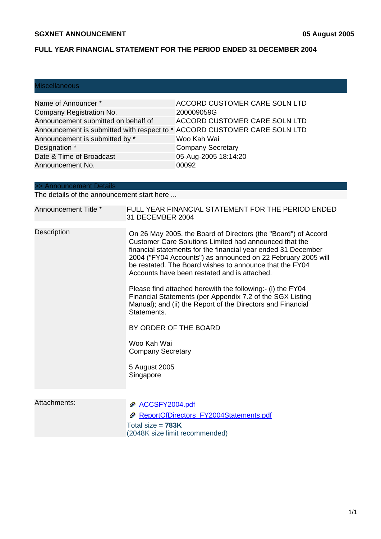### **FULL YEAR FINANCIAL STATEMENT FOR THE PERIOD ENDED 31 DECEMBER 2004**

## Miscellaneous

Ī

| Name of Announcer*                                                        | <b>ACCORD CUSTOMER CARE SOLN LTD</b> |
|---------------------------------------------------------------------------|--------------------------------------|
| Company Registration No.                                                  | 200009059G                           |
| Announcement submitted on behalf of                                       | ACCORD CUSTOMER CARE SOLN LTD        |
| Announcement is submitted with respect to * ACCORD CUSTOMER CARE SOLN LTD |                                      |
| Announcement is submitted by *                                            | Woo Kah Wai                          |
| Designation *                                                             | <b>Company Secretary</b>             |
| Date & Time of Broadcast                                                  | 05-Aug-2005 18:14:20                 |
| Announcement No.                                                          | 00092                                |

#### >> Announcement Details

The details of the announcement start here ...

| Announcement Title * | FULL YEAR FINANCIAL STATEMENT FOR THE PERIOD ENDED<br>31 DECEMBER 2004                                                                                                                                                                                                                                                                                               |  |
|----------------------|----------------------------------------------------------------------------------------------------------------------------------------------------------------------------------------------------------------------------------------------------------------------------------------------------------------------------------------------------------------------|--|
| Description          | On 26 May 2005, the Board of Directors (the "Board") of Accord<br>Customer Care Solutions Limited had announced that the<br>financial statements for the financial year ended 31 December<br>2004 ("FY04 Accounts") as announced on 22 February 2005 will<br>be restated. The Board wishes to announce that the FY04<br>Accounts have been restated and is attached. |  |
|                      | Please find attached herewith the following:- (i) the FY04<br>Financial Statements (per Appendix 7.2 of the SGX Listing<br>Manual); and (ii) the Report of the Directors and Financial<br>Statements.                                                                                                                                                                |  |
|                      | BY ORDER OF THE BOARD                                                                                                                                                                                                                                                                                                                                                |  |
|                      | Woo Kah Wai<br><b>Company Secretary</b>                                                                                                                                                                                                                                                                                                                              |  |
|                      | 5 August 2005<br>Singapore                                                                                                                                                                                                                                                                                                                                           |  |
|                      |                                                                                                                                                                                                                                                                                                                                                                      |  |
| Attachments:         | ACCSFY2004.pdf                                                                                                                                                                                                                                                                                                                                                       |  |

| <b><i>LE AUUSETZUU4.DUI</i></b>                       |
|-------------------------------------------------------|
| ReportOfDirectors FY2004Statements.pdf                |
| Total size = $783K$<br>(2048K size limit recommended) |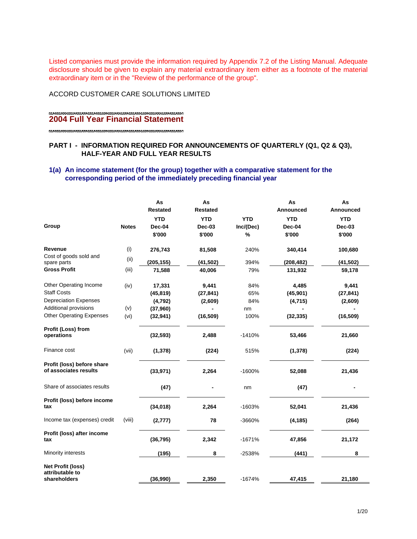Listed companies must provide the information required by Appendix 7.2 of the Listing Manual. Adequate disclosure should be given to explain any material extraordinary item either as a footnote of the material extraordinary item or in the "Review of the performance of the group".

ACCORD CUSTOMER CARE SOLUTIONS LIMITED

#### -----------------------**2004 Full Year Financial Statement**

#### **PART I - INFORMATION REQUIRED FOR ANNOUNCEMENTS OF QUARTERLY (Q1, Q2 & Q3), HALF-YEAR AND FULL YEAR RESULTS**

#### **1(a) An income statement (for the group) together with a comparative statement for the corresponding period of the immediately preceding financial year**

|                                                     |              | As<br><b>Restated</b> | As<br><b>Restated</b> |            | As<br>Announced | As<br>Announced |
|-----------------------------------------------------|--------------|-----------------------|-----------------------|------------|-----------------|-----------------|
|                                                     |              | <b>YTD</b>            | <b>YTD</b>            | <b>YTD</b> | <b>YTD</b>      | <b>YTD</b>      |
| Group                                               | <b>Notes</b> | Dec-04                | Dec-03                | Inc/(Dec)  | Dec-04          | Dec-03          |
|                                                     |              | \$'000                | \$'000                | %          | \$'000          | \$'000          |
| Revenue                                             | (i)          | 276,743               | 81,508                | 240%       | 340,414         | 100,680         |
| Cost of goods sold and<br>spare parts               | (i)          | (205, 155)            | (41, 502)             | 394%       | (208, 482)      | (41, 502)       |
| <b>Gross Profit</b>                                 | (iii)        | 71,588                | 40,006                | 79%        | 131,932         | 59,178          |
| Other Operating Income                              | (iv)         | 17,331                | 9,441                 | 84%        | 4,485           | 9,441           |
| <b>Staff Costs</b>                                  |              | (45, 819)             | (27, 841)             | 65%        | (45, 901)       | (27, 841)       |
| <b>Depreciation Expenses</b>                        |              | (4,792)               | (2,609)               | 84%        | (4, 715)        | (2,609)         |
| Additional provisions                               | (v)          | (37,960)              |                       | nm         |                 |                 |
| <b>Other Operating Expenses</b>                     | (vi)         | (32, 941)             | (16, 509)             | 100%       | (32, 335)       | (16, 509)       |
| Profit (Loss) from<br>operations                    |              | (32, 593)             | 2,488                 | $-1410%$   | 53,466          | 21,660          |
| Finance cost                                        | (vii)        | (1, 378)              | (224)                 | 515%       | (1, 378)        | (224)           |
| Profit (loss) before share<br>of associates results |              | (33, 971)             | 2,264                 | $-1600%$   | 52,088          | 21,436          |
| Share of associates results                         |              | (47)                  |                       | nm         | (47)            |                 |
| Profit (loss) before income<br>tax                  |              | (34, 018)             | 2,264                 | $-1603%$   | 52,041          | 21,436          |
| Income tax (expenses) credit                        | (viii)       | (2, 777)              | 78                    | -3660%     | (4, 185)        | (264)           |
| Profit (loss) after income<br>tax                   |              | (36, 795)             | 2,342                 | $-1671%$   | 47,856          | 21,172          |
| Minority interests                                  |              | (195)                 | 8                     | $-2538%$   | (441)           | 8               |
| <b>Net Profit (loss)</b><br>attributable to         |              |                       |                       |            |                 |                 |
| shareholders                                        |              | (36,990)              | 2,350                 | $-1674%$   | 47,415          | 21,180          |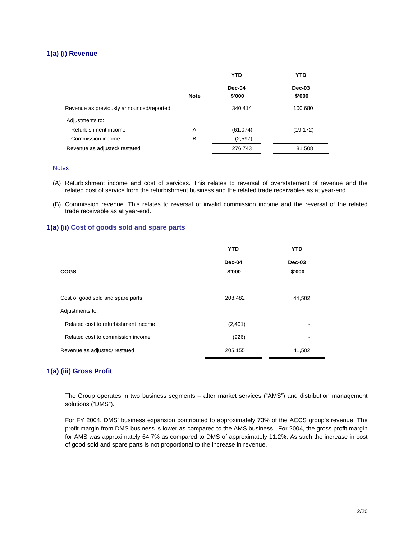#### **1(a) (i) Revenue**

|                                          | <b>YTD</b>  |                  | YTD                |  |
|------------------------------------------|-------------|------------------|--------------------|--|
|                                          | <b>Note</b> | Dec-04<br>\$'000 | $Dec-03$<br>\$'000 |  |
| Revenue as previously announced/reported |             | 340,414          | 100,680            |  |
| Adjustments to:                          |             |                  |                    |  |
| Refurbishment income                     | A           | (61, 074)        | (19, 172)          |  |
| Commission income                        | B           | (2,597)          |                    |  |
| Revenue as adjusted/restated             |             | 276,743          | 81,508             |  |

#### **Notes**

- (A) Refurbishment income and cost of services. This relates to reversal of overstatement of revenue and the related cost of service from the refurbishment business and the related trade receivables as at year-end.
- (B) Commission revenue. This relates to reversal of invalid commission income and the reversal of the related trade receivable as at year-end.

#### **1(a) (ii) Cost of goods sold and spare parts**

|                                      | <b>YTD</b>       | <b>YTD</b>       |
|--------------------------------------|------------------|------------------|
| <b>COGS</b>                          | Dec-04<br>\$'000 | Dec-03<br>\$'000 |
| Cost of good sold and spare parts    | 208,482          | 41,502           |
| Adjustments to:                      |                  |                  |
| Related cost to refurbishment income | (2,401)          |                  |
| Related cost to commission income    | (926)            |                  |
| Revenue as adjusted/restated         | 205,155          | 41,502           |

#### **1(a) (iii) Gross Profit**

The Group operates in two business segments – after market services ("AMS") and distribution management solutions ("DMS").

For FY 2004, DMS' business expansion contributed to approximately 73% of the ACCS group's revenue. The profit margin from DMS business is lower as compared to the AMS business. For 2004, the gross profit margin for AMS was approximately 64.7% as compared to DMS of approximately 11.2%. As such the increase in cost of good sold and spare parts is not proportional to the increase in revenue.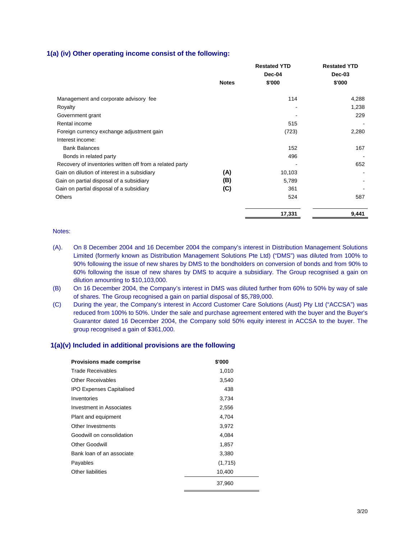#### **1(a) (iv) Other operating income consist of the following:**

|                                                          | <b>Notes</b> | <b>Restated YTD</b><br>Dec-04<br>\$'000 | <b>Restated YTD</b><br>Dec-03<br>\$'000 |
|----------------------------------------------------------|--------------|-----------------------------------------|-----------------------------------------|
| Management and corporate advisory fee                    |              | 114                                     | 4,288                                   |
| Royalty                                                  |              |                                         | 1,238                                   |
| Government grant                                         |              |                                         | 229                                     |
| Rental income                                            |              | 515                                     |                                         |
| Foreign currency exchange adjustment gain                |              | (723)                                   | 2,280                                   |
| Interest income:                                         |              |                                         |                                         |
| <b>Bank Balances</b>                                     |              | 152                                     | 167                                     |
| Bonds in related party                                   |              | 496                                     |                                         |
| Recovery of inventories written off from a related party |              |                                         | 652                                     |
| Gain on dilution of interest in a subsidiary             | (A)          | 10,103                                  |                                         |
| Gain on partial disposal of a subsidiary                 | (B)          | 5,789                                   |                                         |
| Gain on partial disposal of a subsidiary                 | (C)          | 361                                     |                                         |
| <b>Others</b>                                            |              | 524                                     | 587                                     |
|                                                          |              | 17,331                                  | 9,441                                   |

#### Notes:

- (A). On 8 December 2004 and 16 December 2004 the company's interest in Distribution Management Solutions Limited (formerly known as Distribution Management Solutions Pte Ltd) ("DMS") was diluted from 100% to 90% following the issue of new shares by DMS to the bondholders on conversion of bonds and from 90% to 60% following the issue of new shares by DMS to acquire a subsidiary. The Group recognised a gain on dilution amounting to \$10,103,000.
- (B) On 16 December 2004, the Company's interest in DMS was diluted further from 60% to 50% by way of sale of shares. The Group recognised a gain on partial disposal of \$5,789,000.
- (C) During the year, the Company's interest in Accord Customer Care Solutions (Aust) Pty Ltd ("ACCSA") was reduced from 100% to 50%. Under the sale and purchase agreement entered with the buyer and the Buyer's Guarantor dated 16 December 2004, the Company sold 50% equity interest in ACCSA to the buyer. The group recognised a gain of \$361,000.

#### **1(a)(v) Included in additional provisions are the following**

| <b>Provisions made comprise</b> | \$'000  |
|---------------------------------|---------|
| <b>Trade Receivables</b>        | 1,010   |
| <b>Other Receivables</b>        | 3,540   |
| <b>IPO Expenses Capitalised</b> | 438     |
| Inventories                     | 3,734   |
| Investment in Associates        | 2,556   |
| Plant and equipment             | 4,704   |
| Other Investments               | 3,972   |
| Goodwill on consolidation       | 4,084   |
| <b>Other Goodwill</b>           | 1,857   |
| Bank loan of an associate       | 3,380   |
| Payables                        | (1,715) |
| Other liabilities               | 10,400  |
|                                 | 37,960  |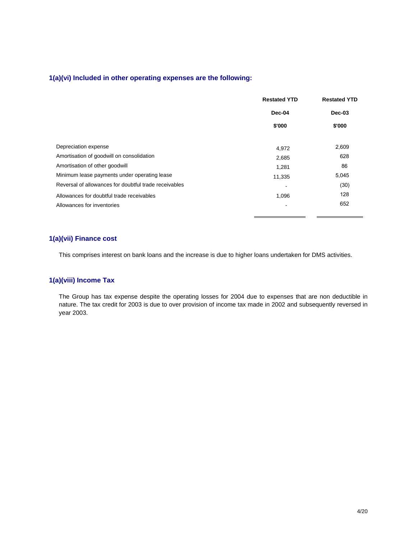#### **1(a)(vi) Included in other operating expenses are the following:**

|                                                       | <b>Restated YTD</b><br><b>Restated YTD</b> |               |
|-------------------------------------------------------|--------------------------------------------|---------------|
|                                                       | Dec-04                                     | <b>Dec-03</b> |
|                                                       | \$'000                                     | \$'000        |
| Depreciation expense                                  | 4,972                                      | 2,609         |
| Amortisation of goodwill on consolidation             | 2,685                                      | 628           |
| Amortisation of other goodwill                        | 1,281                                      | 86            |
| Minimum lease payments under operating lease          | 11,335                                     | 5,045         |
| Reversal of allowances for doubtful trade receivables |                                            | (30)          |
| Allowances for doubtful trade receivables             | 1,096                                      | 128           |
| Allowances for inventories                            |                                            | 652           |

#### **1(a)(vii) Finance cost**

This comprises interest on bank loans and the increase is due to higher loans undertaken for DMS activities.

#### **1(a)(viii) Income Tax**

 The Group has tax expense despite the operating losses for 2004 due to expenses that are non deductible in nature. The tax credit for 2003 is due to over provision of income tax made in 2002 and subsequently reversed in year 2003.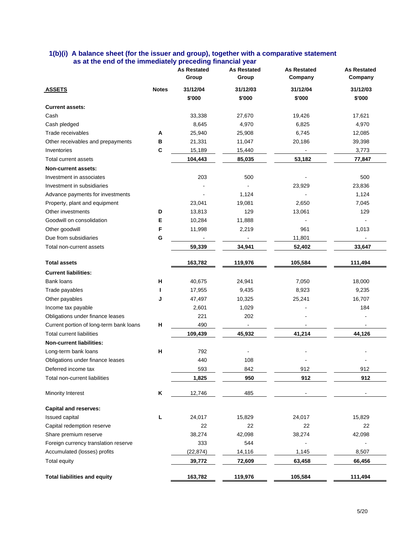#### **1(b)(i) A balance sheet (for the issuer and group), together with a comparative statement as at the end of the immediately preceding financial year**

|                                         |              | <b>As Restated</b><br>Group | <b>As Restated</b><br>Group | <b>As Restated</b><br>Company | <b>As Restated</b><br>Company |
|-----------------------------------------|--------------|-----------------------------|-----------------------------|-------------------------------|-------------------------------|
| <b>ASSETS</b>                           | <b>Notes</b> | 31/12/04<br>\$'000          | 31/12/03<br>\$'000          | 31/12/04<br>\$'000            | 31/12/03<br>\$'000            |
| <b>Current assets:</b>                  |              |                             |                             |                               |                               |
| Cash                                    |              | 33,338                      | 27,670                      | 19,426                        | 17,621                        |
| Cash pledged                            |              | 8,645                       | 4,970                       | 6,825                         | 4,970                         |
| Trade receivables                       | Α            | 25,940                      | 25,908                      | 6,745                         | 12,085                        |
| Other receivables and prepayments       | в            | 21,331                      | 11,047                      | 20,186                        | 39,398                        |
| Inventories                             | С            | 15,189                      | 15,440                      |                               | 3,773                         |
| Total current assets                    |              | 104,443                     | 85,035                      | 53,182                        | 77,847                        |
| Non-current assets:                     |              |                             |                             |                               |                               |
| Investment in associates                |              | 203                         | 500                         |                               | 500                           |
| Investment in subsidiaries              |              |                             |                             | 23,929                        | 23,836                        |
| Advance payments for investments        |              |                             | 1,124                       |                               | 1,124                         |
| Property, plant and equipment           |              | 23,041                      | 19,081                      | 2,650                         | 7,045                         |
| Other investments                       | D            | 13,813                      | 129                         | 13,061                        | 129                           |
| Goodwill on consolidation               | Е            | 10,284                      | 11,888                      |                               |                               |
| Other goodwill                          | F            | 11,998                      | 2,219                       | 961                           | 1,013                         |
| Due from subsidiaries                   | G            |                             |                             | 11,801                        |                               |
| Total non-current assets                |              | 59,339                      | 34,941                      | 52,402                        | 33,647                        |
| <b>Total assets</b>                     |              | 163,782                     | 119,976                     | 105,584                       | 111,494                       |
| <b>Current liabilities:</b>             |              |                             |                             |                               |                               |
| Bank loans                              | н            | 40,675                      | 24,941                      | 7,050                         | 18,000                        |
| Trade payables                          |              | 17,955                      | 9,435                       | 8,923                         | 9,235                         |
| Other payables                          | J            | 47,497                      | 10,325                      | 25,241                        | 16,707                        |
| Income tax payable                      |              | 2,601                       | 1,029                       |                               | 184                           |
| Obligations under finance leases        |              | 221                         | 202                         |                               |                               |
| Current portion of long-term bank loans | н            | 490                         |                             |                               |                               |
| <b>Total current liabilities</b>        |              | 109,439                     | 45,932                      | 41,214                        | 44,126                        |
| <b>Non-current liabilities:</b>         |              |                             |                             |                               |                               |
| Long-term bank loans                    | н            | 792                         |                             |                               |                               |
| Obligations under finance leases        |              | 440                         | 108                         |                               |                               |
| Deferred income tax                     |              | 593                         | 842                         | 912                           | 912                           |
| Total non-current liabilities           |              | 1,825                       | 950                         | 912                           | 912                           |
| Minority Interest                       | Κ            | 12,746                      | 485                         |                               |                               |
| <b>Capital and reserves:</b>            |              |                             |                             |                               |                               |
| Issued capital                          | г            | 24,017                      | 15,829                      | 24,017                        | 15,829                        |
| Capital redemption reserve              |              | 22                          | 22                          | 22                            | 22                            |
| Share premium reserve                   |              | 38,274                      | 42,098                      | 38,274                        | 42,098                        |
| Foreign currency translation reserve    |              | 333                         | 544                         |                               |                               |
| Accumulated (losses) profits            |              | (22, 874)                   | 14,116                      | 1,145                         | 8,507                         |
| <b>Total equity</b>                     |              | 39,772                      | 72,609                      | 63,458                        | 66,456                        |
| <b>Total liabilities and equity</b>     |              | 163,782                     | 119,976                     | 105,584                       | 111,494                       |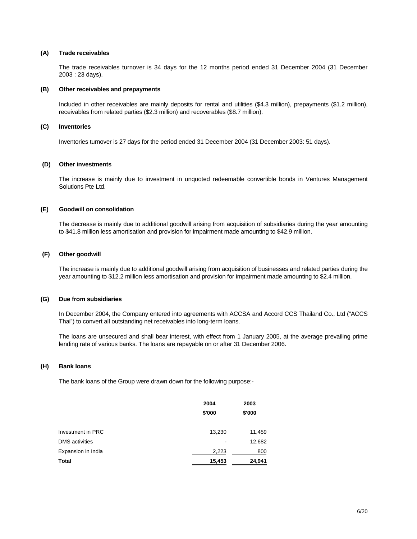#### **(A) Trade receivables**

 The trade receivables turnover is 34 days for the 12 months period ended 31 December 2004 (31 December 2003 : 23 days).

#### **(B) Other receivables and prepayments**

Included in other receivables are mainly deposits for rental and utilities (\$4.3 million), prepayments (\$1.2 million), receivables from related parties (\$2.3 million) and recoverables (\$8.7 million).

#### **(C) Inventories**

Inventories turnover is 27 days for the period ended 31 December 2004 (31 December 2003: 51 days).

#### **(D) Other investments**

The increase is mainly due to investment in unquoted redeemable convertible bonds in Ventures Management Solutions Pte Ltd.

#### **(E) Goodwill on consolidation**

 The decrease is mainly due to additional goodwill arising from acquisition of subsidiaries during the year amounting to \$41.8 million less amortisation and provision for impairment made amounting to \$42.9 million.

#### **(F) Other goodwill**

The increase is mainly due to additional goodwill arising from acquisition of businesses and related parties during the year amounting to \$12.2 million less amortisation and provision for impairment made amounting to \$2.4 million.

#### **(G) Due from subsidiaries**

In December 2004, the Company entered into agreements with ACCSA and Accord CCS Thailand Co., Ltd ("ACCS Thai") to convert all outstanding net receivables into long-term loans.

 The loans are unsecured and shall bear interest, with effect from 1 January 2005, at the average prevailing prime lending rate of various banks. The loans are repayable on or after 31 December 2006.

#### **(H) Bank loans**

The bank loans of the Group were drawn down for the following purpose:-

|                       | 2004<br>\$'000 | 2003<br>\$'000 |
|-----------------------|----------------|----------------|
| Investment in PRC     | 13,230         | 11,459         |
| <b>DMS</b> activities |                | 12,682         |
| Expansion in India    | 2,223          | 800            |
| <b>Total</b>          | 15,453         | 24,941         |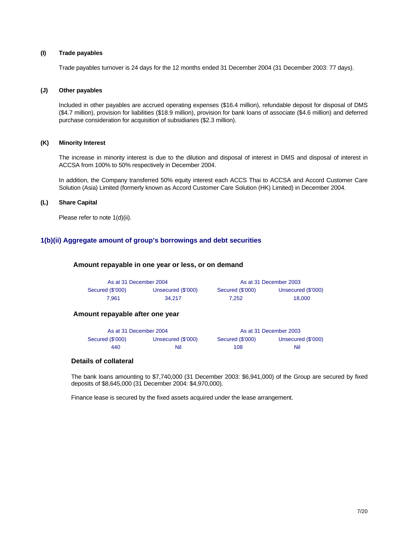#### **(I) Trade payables**

Trade payables turnover is 24 days for the 12 months ended 31 December 2004 (31 December 2003: 77 days).

#### **(J) Other payables**

 Included in other payables are accrued operating expenses (\$16.4 million), refundable deposit for disposal of DMS (\$4.7 million), provision for liabilities (\$18.9 million), provision for bank loans of associate (\$4.6 million) and deferred purchase consideration for acquisition of subsidiaries (\$2.3 million).

#### **(K) Minority Interest**

The increase in minority interest is due to the dilution and disposal of interest in DMS and disposal of interest in ACCSA from 100% to 50% respectively in December 2004.

In addition, the Company transferred 50% equity interest each ACCS Thai to ACCSA and Accord Customer Care Solution (Asia) Limited (formerly known as Accord Customer Care Solution (HK) Limited) in December 2004.

#### **(L) Share Capital**

Please refer to note 1(d)(ii).

#### **1(b)(ii) Aggregate amount of group's borrowings and debt securities**

#### **Amount repayable in one year or less, or on demand**

| As at 31 December 2004 |                    |                  | As at 31 December 2003 |
|------------------------|--------------------|------------------|------------------------|
| Secured (\$'000)       | Unsecured (\$'000) | Secured (\$'000) | Unsecured (\$'000)     |
| 7.961                  | 34.217             | 7.252            | 18,000                 |

#### **Amount repayable after one year**

| As at 31 December 2004 |                    |                  | As at 31 December 2003 |
|------------------------|--------------------|------------------|------------------------|
| Secured (\$'000)       | Unsecured (\$'000) | Secured (\$'000) | Unsecured (\$'000)     |
| 440                    | Nil                | 108              | Nil                    |

#### **Details of collateral**

The bank loans amounting to \$7,740,000 (31 December 2003: \$6,941,000) of the Group are secured by fixed deposits of \$8,645,000 (31 December 2004: \$4,970,000).

Finance lease is secured by the fixed assets acquired under the lease arrangement.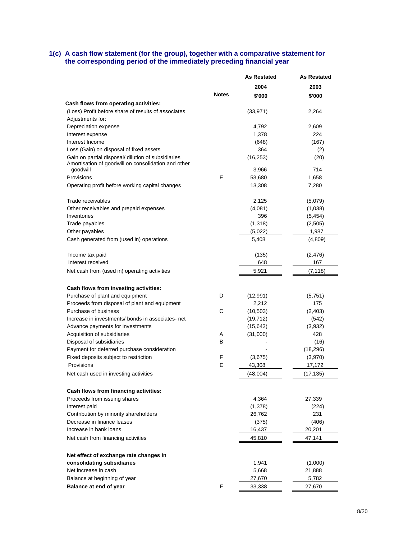#### **1(c) A cash flow statement (for the group), together with a comparative statement for the corresponding period of the immediately preceding financial year**

|                                                                                                                       |              | <b>As Restated</b> | As Restated |
|-----------------------------------------------------------------------------------------------------------------------|--------------|--------------------|-------------|
|                                                                                                                       |              | 2004               | 2003        |
|                                                                                                                       | <b>Notes</b> | \$'000             | \$'000      |
| Cash flows from operating activities:                                                                                 |              |                    |             |
| (Loss) Profit before share of results of associates                                                                   |              | (33, 971)          | 2,264       |
| Adjustments for:                                                                                                      |              |                    |             |
| Depreciation expense                                                                                                  |              | 4,792              | 2,609       |
| Interest expense                                                                                                      |              | 1,378              | 224         |
| Interest Income                                                                                                       |              | (648)              | (167)       |
| Loss (Gain) on disposal of fixed assets                                                                               |              | 364                | (2)         |
| Gain on partial disposal/ dilution of subsidiaries<br>Amortisation of goodwill on consolidation and other<br>goodwill |              | (16, 253)<br>3,966 | (20)<br>714 |
| Provisions                                                                                                            | E            | 53,680             | 1,658       |
| Operating profit before working capital changes                                                                       |              | 13,308             | 7,280       |
|                                                                                                                       |              |                    |             |
| Trade receivables                                                                                                     |              | 2,125              | (5,079)     |
| Other receivables and prepaid expenses                                                                                |              | (4,081)            | (1,038)     |
| Inventories                                                                                                           |              | 396                | (5, 454)    |
| Trade payables                                                                                                        |              | (1,318)            | (2,505)     |
| Other payables                                                                                                        |              | (5,022)            | 1,987       |
| Cash generated from (used in) operations                                                                              |              | 5,408              | (4,809)     |
|                                                                                                                       |              |                    |             |
| Income tax paid<br>Interest received                                                                                  |              | (135)              | (2, 476)    |
|                                                                                                                       |              | 648                | 167         |
| Net cash from (used in) operating activities                                                                          |              | 5,921              | (7,118)     |
| Cash flows from investing activities:                                                                                 |              |                    |             |
| Purchase of plant and equipment                                                                                       | D            | (12,991)           | (5,751)     |
| Proceeds from disposal of plant and equipment                                                                         |              | 2,212              | 175         |
| Purchase of business                                                                                                  | C            | (10, 503)          | (2, 403)    |
| Increase in investments/ bonds in associates- net                                                                     |              | (19, 712)          | (542)       |
| Advance payments for investments                                                                                      |              | (15, 643)          | (3,932)     |
| Acquisition of subsidiaries                                                                                           | A            | (31,000)           | 428         |
| Disposal of subsidiaries                                                                                              | B            |                    | (16)        |
| Payment for deferred purchase consideration                                                                           |              |                    | (18, 296)   |
| Fixed deposits subject to restriction                                                                                 | F            | (3,675)            | (3,970)     |
| Provisions                                                                                                            | E            | 43,308             | 17,172      |
| Net cash used in investing activities                                                                                 |              | (48,004)           | (17, 135)   |
|                                                                                                                       |              |                    |             |
| Cash flows from financing activities:                                                                                 |              |                    |             |
| Proceeds from issuing shares                                                                                          |              | 4,364              | 27,339      |
| Interest paid                                                                                                         |              | (1,378)            | (224)       |
| Contribution by minority shareholders                                                                                 |              | 26,762             | 231         |
| Decrease in finance leases                                                                                            |              | (375)              | (406)       |
| Increase in bank loans                                                                                                |              | 16,437             | 20,201      |
| Net cash from financing activities                                                                                    |              | 45,810             | 47,141      |
| Net effect of exchange rate changes in                                                                                |              |                    |             |
| consolidating subsidiaries                                                                                            |              | 1,941              | (1,000)     |
| Net increase in cash                                                                                                  |              | 5,668              | 21,888      |
| Balance at beginning of year                                                                                          |              | 27,670             | 5,782       |
| Balance at end of year                                                                                                | F.           | 33,338             | 27,670      |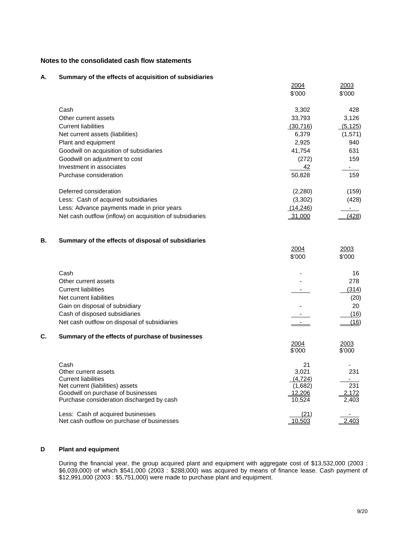#### **Notes to the consolidated cash flow statements**

#### **A. Summary of the effects of acquisition of subsidiaries**

|    |                                                                                 | 2004<br>\$'000 | 2003<br>\$'000   |
|----|---------------------------------------------------------------------------------|----------------|------------------|
|    | Cash                                                                            | 3,302          | 428              |
|    | Other current assets                                                            | 33,793         | 3,126            |
|    | <b>Current liabilities</b>                                                      | (30, 716)      | (5, 125)         |
|    | Net current assets (liabilities)                                                | 6,379          | (1,571)          |
|    | Plant and equipment                                                             | 2,925          | 940              |
|    | Goodwill on acquisition of subsidiaries                                         | 41,754         | 631              |
|    | Goodwill on adjustment to cost                                                  | (272)          | 159              |
|    | Investment in associates                                                        | 42             | $\sim 100$       |
|    | Purchase consideration                                                          | 50,828         | 159              |
|    | Deferred consideration                                                          | (2,280)        | (159)            |
|    | Less: Cash of acquired subsidiaries                                             | (3, 302)       | (428)            |
|    | Less: Advance payments made in prior years                                      | (14, 246)      |                  |
|    | Net cash outflow (inflow) on acquisition of subsidiaries                        | 31,000         | (428)            |
| В. | Summary of the effects of disposal of subsidiaries                              |                |                  |
|    |                                                                                 | 2004           | 2003             |
|    |                                                                                 | \$'000         | \$'000           |
|    | Cash                                                                            |                | 16               |
|    | Other current assets                                                            |                | 278              |
|    | <b>Current liabilities</b>                                                      |                | (314)            |
|    | Net current liabilities                                                         |                | (20)             |
|    | Gain on disposal of subsidiary                                                  |                | 20               |
|    | Cash of disposed subsidiaries                                                   |                | (16)             |
|    | Net cash outflow on disposal of subsidiaries                                    |                | (16)             |
| С. | Summary of the effects of purchase of businesses                                | <u> 2004</u>   | <u> 2003 </u>    |
|    |                                                                                 | \$'000         | \$'000           |
|    | Cash                                                                            | 21<br>3,021    | 231              |
|    | Other current assets<br><b>Current liabilities</b>                              | (4, 724)       |                  |
|    | Net current (liabilities) assets                                                | (1,682)        | $\overline{231}$ |
|    | Goodwill on purchase of businesses                                              | 12,206         | 2,172            |
|    | Purchase consideration discharged by cash                                       | 10,524         | 2,403            |
|    | Less: Cash of acquired businesses<br>Net cash outflow on purchase of businesses | (21)<br>10,503 | 2,403            |
|    |                                                                                 |                |                  |

#### **D Plant and equipment**

 During the financial year, the group acquired plant and equipment with aggregate cost of \$13,532,000 (2003 : \$6,039,000) of which \$541,000 (2003 : \$288,000) was acquired by means of finance lease. Cash payment of \$12,991,000 (2003 : \$5,751,000) were made to purchase plant and equipment.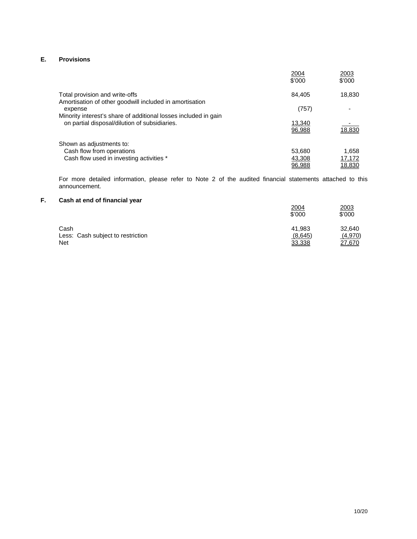#### **E. Provisions**

|                                                                                                                  | 2004<br>\$'000   | 2003<br>\$'000 |
|------------------------------------------------------------------------------------------------------------------|------------------|----------------|
| Total provision and write-offs<br>Amortisation of other goodwill included in amortisation                        | 84,405           | 18,830         |
| expense                                                                                                          | (757)            |                |
| Minority interest's share of additional losses included in gain<br>on partial disposal/dilution of subsidiaries. | 13,340<br>96.988 | 18.830         |
| Shown as adjustments to:                                                                                         |                  |                |
| Cash flow from operations                                                                                        | 53,680           | 1.658          |
| Cash flow used in investing activities *                                                                         | 43,308           | 17,172         |
|                                                                                                                  | 96.988           | 18.830         |

 For more detailed information, please refer to Note 2 of the audited financial statements attached to this announcement.

#### **F. Cash at end of financial year**

|                                   | 2004<br>\$'000 | 2003<br>\$'000 |
|-----------------------------------|----------------|----------------|
| Cash                              | 41.983         | 32.640         |
| Less: Cash subject to restriction | (8,645)        | (4,970)        |
| Net                               | 33,338         | 27,670         |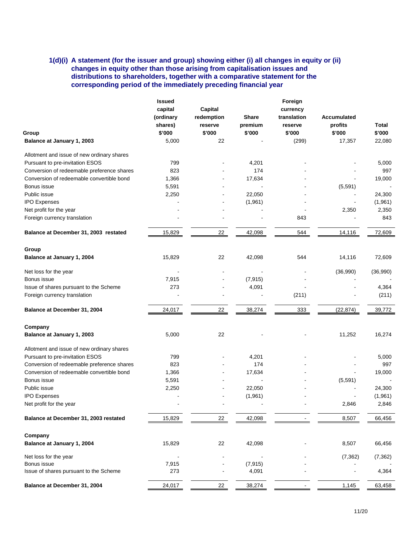#### **1(d)(i) A statement (for the issuer and group) showing either (i) all changes in equity or (ii) changes in equity other than those arising from capitalisation issues and distributions to shareholders, together with a comparative statement for the corresponding period of the immediately preceding financial year**

|                                            | <b>Issued</b> |            |              | Foreign     |             |          |
|--------------------------------------------|---------------|------------|--------------|-------------|-------------|----------|
|                                            | capital       | Capital    |              | currency    |             |          |
|                                            | (ordinary     | redemption | <b>Share</b> | translation | Accumulated |          |
|                                            | shares)       | reserve    | premium      | reserve     | profits     | Total    |
| Group                                      | \$'000        | \$'000     | \$'000       | \$'000      | \$'000      | \$'000   |
| Balance at January 1, 2003                 | 5,000         | 22         |              | (299)       | 17,357      | 22,080   |
|                                            |               |            |              |             |             |          |
| Allotment and issue of new ordinary shares |               |            |              |             |             |          |
| Pursuant to pre-invitation ESOS            | 799           |            | 4,201        |             |             | 5,000    |
| Conversion of redeemable preference shares | 823           |            | 174          |             |             | 997      |
| Conversion of redeemable convertible bond  | 1,366         |            | 17,634       |             |             | 19,000   |
| Bonus issue                                | 5,591         |            |              |             | (5,591)     |          |
| Public issue                               | 2,250         |            | 22,050       |             |             | 24,300   |
| <b>IPO Expenses</b>                        |               |            | (1,961)      |             |             | (1,961)  |
| Net profit for the year                    |               |            |              |             | 2,350       | 2,350    |
| Foreign currency translation               |               |            |              | 843         |             | 843      |
|                                            |               |            |              |             |             |          |
| Balance at December 31, 2003 restated      | 15,829        | 22         | 42,098       | 544         | 14,116      | 72,609   |
| Group                                      |               |            |              |             |             |          |
| Balance at January 1, 2004                 | 15,829        | 22         | 42,098       | 544         | 14,116      | 72,609   |
| Net loss for the year                      |               |            |              |             | (36,990)    | (36,990) |
| Bonus issue                                | 7,915         |            | (7, 915)     |             |             |          |
| Issue of shares pursuant to the Scheme     | 273           |            | 4,091        |             |             | 4,364    |
| Foreign currency translation               |               |            |              | (211)       |             | (211)    |
|                                            |               |            |              |             |             |          |
| Balance at December 31, 2004               | 24,017        | 22         | 38,274       | 333         | (22, 874)   | 39,772   |
| Company                                    |               |            |              |             |             |          |
| Balance at January 1, 2003                 | 5,000         | 22         |              |             | 11,252      | 16,274   |
| Allotment and issue of new ordinary shares |               |            |              |             |             |          |
| Pursuant to pre-invitation ESOS            | 799           |            | 4,201        |             |             | 5,000    |
| Conversion of redeemable preference shares | 823           |            | 174          |             |             | 997      |
| Conversion of redeemable convertible bond  | 1,366         |            | 17,634       |             |             | 19,000   |
| Bonus issue                                | 5,591         |            |              |             | (5, 591)    |          |
| Public issue                               | 2,250         |            | 22,050       |             |             | 24,300   |
| <b>IPO Expenses</b>                        |               |            | (1,961)      |             |             | (1,961)  |
| Net profit for the year                    |               |            |              |             | 2,846       | 2,846    |
|                                            |               |            |              |             |             |          |
| Balance at December 31, 2003 restated      | 15,829        | 22         | 42,098       |             | 8,507       | 66,456   |
| Company                                    |               |            |              |             |             |          |
| Balance at January 1, 2004                 | 15,829        | 22         | 42,098       |             | 8,507       | 66,456   |
| Net loss for the year                      |               |            |              |             | (7, 362)    | (7, 362) |
| Bonus issue                                | 7,915         |            | (7, 915)     |             |             |          |
| Issue of shares pursuant to the Scheme     | 273           |            | 4,091        |             |             | 4,364    |
| Balance at December 31, 2004               | 24,017        | 22         | 38,274       |             | 1,145       | 63,458   |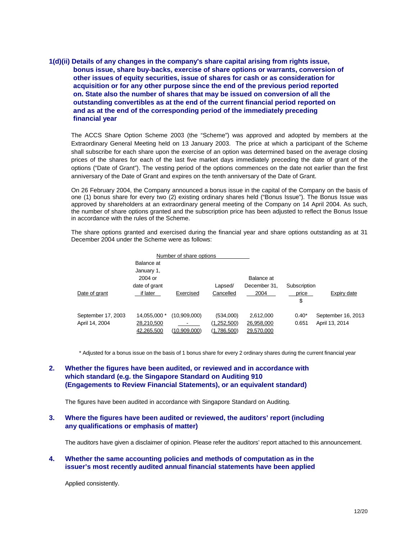**1(d)(ii) Details of any changes in the company's share capital arising from rights issue, bonus issue, share buy-backs, exercise of share options or warrants, conversion of other issues of equity securities, issue of shares for cash or as consideration for acquisition or for any other purpose since the end of the previous period reported on. State also the number of shares that may be issued on conversion of all the outstanding convertibles as at the end of the current financial period reported on and as at the end of the corresponding period of the immediately preceding financial year** 

The ACCS Share Option Scheme 2003 (the "Scheme") was approved and adopted by members at the Extraordinary General Meeting held on 13 January 2003. The price at which a participant of the Scheme shall subscribe for each share upon the exercise of an option was determined based on the average closing prices of the shares for each of the last five market days immediately preceding the date of grant of the options ("Date of Grant"). The vesting period of the options commences on the date not earlier than the first anniversary of the Date of Grant and expires on the tenth anniversary of the Date of Grant.

On 26 February 2004, the Company announced a bonus issue in the capital of the Company on the basis of one (1) bonus share for every two (2) existing ordinary shares held ("Bonus Issue"). The Bonus Issue was approved by shareholders at an extraordinary general meeting of the Company on 14 April 2004. As such, the number of share options granted and the subscription price has been adjusted to reflect the Bonus Issue in accordance with the rules of the Scheme.

The share options granted and exercised during the financial year and share options outstanding as at 31 December 2004 under the Scheme were as follows:

|                    |               | Number of share options |             |              |              |                    |
|--------------------|---------------|-------------------------|-------------|--------------|--------------|--------------------|
|                    | Balance at    |                         |             |              |              |                    |
|                    | January 1,    |                         |             |              |              |                    |
|                    | 2004 or       |                         |             | Balance at   |              |                    |
|                    | date of grant |                         | Lapsed/     | December 31. | Subscription |                    |
| Date of grant      | if later      | Exercised               | Cancelled   | 2004         | price        | Expiry date        |
|                    |               |                         |             |              | \$           |                    |
| September 17, 2003 | 14,055,000 *  | (10,909,000)            | (534,000)   | 2,612,000    | $0.40*$      | September 16, 2013 |
| April 14, 2004     | 28,210,500    |                         | (1,252,500) | 26,958,000   | 0.651        | April 13, 2014     |
|                    | 42.265.500    | (10.909.000)            | (1.786.500) | 29.570.000   |              |                    |

\* Adjusted for a bonus issue on the basis of 1 bonus share for every 2 ordinary shares during the current financial year

#### **2. Whether the figures have been audited, or reviewed and in accordance with which standard (e.g. the Singapore Standard on Auditing 910 (Engagements to Review Financial Statements), or an equivalent standard)**

The figures have been audited in accordance with Singapore Standard on Auditing.

#### **3. Where the figures have been audited or reviewed, the auditors' report (including any qualifications or emphasis of matter)**

The auditors have given a disclaimer of opinion. Please refer the auditors' report attached to this announcement.

#### **4. Whether the same accounting policies and methods of computation as in the issuer's most recently audited annual financial statements have been applied**

Applied consistently.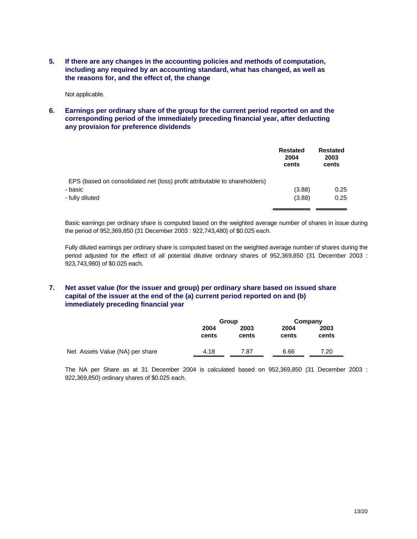**5. If there are any changes in the accounting policies and methods of computation, including any required by an accounting standard, what has changed, as well as the reasons for, and the effect of, the change** 

Not applicable.

**6. Earnings per ordinary share of the group for the current period reported on and the corresponding period of the immediately preceding financial year, after deducting any provision for preference dividends** 

|                                                                            | <b>Restated</b><br>2004<br>cents | <b>Restated</b><br>2003<br>cents |
|----------------------------------------------------------------------------|----------------------------------|----------------------------------|
| EPS (based on consolidated net (loss) profit attributable to shareholders) |                                  |                                  |
| - basic                                                                    | (3.88)                           | 0.25                             |
| - fully diluted                                                            | (3.88)                           | 0.25                             |

Basic earnings per ordinary share is computed based on the weighted average number of shares in issue during the period of 952,369,850 (31 December 2003 : 922,743,480) of \$0.025 each.

Fully diluted earnings per ordinary share is computed based on the weighted average number of shares during the period adjusted for the effect of all potential dilutive ordinary shares of 952,369,850 (31 December 2003 : 923,743,980) of \$0.025 each.

#### **7. Net asset value (for the issuer and group) per ordinary share based on issued share capital of the issuer at the end of the (a) current period reported on and (b) immediately preceding financial year**

|                                 | Group         |               | Company       |               |
|---------------------------------|---------------|---------------|---------------|---------------|
|                                 | 2004<br>cents | 2003<br>cents | 2004<br>cents | 2003<br>cents |
| Net Assets Value (NA) per share | 4.18          | 7.87          | 6.66          | 7.20          |

The NA per Share as at 31 December 2004 is calculated based on 952,369,850 (31 December 2003 : 922,369,850) ordinary shares of \$0.025 each.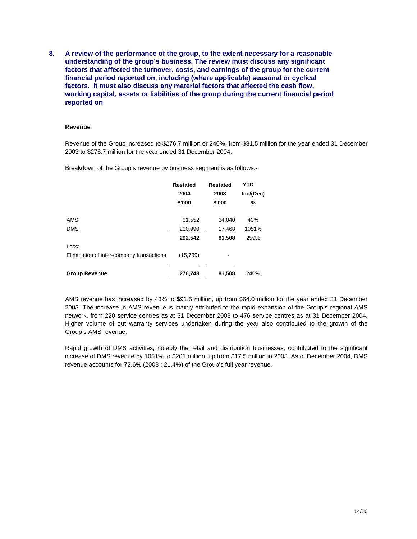**8. A review of the performance of the group, to the extent necessary for a reasonable understanding of the group's business. The review must discuss any significant factors that affected the turnover, costs, and earnings of the group for the current financial period reported on, including (where applicable) seasonal or cyclical factors. It must also discuss any material factors that affected the cash flow, working capital, assets or liabilities of the group during the current financial period reported on** 

#### **Revenue**

Revenue of the Group increased to \$276.7 million or 240%, from \$81.5 million for the year ended 31 December 2003 to \$276.7 million for the year ended 31 December 2004.

Breakdown of the Group's revenue by business segment is as follows:-

|                                           | <b>Restated</b><br>2004 | <b>Restated</b><br>2003 | YTD<br>Inc/(Dec) |
|-------------------------------------------|-------------------------|-------------------------|------------------|
|                                           | \$'000                  | \$'000                  | %                |
| AMS                                       | 91,552                  | 64,040                  | 43%              |
| <b>DMS</b>                                | 200,990                 | 17,468                  | 1051%            |
|                                           | 292,542                 | 81,508                  | 259%             |
| Less:                                     |                         |                         |                  |
| Elimination of inter-company transactions | (15,799)                |                         |                  |
|                                           |                         |                         |                  |
| <b>Group Revenue</b>                      | 276,743                 | 81,508                  | 240%             |

AMS revenue has increased by 43% to \$91.5 million, up from \$64.0 million for the year ended 31 December 2003. The increase in AMS revenue is mainly attributed to the rapid expansion of the Group's regional AMS network, from 220 service centres as at 31 December 2003 to 476 service centres as at 31 December 2004. Higher volume of out warranty services undertaken during the year also contributed to the growth of the Group's AMS revenue.

Rapid growth of DMS activities, notably the retail and distribution businesses, contributed to the significant increase of DMS revenue by 1051% to \$201 million, up from \$17.5 million in 2003. As of December 2004, DMS revenue accounts for 72.6% (2003 : 21.4%) of the Group's full year revenue.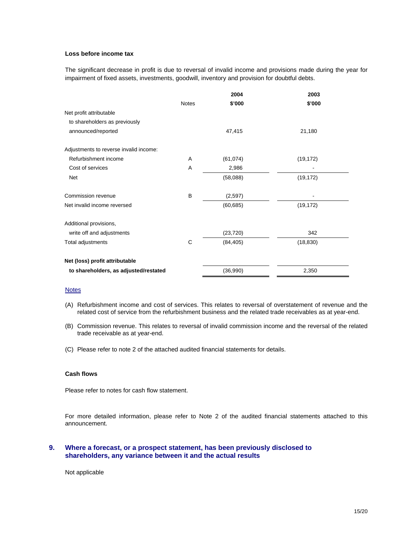#### **Loss before income tax**

The significant decrease in profit is due to reversal of invalid income and provisions made during the year for impairment of fixed assets, investments, goodwill, inventory and provision for doubtful debts.

|                                        |              | 2004      | 2003      |
|----------------------------------------|--------------|-----------|-----------|
|                                        | <b>Notes</b> | \$'000    | \$'000    |
| Net profit attributable                |              |           |           |
| to shareholders as previously          |              |           |           |
| announced/reported                     |              | 47,415    | 21,180    |
| Adjustments to reverse invalid income: |              |           |           |
| Refurbishment income                   | A            | (61, 074) | (19, 172) |
| Cost of services                       | A            | 2,986     |           |
| <b>Net</b>                             |              | (58,088)  | (19, 172) |
| Commission revenue                     | B            | (2,597)   |           |
| Net invalid income reversed            |              | (60, 685) | (19, 172) |
| Additional provisions,                 |              |           |           |
| write off and adjustments              |              | (23, 720) | 342       |
| Total adjustments                      | С            | (84, 405) | (18, 830) |
| Net (loss) profit attributable         |              |           |           |
| to shareholders, as adjusted/restated  |              | (36,990)  | 2,350     |

#### **Notes**

- (A) Refurbishment income and cost of services. This relates to reversal of overstatement of revenue and the related cost of service from the refurbishment business and the related trade receivables as at year-end.
- (B) Commission revenue. This relates to reversal of invalid commission income and the reversal of the related trade receivable as at year-end.
- (C) Please refer to note 2 of the attached audited financial statements for details.

#### **Cash flows**

Please refer to notes for cash flow statement.

For more detailed information, please refer to Note 2 of the audited financial statements attached to this announcement.

#### **9. Where a forecast, or a prospect statement, has been previously disclosed to shareholders, any variance between it and the actual results**

Not applicable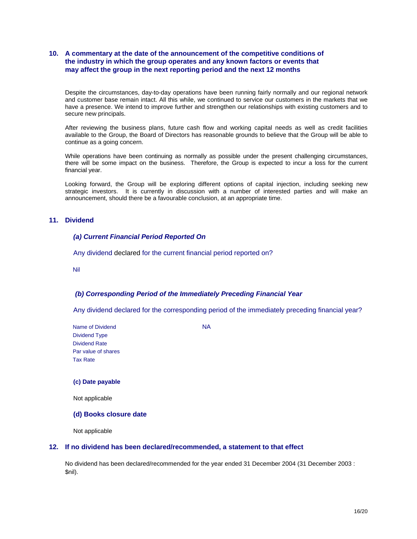#### **10. A commentary at the date of the announcement of the competitive conditions of the industry in which the group operates and any known factors or events that may affect the group in the next reporting period and the next 12 months**

Despite the circumstances, day-to-day operations have been running fairly normally and our regional network and customer base remain intact. All this while, we continued to service our customers in the markets that we have a presence. We intend to improve further and strengthen our relationships with existing customers and to secure new principals.

After reviewing the business plans, future cash flow and working capital needs as well as credit facilities available to the Group, the Board of Directors has reasonable grounds to believe that the Group will be able to continue as a going concern.

While operations have been continuing as normally as possible under the present challenging circumstances, there will be some impact on the business. Therefore, the Group is expected to incur a loss for the current financial year.

Looking forward, the Group will be exploring different options of capital injection, including seeking new strategic investors. It is currently in discussion with a number of interested parties and will make an announcement, should there be a favourable conclusion, at an appropriate time.

#### **11. Dividend**

#### *(a) Current Financial Period Reported On*

Any dividend declared for the current financial period reported on?

Nil

#### *(b) Corresponding Period of the Immediately Preceding Financial Year*

Any dividend declared for the corresponding period of the immediately preceding financial year?

Name of Dividend NA Dividend Type Dividend Rate Par value of shares Tax Rate

#### **(c) Date payable**

Not applicable

**(d) Books closure date** 

Not applicable

#### **12. If no dividend has been declared/recommended, a statement to that effect**

No dividend has been declared/recommended for the year ended 31 December 2004 (31 December 2003 : \$nil).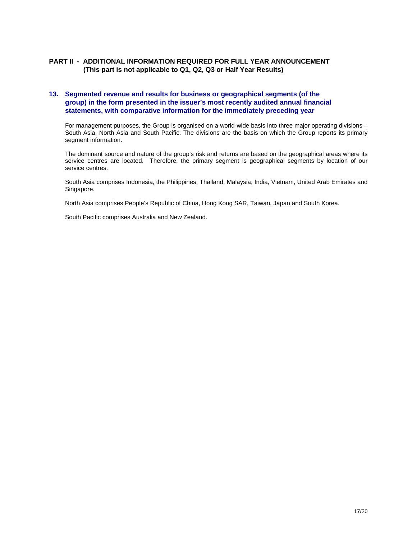#### **PART II - ADDITIONAL INFORMATION REQUIRED FOR FULL YEAR ANNOUNCEMENT (This part is not applicable to Q1, Q2, Q3 or Half Year Results)**

#### **13. Segmented revenue and results for business or geographical segments (of the group) in the form presented in the issuer's most recently audited annual financial statements, with comparative information for the immediately preceding year**

For management purposes, the Group is organised on a world-wide basis into three major operating divisions – South Asia, North Asia and South Pacific. The divisions are the basis on which the Group reports its primary segment information.

The dominant source and nature of the group's risk and returns are based on the geographical areas where its service centres are located. Therefore, the primary segment is geographical segments by location of our service centres.

South Asia comprises Indonesia, the Philippines, Thailand, Malaysia, India, Vietnam, United Arab Emirates and Singapore.

North Asia comprises People's Republic of China, Hong Kong SAR, Taiwan, Japan and South Korea.

South Pacific comprises Australia and New Zealand.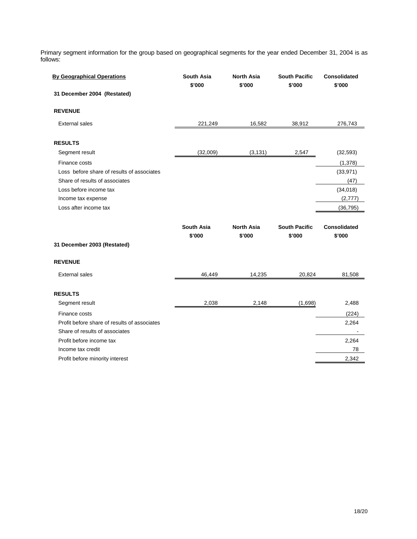Primary segment information for the group based on geographical segments for the year ended December 31, 2004 is as follows:

| <b>By Geographical Operations</b>                                              | <b>South Asia</b><br>\$'000 | <b>North Asia</b><br>\$'000 | <b>South Pacific</b><br>\$'000 | <b>Consolidated</b><br>\$'000 |
|--------------------------------------------------------------------------------|-----------------------------|-----------------------------|--------------------------------|-------------------------------|
| 31 December 2004 (Restated)                                                    |                             |                             |                                |                               |
| <b>REVENUE</b>                                                                 |                             |                             |                                |                               |
| <b>External sales</b>                                                          | 221,249                     | 16,582                      | 38,912                         | 276,743                       |
| <b>RESULTS</b>                                                                 |                             |                             |                                |                               |
| Segment result                                                                 | (32,009)                    | (3, 131)                    | 2,547                          | (32, 593)                     |
| Finance costs                                                                  |                             |                             |                                | (1, 378)                      |
| Loss before share of results of associates                                     |                             |                             |                                | (33, 971)                     |
| Share of results of associates                                                 |                             |                             |                                | (47)                          |
| Loss before income tax                                                         |                             |                             |                                | (34,018)                      |
| Income tax expense                                                             |                             |                             |                                | (2,777)                       |
| Loss after income tax                                                          |                             |                             |                                | (36, 795)                     |
|                                                                                |                             |                             |                                |                               |
|                                                                                | <b>South Asia</b><br>\$'000 | <b>North Asia</b><br>\$'000 | <b>South Pacific</b><br>\$'000 | <b>Consolidated</b><br>\$'000 |
| 31 December 2003 (Restated)                                                    |                             |                             |                                |                               |
| <b>REVENUE</b>                                                                 |                             |                             |                                |                               |
| <b>External sales</b>                                                          | 46,449                      | 14,235                      | 20,824                         | 81,508                        |
| <b>RESULTS</b>                                                                 |                             |                             |                                |                               |
| Segment result                                                                 | 2,038                       | 2,148                       | (1,698)                        | 2,488                         |
| Finance costs                                                                  |                             |                             |                                | (224)                         |
| Profit before share of results of associates<br>Share of results of associates |                             |                             |                                | 2,264                         |
| Profit before income tax                                                       |                             |                             |                                |                               |
| Income tax credit                                                              |                             |                             |                                | 2,264<br>78                   |
| Profit before minority interest                                                |                             |                             |                                | 2,342                         |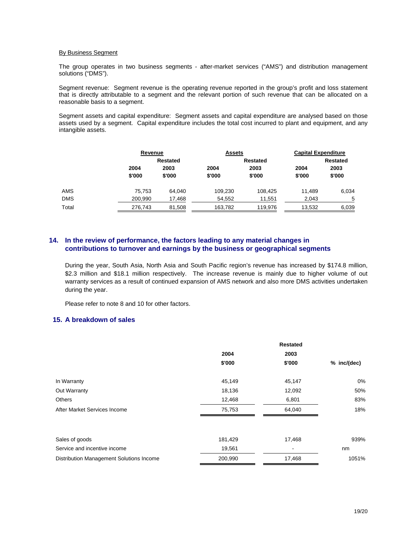#### By Business Segment

 The group operates in two business segments - after-market services ("AMS") and distribution management solutions ("DMS").

 Segment revenue: Segment revenue is the operating revenue reported in the group's profit and loss statement that is directly attributable to a segment and the relevant portion of such revenue that can be allocated on a reasonable basis to a segment.

 Segment assets and capital expenditure: Segment assets and capital expenditure are analysed based on those assets used by a segment. Capital expenditure includes the total cost incurred to plant and equipment, and any intangible assets.

|            |         | Revenue  |         | <b>Assets</b>   | <b>Capital Expenditure</b> |        |  |
|------------|---------|----------|---------|-----------------|----------------------------|--------|--|
|            |         | Restated |         | <b>Restated</b> | <b>Restated</b>            |        |  |
|            | 2004    | 2003     | 2004    | 2003            | 2004                       | 2003   |  |
|            | \$'000  | \$'000   | \$'000  | \$'000          | \$'000                     | \$'000 |  |
| AMS        | 75.753  | 64.040   | 109.230 | 108,425         | 11.489                     | 6,034  |  |
| <b>DMS</b> | 200.990 | 17,468   | 54,552  | 11,551          | 2,043                      | 5      |  |
| Total      | 276,743 | 81,508   | 163,782 | 119.976         | 13,532                     | 6,039  |  |

#### **14. In the review of performance, the factors leading to any material changes in contributions to turnover and earnings by the business or geographical segments**

During the year, South Asia, North Asia and South Pacific region's revenue has increased by \$174.8 million, \$2.3 million and \$18.1 million respectively. The increase revenue is mainly due to higher volume of out warranty services as a result of continued expansion of AMS network and also more DMS activities undertaken during the year.

Please refer to note 8 and 10 for other factors.

#### **15. A breakdown of sales**

|                                          | 2004    | 2003   |             |
|------------------------------------------|---------|--------|-------------|
|                                          | \$'000  | \$'000 | % inc/(dec) |
| In Warranty                              | 45,149  | 45,147 | 0%          |
| Out Warranty                             | 18,136  | 12,092 | 50%         |
| <b>Others</b>                            | 12,468  | 6,801  | 83%         |
| After Market Services Income             | 75,753  | 64,040 | 18%         |
| Sales of goods                           | 181,429 | 17,468 | 939%        |
| Service and incentive income             | 19,561  |        | nm          |
| Distribution Management Solutions Income | 200,990 | 17,468 | 1051%       |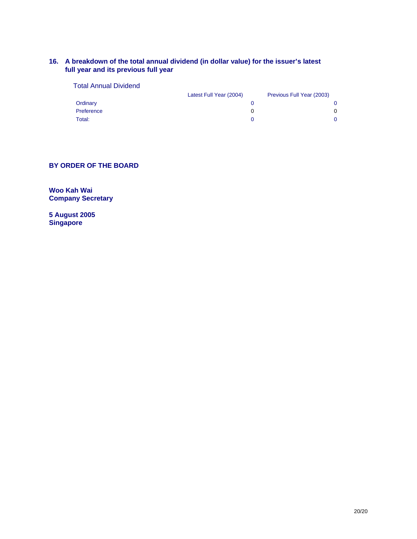#### **16. A breakdown of the total annual dividend (in dollar value) for the issuer's latest full year and its previous full year**

| Previous Full Year (2003) |
|---------------------------|
| 0                         |
| 0                         |
| 0                         |
|                           |

#### **BY ORDER OF THE BOARD**

**Woo Kah Wai Company Secretary** 

**5 August 2005 Singapore**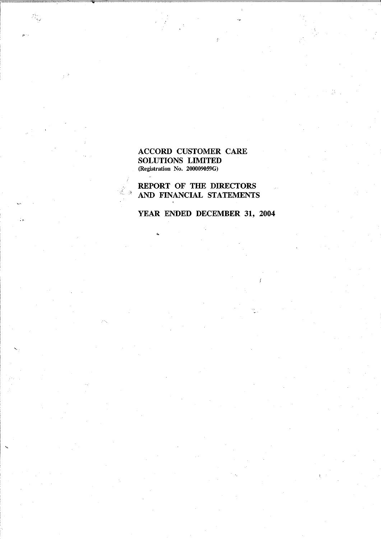#### **ACCORD CUSTOMER CARE** SOLUTIONS LIMITED (Registration No. 200009059G)

REPORT OF THE DIRECTORS AND FINANCIAL STATEMENTS

## YEAR ENDED DECEMBER 31, 2004

 $\hat{f}$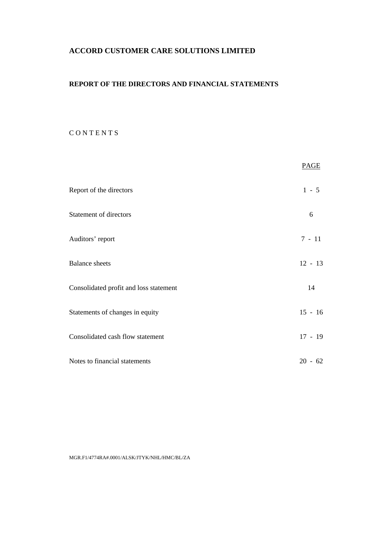## **ACCORD CUSTOMER CARE SOLUTIONS LIMITED**

### **REPORT OF THE DIRECTORS AND FINANCIAL STATEMENTS**

### C O N T E N T S

|                                        | <b>PAGE</b> |
|----------------------------------------|-------------|
| Report of the directors                | $1 - 5$     |
| Statement of directors                 | 6           |
| Auditors' report                       | $7 - 11$    |
| <b>Balance</b> sheets                  | $12 - 13$   |
| Consolidated profit and loss statement | 14          |
| Statements of changes in equity        | $15 - 16$   |
| Consolidated cash flow statement       | $17 - 19$   |
| Notes to financial statements          | $20 - 62$   |

MGR.F1/4774RA#.0001/ALSK/JTYK/NHL/HMC/BL/ZA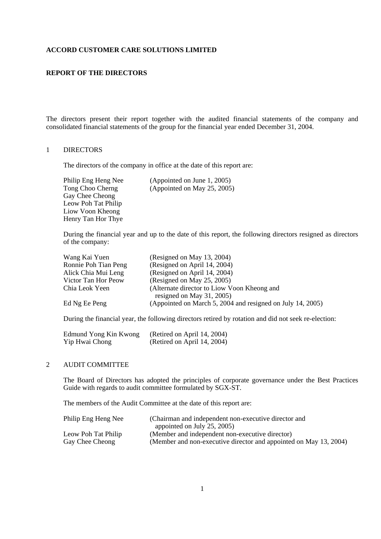#### **ACCORD CUSTOMER CARE SOLUTIONS LIMITED**

#### **REPORT OF THE DIRECTORS**

The directors present their report together with the audited financial statements of the company and consolidated financial statements of the group for the financial year ended December 31, 2004.

#### 1 DIRECTORS

The directors of the company in office at the date of this report are:

Gay Chee Cheong Leow Poh Tat Philip Liow Voon Kheong Henry Tan Hor Thye

Philip Eng Heng Nee (Appointed on June 1, 2005)<br>Tong Choo Cherng (Appointed on May 25, 2005)  $(Appointed on May 25, 2005)$ 

 During the financial year and up to the date of this report, the following directors resigned as directors of the company:

| Wang Kai Yuen        | (Resigned on May 13, 2004)                                 |
|----------------------|------------------------------------------------------------|
| Ronnie Poh Tian Peng | (Resigned on April 14, 2004)                               |
| Alick Chia Mui Leng  | (Resigned on April 14, 2004)                               |
| Victor Tan Hor Peow  | (Resigned on May 25, 2005)                                 |
| Chia Leok Yeen       | (Alternate director to Liow Voon Kheong and                |
|                      | resigned on May 31, 2005)                                  |
| Ed Ng Ee Peng        | (Appointed on March 5, 2004 and resigned on July 14, 2005) |
|                      |                                                            |

During the financial year, the following directors retired by rotation and did not seek re-election:

| Edmund Yong Kin Kwong | (Retired on April 14, 2004) |
|-----------------------|-----------------------------|
| Yip Hwai Chong        | (Retired on April 14, 2004) |

#### 2 AUDIT COMMITTEE

 The Board of Directors has adopted the principles of corporate governance under the Best Practices Guide with regards to audit committee formulated by SGX-ST.

The members of the Audit Committee at the date of this report are:

| Philip Eng Heng Nee | (Chairman and independent non-executive director and              |
|---------------------|-------------------------------------------------------------------|
|                     | appointed on July 25, 2005)                                       |
| Leow Poh Tat Philip | (Member and independent non-executive director)                   |
| Gay Chee Cheong     | (Member and non-executive director and appointed on May 13, 2004) |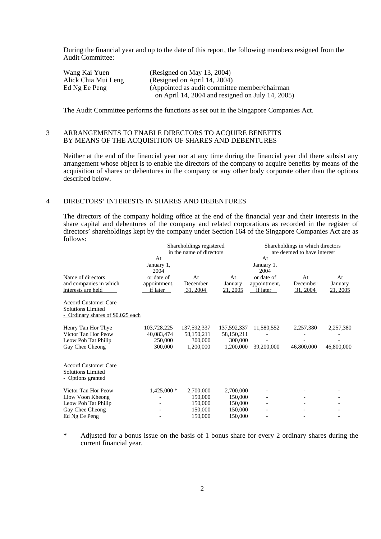During the financial year and up to the date of this report, the following members resigned from the Audit Committee:

| Wang Kai Yuen       | (Resigned on May 13, 2004)                       |
|---------------------|--------------------------------------------------|
| Alick Chia Mui Leng | (Resigned on April 14, 2004)                     |
| Ed Ng Ee Peng       | (Appointed as audit committee member/chairman)   |
|                     | on April 14, 2004 and resigned on July 14, 2005) |

The Audit Committee performs the functions as set out in the Singapore Companies Act.

#### 3 ARRANGEMENTS TO ENABLE DIRECTORS TO ACQUIRE BENEFITS BY MEANS OF THE ACQUISITION OF SHARES AND DEBENTURES

 Neither at the end of the financial year nor at any time during the financial year did there subsist any arrangement whose object is to enable the directors of the company to acquire benefits by means of the acquisition of shares or debentures in the company or any other body corporate other than the options described below.

#### 4 DIRECTORS' INTERESTS IN SHARES AND DEBENTURES

 The directors of the company holding office at the end of the financial year and their interests in the share capital and debentures of the company and related corporations as recorded in the register of directors<sup>3</sup> shareholdings kept by the company under Section 164 of the Singapore Companies Act are as follows:<br>Shareholdings registered Shareholdings in which directors

|                                                              | in the name of directors                          |                           |                                                              | Shareholdings in which directors<br>are deemed to have interest |                           |  |
|--------------------------------------------------------------|---------------------------------------------------|---------------------------|--------------------------------------------------------------|-----------------------------------------------------------------|---------------------------|--|
| January 1,<br>2004<br>or date of<br>appointment,<br>if later | At<br>December<br>31, 2004                        | At<br>January<br>21, 2005 | January 1,<br>2004<br>or date of<br>appointment,<br>if later | At<br>December<br>31, 2004                                      | At<br>January<br>21, 2005 |  |
| - Ordinary shares of \$0.025 each                            |                                                   |                           |                                                              |                                                                 |                           |  |
| 103,728,225<br>40,083,474<br>250,000<br>300,000              | 137,592,337<br>58,150,211<br>300,000<br>1,200,000 | 137,592,337<br>58,150,211 | 11,580,552<br>39,200,000                                     | 2,257,380<br>46,800,000                                         | 2,257,380<br>46,800,000   |  |
|                                                              |                                                   |                           |                                                              |                                                                 |                           |  |
| $1,425,000*$                                                 | 2,700,000<br>150,000<br>150,000<br>150,000        | 150,000                   |                                                              |                                                                 |                           |  |
|                                                              | At                                                |                           | Shareholdings registered                                     | At<br>300,000<br>1,200,000<br>2,700,000<br>150,000<br>150,000   |                           |  |

 \* Adjusted for a bonus issue on the basis of 1 bonus share for every 2 ordinary shares during the current financial year.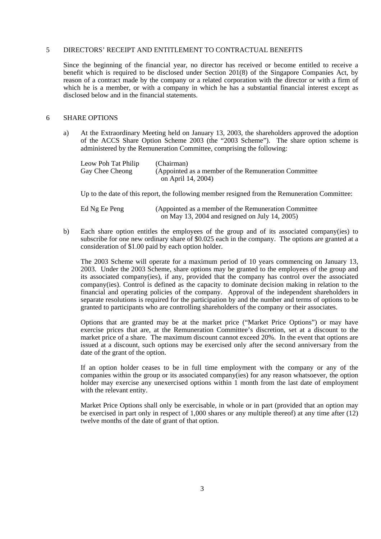#### 5 DIRECTORS' RECEIPT AND ENTITLEMENT TO CONTRACTUAL BENEFITS

 Since the beginning of the financial year, no director has received or become entitled to receive a benefit which is required to be disclosed under Section 201(8) of the Singapore Companies Act, by reason of a contract made by the company or a related corporation with the director or with a firm of which he is a member, or with a company in which he has a substantial financial interest except as disclosed below and in the financial statements.

#### 6 SHARE OPTIONS

 a) At the Extraordinary Meeting held on January 13, 2003, the shareholders approved the adoption of the ACCS Share Option Scheme 2003 (the "2003 Scheme"). The share option scheme is administered by the Remuneration Committee, comprising the following:

| Leow Poh Tat Philip | (Chairman)                                            |
|---------------------|-------------------------------------------------------|
| Gay Chee Cheong     | (Appointed as a member of the Remuneration Committee) |
|                     | on April 14, 2004)                                    |

Up to the date of this report, the following member resigned from the Remuneration Committee:

| Ed Ng Ee Peng | (Appointed as a member of the Remuneration Committee) |
|---------------|-------------------------------------------------------|
|               | on May 13, 2004 and resigned on July 14, 2005)        |

 b) Each share option entitles the employees of the group and of its associated company(ies) to subscribe for one new ordinary share of \$0.025 each in the company. The options are granted at a consideration of \$1.00 paid by each option holder.

 The 2003 Scheme will operate for a maximum period of 10 years commencing on January 13, 2003. Under the 2003 Scheme, share options may be granted to the employees of the group and its associated company(ies), if any, provided that the company has control over the associated company(ies). Control is defined as the capacity to dominate decision making in relation to the financial and operating policies of the company. Approval of the independent shareholders in separate resolutions is required for the participation by and the number and terms of options to be granted to participants who are controlling shareholders of the company or their associates.

 Options that are granted may be at the market price ("Market Price Options") or may have exercise prices that are, at the Remuneration Committee's discretion, set at a discount to the market price of a share. The maximum discount cannot exceed 20%. In the event that options are issued at a discount, such options may be exercised only after the second anniversary from the date of the grant of the option.

 If an option holder ceases to be in full time employment with the company or any of the companies within the group or its associated company(ies) for any reason whatsoever, the option holder may exercise any unexercised options within 1 month from the last date of employment with the relevant entity.

 Market Price Options shall only be exercisable, in whole or in part (provided that an option may be exercised in part only in respect of 1,000 shares or any multiple thereof) at any time after (12) twelve months of the date of grant of that option.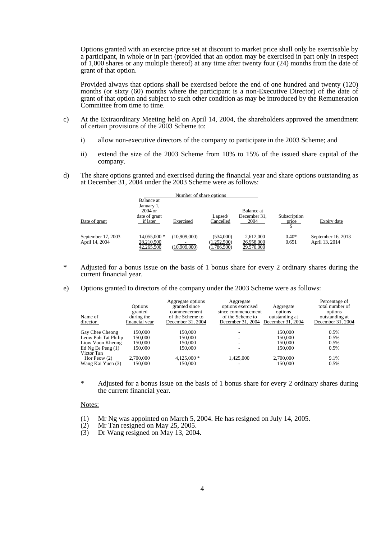Options granted with an exercise price set at discount to market price shall only be exercisable by a participant, in whole or in part (provided that an option may be exercised in part only in respect of 1,000 shares or any multiple thereof) at any time after twenty four (24) months from the date of grant of that option.

 Provided always that options shall be exercised before the end of one hundred and twenty (120) months (or sixty (60) months where the participant is a non-Executive Director) of the date of grant of that option and subject to such other condition as may be introduced by the Remuneration Committee from time to time.

- c) At the Extraordinary Meeting held on April 14, 2004, the shareholders approved the amendment of certain provisions of the 2003 Scheme to:
	- i) allow non-executive directors of the company to participate in the 2003 Scheme; and
	- ii) extend the size of the 2003 Scheme from 10% to 15% of the issued share capital of the company.
- d) The share options granted and exercised during the financial year and share options outstanding as at December 31, 2004 under the 2003 Scheme were as follows:

| Number of share options              |                                                                    |                              |                                         |                                       |                       |                                      |
|--------------------------------------|--------------------------------------------------------------------|------------------------------|-----------------------------------------|---------------------------------------|-----------------------|--------------------------------------|
| Date of grant                        | Balance at<br>January 1,<br>$2004$ or<br>date of grant<br>if later | Exercised                    | Lapsed/<br>Cancelled                    | Balance at<br>December 31,<br>2004    | Subscription<br>price | Expiry date                          |
| September 17, 2003<br>April 14, 2004 | 14,055,000 *<br>28,210,500<br>42,265,500                           | (10,909,000)<br>(10,909,000) | (534,000)<br>(1,252,500)<br>(1,786,500) | 2,612,000<br>26,958,000<br>29,570,000 | $0.40*$<br>0.651      | September 16, 2013<br>April 13, 2014 |

- \* Adjusted for a bonus issue on the basis of 1 bonus share for every 2 ordinary shares during the current financial year.
- e) Options granted to directors of the company under the 2003 Scheme were as follows:

| Name of<br>director               | Options<br>granted<br>during the<br>financial year | Aggregate options<br>granted since<br>commencement<br>of the Scheme to<br>December 31, 2004 | Aggregate<br>options exercised<br>since commencement<br>of the Scheme to<br>December 31, 2004 | Aggregate<br>options<br>outstanding at<br>December 31, 2004 | Percentage of<br>total number of<br>options<br>outstanding at<br>December 31, 2004 |
|-----------------------------------|----------------------------------------------------|---------------------------------------------------------------------------------------------|-----------------------------------------------------------------------------------------------|-------------------------------------------------------------|------------------------------------------------------------------------------------|
| Gay Chee Cheong                   | 150,000                                            | 150,000                                                                                     |                                                                                               | 150,000                                                     | 0.5%                                                                               |
| Leow Poh Tat Philip               | 150,000                                            | 150,000                                                                                     |                                                                                               | 150,000                                                     | 0.5%                                                                               |
| Liow Voon Kheong                  | 150,000                                            | 150.000                                                                                     |                                                                                               | 150,000                                                     | 0.5%                                                                               |
| Ed Ng Ee Peng $(1)$<br>Victor Tan | 150,000                                            | 150,000                                                                                     |                                                                                               | 150,000                                                     | 0.5%                                                                               |
| Hor Peow $(2)$                    | 2.700,000                                          | $4.125,000*$                                                                                | 1.425,000                                                                                     | 2,700,000                                                   | 9.1%                                                                               |
| Wang Kai Yuen (3)                 | 150,000                                            | 150,000                                                                                     |                                                                                               | 150,000                                                     | 0.5%                                                                               |

 \* Adjusted for a bonus issue on the basis of 1 bonus share for every 2 ordinary shares during the current financial year.

#### Notes:

- (1) Mr Ng was appointed on March 5, 2004. He has resigned on July 14, 2005.
- (2) Mr Tan resigned on May 25, 2005.
- (3) Dr Wang resigned on May 13, 2004.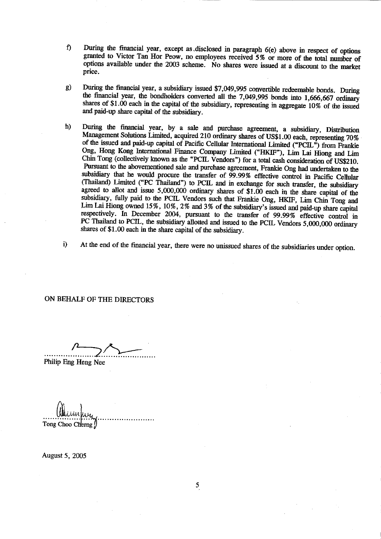- During the financial year, except as disclosed in paragraph 6(e) above in respect of options f) granted to Victor Tan Hor Peow, no employees received 5% or more of the total number of options available under the 2003 scheme. No shares were issued at a discount to the market price.
- During the financial year, a subsidiary issued \$7,049,995 convertible redeemable bonds. During  $g)$ the financial year, the bondholders converted all the 7,049,995 bonds into 1,666,667 ordinary shares of \$1.00 each in the capital of the subsidiary, representing in aggregate 10% of the issued and paid-up share capital of the subsidiary.
- During the financial year, by a sale and purchase agreement, a subsidiary, Distribution h) Management Solutions Limited, acquired 210 ordinary shares of US\$1.00 each, representing 70% of the issued and paid-up capital of Pacific Cellular International Limited ("PCIL") from Frankie Ong, Hong Kong International Finance Company Limited ("HKIF"), Lim Lai Hiong and Lim Chin Tong (collectively known as the "PCIL Vendors") for a total cash consideration of US\$210. Pursuant to the abovementioned sale and purchase agreement, Frankie Ong had undertaken to the subsidiary that he would procure the transfer of 99.99% effective control in Pacific Cellular (Thailand) Limited ("PC Thailand") to PCIL and in exchange for such transfer, the subsidiary agreed to allot and issue  $5,000,000$  ordinary shares of  $$1.00$  each in the share capital of the subsidiary, fully paid to the PCIL Vendors such that Frankie Ong, HKIF, Lim Chin Tong and Lim Lai Hiong owned 15%, 10%, 2% and 3% of the subsidiary's issued and paid-up share capital respectively. In December 2004, pursuant to the transfer of 99.99% effective control in PC Thailand to PCIL, the subsidiary allotted and issued to the PCIL Vendors 5,000,000 ordinary shares of \$1.00 each in the share capital of the subsidiary.
- At the end of the financial year, there were no unissued shares of the subsidiaries under option. i)

#### ON BEHALF OF THE DIRECTORS

Philip Eng Heng Nee

Tong Choo Cherng

August 5, 2005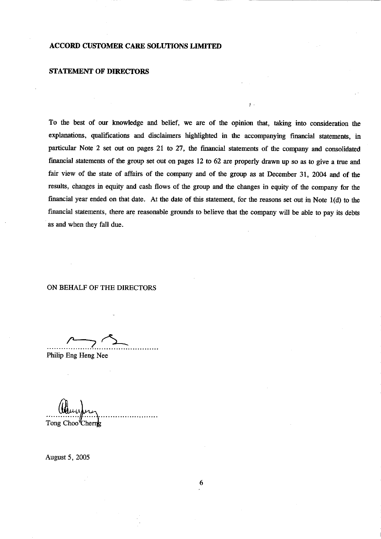#### **ACCORD CUSTOMER CARE SOLUTIONS LIMITED**

#### **STATEMENT OF DIRECTORS**

To the best of our knowledge and belief, we are of the opinion that, taking into consideration the explanations, qualifications and disclaimers highlighted in the accompanying financial statements, in particular Note 2 set out on pages 21 to 27, the financial statements of the company and consolidated financial statements of the group set out on pages 12 to 62 are properly drawn up so as to give a true and fair view of the state of affairs of the company and of the group as at December 31, 2004 and of the results, changes in equity and cash flows of the group and the changes in equity of the company for the financial year ended on that date. At the date of this statement, for the reasons set out in Note 1(d) to the financial statements, there are reasonable grounds to believe that the company will be able to pay its debts as and when they fall due.

#### ON BEHALF OF THE DIRECTORS

Philip Eng Heng Nee

Tong Choo<sup>'</sup>Cherng

August 5, 2005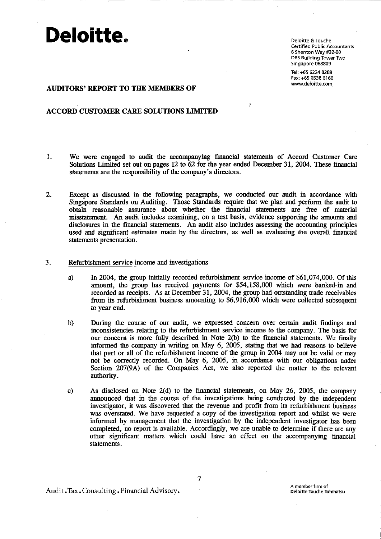Deloitte & Touche **Certified Public Accountants** 6 Shenton Way #32-00 DBS Building Tower Two Singapore 068809

Tel: +65 6224 8288 Fax: +65 6538 6166 www.deloitte.com

#### **AUDITORS' REPORT TO THE MEMBERS OF**

#### **ACCORD CUSTOMER CARE SOLUTIONS LIMITED**

1. We were engaged to audit the accompanying financial statements of Accord Customer Care Solutions Limited set out on pages 12 to 62 for the year ended December 31, 2004. These financial statements are the responsibility of the company's directors.

 $\ddot{\gamma}$  .

- $2.$ Except as discussed in the following paragraphs, we conducted our audit in accordance with Singapore Standards on Auditing. Those Standards require that we plan and perform the audit to obtain reasonable assurance about whether the financial statements are free of material misstatement. An audit includes examining, on a test basis, evidence supporting the amounts and disclosures in the financial statements. An audit also includes assessing the accounting principles used and significant estimates made by the directors, as well as evaluating the overall financial statements presentation.
- 3. Refurbishment service income and investigations
	- In 2004, the group initially recorded refurbishment service income of \$61,074,000. Of this a) amount, the group has received payments for \$54,158,000 which were banked-in and recorded as receipts. As at December 31, 2004, the group had outstanding trade receivables from its refurbishment business amounting to \$6,916,000 which were collected subsequent to year end.
	- During the course of our audit, we expressed concern over certain audit findings and  $b)$ inconsistencies relating to the refurbishment service income to the company. The basis for our concern is more fully described in Note 2(b) to the financial statements. We finally informed the company in writing on May 6, 2005, stating that we had reasons to believe that part or all of the refurbishment income of the group in 2004 may not be valid or may not be correctly recorded. On May 6, 2005, in accordance with our obligations under Section 207(9A) of the Companies Act, we also reported the matter to the relevant authority.

As disclosed on Note 2(d) to the financial statements, on May 26, 2005, the company  $c)$ announced that in the course of the investigations being conducted by the independent investigator, it was discovered that the revenue and profit from its refurbishment business was overstated. We have requested a copy of the investigation report and whilst we were informed by management that the investigation by the independent investigator has been completed, no report is available. Accordingly, we are unable to determine if there are any other significant matters which could have an effect on the accompanying financial statements.

Audit.Tax.Consulting.Financial Advisory.

7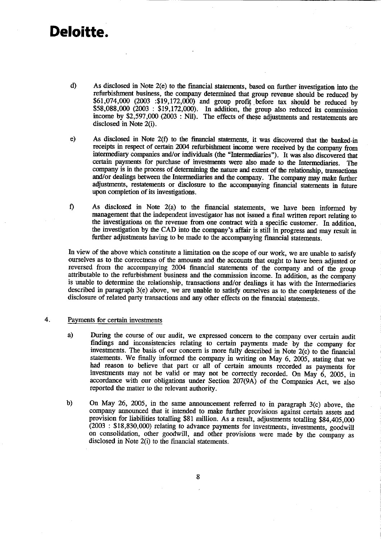- $d)$ As disclosed in Note 2(e) to the financial statements, based on further investigation into the refurbishment business, the company determined that group revenue should be reduced by \$61,074,000 (2003 : \$19,172,000) and group profit before tax should be reduced by \$58,088,000 (2003: \$19,172,000). In addition, the group also reduced its commission income by \$2,597,000 (2003: Nil). The effects of these adjustments and restatements are disclosed in Note 2(i).
- As disclosed in Note 2(f) to the financial statements, it was discovered that the banked-in  $e)$ receipts in respect of certain 2004 refurbishment income were received by the company from intermediary companies and/or individuals (the "Intermediaries"). It was also discovered that certain payments for purchase of investments were also made to the Intermediaries. The company is in the process of determining the nature and extent of the relationship, transactions and/or dealings between the Intermediaries and the company. The company may make further adjustments, restatements or disclosure to the accompanying financial statements in future upon completion of its investigations.
- f) As disclosed in Note 2(a) to the financial statements, we have been informed by management that the independent investigator has not issued a final written report relating to the investigations on the revenue from one contract with a specific customer. In addition, the investigation by the CAD into the company's affair is still in progress and may result in further adjustments having to be made to the accompanying financial statements.

In view of the above which constitute a limitation on the scope of our work, we are unable to satisfy ourselves as to the correctness of the amounts and the accounts that ought to have been adjusted or reversed from the accompanying 2004 financial statements of the company and of the group attributable to the refurbishment business and the commission income. In addition, as the company is unable to determine the relationship, transactions and/or dealings it has with the Intermediaries described in paragraph 3(e) above, we are unable to satisfy ourselves as to the completeness of the disclosure of related party transactions and any other effects on the financial statements.

#### $4.$ Payments for certain investments

- During the course of our audit, we expressed concern to the company over certain audit a) findings and inconsistencies relating to certain payments made by the company for investments. The basis of our concern is more fully described in Note 2(c) to the financial statements. We finally informed the company in writing on May 6, 2005, stating that we had reason to believe that part or all of certain amounts recorded as payments for investments may not be valid or may not be correctly recorded. On May 6, 2005, in accordance with our obligations under Section 207(9A) of the Companies Act, we also reported the matter to the relevant authority.
- $<sub>b</sub>$ </sub> On May 26, 2005, in the same announcement referred to in paragraph  $3(c)$  above, the company announced that it intended to make further provisions against certain assets and provision for liabilities totalling \$81 million. As a result, adjustments totalling \$84,405,000  $(2003 : $18,830,000)$  relating to advance payments for investments, investments, goodwill on consolidation, other goodwill, and other provisions were made by the company as disclosed in Note 2(i) to the financial statements.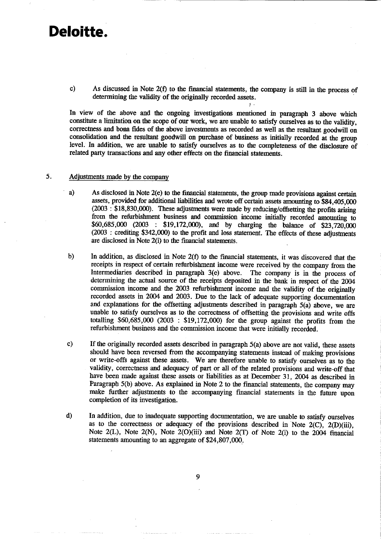c) As discussed in Note 2(f) to the financial statements, the company is still in the process of determining the validity of the originally recorded assets.

\$.

In view of the above and the ongoing investigations mentioned in paragraph 3 above which constitute a limitation on the scope of our work, we are unable to satisfy ourselves as to the validity, correctness and bona fides of the above investments as recorded as well as the resultant goodwill on consolidation and the resultant goodwill on purchase of business as initially recorded at the group level. In addition, we are unable to satisfy ourselves as to the completeness of the disclosure of related party transactions and any other effects on the financial statements.

#### 5. Adjustments made by the company

- a) As disclosed in Note 2(e) to the financial statements, the group made provisions against certain assets, provided for additional liabilities and wrote off certain assets amounting to \$84,405,000  $(2003 \cdot 1\$ \$18,830,000). These adjustments were made by reducing/offsetting the profits arising from the refurbishment business and commission income initially recorded amounting to \$60,685,000 (2003 : \$19,172,000), and by charging the balance of \$23,720,000 (2003: crediting \$342,000) to the profit and loss statement. The effects of these adjustments are disclosed in Note 2(i) to the financial statements.
- $<sub>b</sub>$ </sub> In addition, as disclosed in Note 2(f) to the financial statements, it was discovered that the receipts in respect of certain refurbishment income were received by the company from the Intermediaries described in paragraph 3(e) above. The company is in the process of determining the actual source of the receipts deposited in the bank in respect of the 2004 commission income and the 2003 refurbishment income and the validity of the originally recorded assets in 2004 and 2003. Due to the lack of adequate supporting documentation and explanations for the offsetting adjustments described in paragraph  $5(a)$  above, we are unable to satisfy ourselves as to the correctness of offsetting the provisions and write offs totalling  $$60,685,000$  (2003:  $$19,172,000$ ) for the group against the profits from the refurbishment business and the commission income that were initially recorded.
- If the originally recorded assets described in paragraph  $5(a)$  above are not valid, these assets  $\mathbf{c}$ should have been reversed from the accompanying statements instead of making provisions or write-offs against these assets. We are therefore unable to satisfy ourselves as to the validity, correctness and adequacy of part or all of the related provisions and write-off that have been made against these assets or liabilities as at December 31, 2004 as described in Paragraph 5(b) above. As explained in Note 2 to the financial statements, the company may make further adjustments to the accompanying financial statements in the future upon completion of its investigation.
- d) In addition, due to inadequate supporting documentation, we are unable to satisfy ourselves as to the correctness or adequacy of the provisions described in Note  $2(C)$ ,  $2(D(iii)$ , Note  $2(L)$ , Note  $2(N)$ , Note  $2(O)(iii)$  and Note  $2(T)$  of Note  $2(i)$  to the 2004 financial statements amounting to an aggregate of \$24,807,000.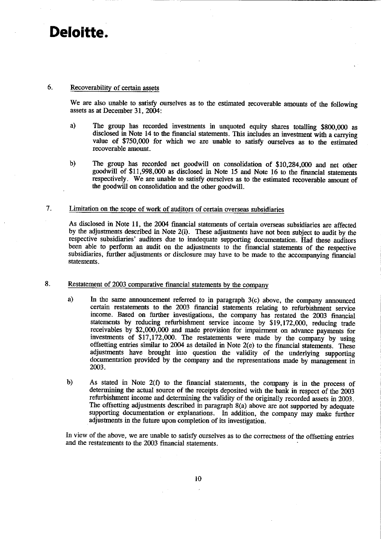#### 6. Recoverability of certain assets

We are also unable to satisfy ourselves as to the estimated recoverable amounts of the following assets as at December 31, 2004:

- a) The group has recorded investments in unquoted equity shares totalling \$800,000 as disclosed in Note 14 to the financial statements. This includes an investment with a carrying value of \$750,000 for which we are unable to satisfy ourselves as to the estimated recoverable amount.
- The group has recorded net goodwill on consolidation of \$10,284,000 and net other b) goodwill of \$11,998,000 as disclosed in Note 15 and Note 16 to the financial statements respectively. We are unable to satisfy ourselves as to the estimated recoverable amount of the goodwill on consolidation and the other goodwill.

#### 7. Limitation on the scope of work of auditors of certain overseas subsidiaries

As disclosed in Note 11, the 2004 financial statements of certain overseas subsidiaries are affected by the adjustments described in Note 2(i). These adjustments have not been subject to audit by the respective subsidiaries' auditors due to inadequate supporting documentation. Had these auditors been able to perform an audit on the adjustments to the financial statements of the respective subsidiaries, further adjustments or disclosure may have to be made to the accompanying financial statements.

#### 8. Restatement of 2003 comparative financial statements by the company

- a) In the same announcement referred to in paragraph 3(c) above, the company announced certain restatements to the 2003 financial statements relating to refurbishment service income. Based on further investigations, the company has restated the 2003 financial statements by reducing refurbishment service income by \$19,172,000, reducing trade receivables by \$2,000,000 and made provision for impairment on advance payments for investments of \$17,172,000. The restatements were made by the company by using offsetting entries similar to 2004 as detailed in Note 2(e) to the financial statements. These adjustments have brought into question the validity of the underlying supporting documentation provided by the company and the representations made by management in 2003.
- $b)$ As stated in Note 2(f) to the financial statements, the company is in the process of determining the actual source of the receipts deposited with the bank in respect of the 2003 refurbishment income and determining the validity of the originally recorded assets in 2003. The offsetting adjustments described in paragraph 8(a) above are not supported by adequate supporting documentation or explanations. In addition, the company may make further adjustments in the future upon completion of its investigation.

In view of the above, we are unable to satisfy ourselves as to the correctness of the offsetting entries and the restatements to the 2003 financial statements.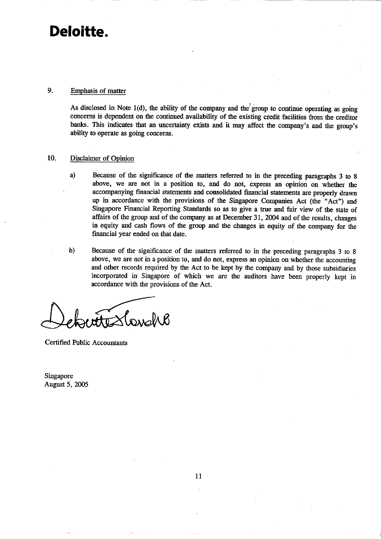#### 9. Emphasis of matter

As disclosed in Note  $1(d)$ , the ability of the company and the group to continue operating as going concerns is dependent on the continued availability of the existing credit facilities from the creditor banks. This indicates that an uncertainty exists and it may affect the company's and the group's ability to operate as going concerns.

#### 10. Disclaimer of Opinion

- a) Because of the significance of the matters referred to in the preceding paragraphs 3 to 8 above, we are not in a position to, and do not, express an opinion on whether the accompanying financial statements and consolidated financial statements are properly drawn up in accordance with the provisions of the Singapore Companies Act (the "Act") and Singapore Financial Reporting Standards so as to give a true and fair view of the state of affairs of the group and of the company as at December 31, 2004 and of the results, changes in equity and cash flows of the group and the changes in equity of the company for the financial year ended on that date.
- $\mathbf{b}$ Because of the significance of the matters referred to in the preceding paragraphs 3 to 8 above, we are not in a position to, and do not, express an opinion on whether the accounting and other records required by the Act to be kept by the company and by those subsidiaries incorporated in Singapore of which we are the auditors have been properly kept in accordance with the provisions of the Act.

**Certified Public Accountants** 

Singapore **August 5, 2005**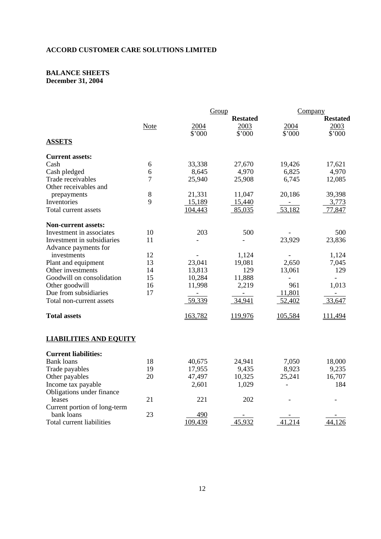### **ACCORD CUSTOMER CARE SOLUTIONS LIMITED**

#### **BALANCE SHEETS December 31, 2004**

|                               |       | Group           |         | Company         |                |
|-------------------------------|-------|-----------------|---------|-----------------|----------------|
|                               |       | <b>Restated</b> |         | <b>Restated</b> |                |
|                               | Note  | 2004            | 2003    | 2004            | 2003           |
|                               |       | \$'000          | \$'000  | \$'000          | \$'000         |
| <b>ASSETS</b>                 |       |                 |         |                 |                |
| <b>Current assets:</b>        |       |                 |         |                 |                |
| Cash                          | 6     | 33,338          | 27,670  | 19,426          | 17,621         |
| Cash pledged                  | 6     | 8,645           | 4,970   | 6,825           | 4,970          |
| Trade receivables             | 7     | 25,940          | 25,908  | 6,745           | 12,085         |
| Other receivables and         |       |                 |         |                 |                |
| prepayments                   | $8\,$ | 21,331          | 11,047  | 20,186          | 39,398         |
| Inventories                   | 9     | 15,189          | 15,440  |                 | 3,773          |
| Total current assets          |       | 104,443         | 85,035  | 53,182          | 77,847         |
| <b>Non-current assets:</b>    |       |                 |         |                 |                |
| Investment in associates      | 10    | 203             | 500     |                 | 500            |
| Investment in subsidiaries    | 11    |                 |         | 23,929          | 23,836         |
| Advance payments for          |       |                 |         |                 |                |
| investments                   | 12    |                 | 1,124   |                 | 1,124          |
| Plant and equipment           | 13    | 23,041          | 19,081  | 2,650           | 7,045          |
| Other investments             | 14    | 13,813          | 129     | 13,061          | 129            |
| Goodwill on consolidation     | 15    | 10,284          | 11,888  |                 | $\overline{a}$ |
| Other goodwill                | 16    | 11,998          | 2,219   | 961             | 1,013          |
| Due from subsidiaries         | 17    |                 |         | 11,801          |                |
| Total non-current assets      |       | 59,339          | 34,941  | 52,402          | 33,647         |
| <b>Total assets</b>           |       | 163,782         | 119,976 | 105,584         | 111,494        |
| <b>LIABILITIES AND EQUITY</b> |       |                 |         |                 |                |
| <b>Current liabilities:</b>   |       |                 |         |                 |                |
| <b>Bank loans</b>             | 18    | 40,675          | 24,941  | 7,050           | 18,000         |
| Trade payables                | 19    | 17,955          | 9,435   | 8,923           | 9,235          |
| Other payables                | 20    | 47,497          | 10,325  | 25,241          | 16,707         |
| Income tax payable            |       | 2,601           | 1,029   |                 | 184            |
| Obligations under finance     |       |                 |         |                 |                |
| leases                        | 21    | 221             | 202     |                 |                |
| Current portion of long-term  |       |                 |         |                 |                |
| bank loans                    | 23    | 490             |         |                 |                |
| Total current liabilities     |       | 109,439         | 45,932  | 41,214          | 44,126         |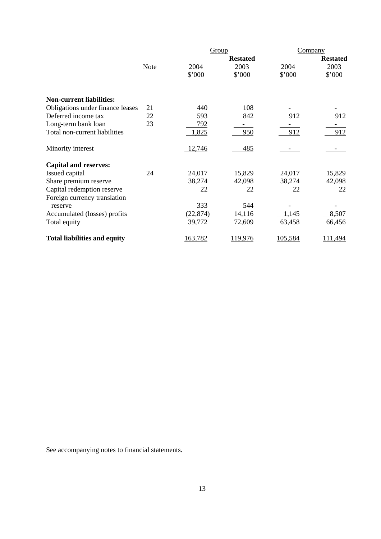|                                     |             | Group     |                 | Company |                 |
|-------------------------------------|-------------|-----------|-----------------|---------|-----------------|
|                                     |             |           | <b>Restated</b> |         | <b>Restated</b> |
|                                     | <b>Note</b> | 2004      | 2003            | 2004    | 2003            |
|                                     |             | \$'000    | \$'000          | \$'000  | \$'000          |
| <b>Non-current liabilities:</b>     |             |           |                 |         |                 |
| Obligations under finance leases    | 21          | 440       | 108             |         |                 |
| Deferred income tax                 | 22          | 593       | 842             | 912     | 912             |
| Long-term bank loan                 | 23          | 792       |                 |         |                 |
| Total non-current liabilities       |             | 1,825     | 950             | 912     | 912             |
| Minority interest                   |             | 12,746    | 485             |         |                 |
| <b>Capital and reserves:</b>        |             |           |                 |         |                 |
| Issued capital                      | 24          | 24,017    | 15,829          | 24,017  | 15,829          |
| Share premium reserve               |             | 38,274    | 42,098          | 38,274  | 42,098          |
| Capital redemption reserve          |             | 22        | 22              | 22      | 22              |
| Foreign currency translation        |             |           |                 |         |                 |
| reserve                             |             | 333       | 544             |         |                 |
| Accumulated (losses) profits        |             | (22, 874) | 14,116          | 1,145   | 8,507           |
| Total equity                        |             | 39,772    | 72,609          | 63,458  | 66,456          |
| <b>Total liabilities and equity</b> |             | 163,782   | 119,976         | 105,584 | 111,494         |

See accompanying notes to financial statements.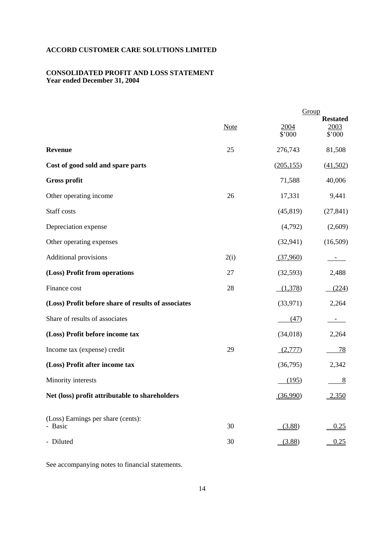# **ACCORD CUSTOMER CARE SOLUTIONS LIMITED**

# **CONSOLIDATED PROFIT AND LOSS STATEMENT Year ended December 31, 2004**

|                                                     |             |                | Group                                    |  |
|-----------------------------------------------------|-------------|----------------|------------------------------------------|--|
|                                                     | <b>Note</b> | 2004<br>\$'000 | <b>Restated</b><br><u>2003</u><br>\$'000 |  |
| <b>Revenue</b>                                      | 25          | 276,743        | 81,508                                   |  |
| Cost of good sold and spare parts                   |             | (205, 155)     | (41,502)                                 |  |
| <b>Gross profit</b>                                 |             | 71,588         | 40,006                                   |  |
| Other operating income                              | 26          | 17,331         | 9,441                                    |  |
| Staff costs                                         |             | (45, 819)      | (27, 841)                                |  |
| Depreciation expense                                |             | (4,792)        | (2,609)                                  |  |
| Other operating expenses                            |             | (32, 941)      | (16,509)                                 |  |
| <b>Additional provisions</b>                        | 2(i)        | (37,960)       |                                          |  |
| (Loss) Profit from operations                       | 27          | (32, 593)      | 2,488                                    |  |
| Finance cost                                        | 28          | (1,378)        | (224)                                    |  |
| (Loss) Profit before share of results of associates |             | (33, 971)      | 2,264                                    |  |
| Share of results of associates                      |             | (47)           |                                          |  |
| (Loss) Profit before income tax                     |             | (34,018)       | 2,264                                    |  |
| Income tax (expense) credit                         | 29          | (2,777)        | 78                                       |  |
| (Loss) Profit after income tax                      |             | (36,795)       | 2,342                                    |  |
| Minority interests                                  |             | (195)          | 8                                        |  |
| Net (loss) profit attributable to shareholders      |             | (36,990)       | 2,350                                    |  |
| (Loss) Earnings per share (cents):<br>- Basic       | 30          | (3.88)         | 0.25                                     |  |
| - Diluted                                           | 30          | (3.88)         | 0.25                                     |  |
|                                                     |             |                |                                          |  |

See accompanying notes to financial statements.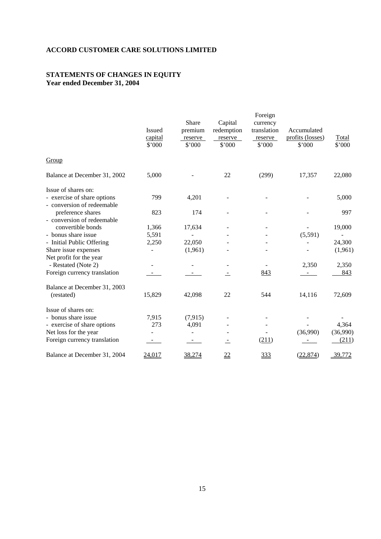# **ACCORD CUSTOMER CARE SOLUTIONS LIMITED**

## **STATEMENTS OF CHANGES IN EQUITY Year ended December 31, 2004**

|                              |               |         |                  | Foreign     |                  |          |
|------------------------------|---------------|---------|------------------|-------------|------------------|----------|
|                              |               | Share   | Capital          | currency    |                  |          |
|                              | <b>Issued</b> | premium | redemption       | translation | Accumulated      |          |
|                              | capital       | reserve | reserve          | reserve     | profits (losses) | Total    |
|                              | \$'000        | \$'000  | \$'000           | \$'000      | \$'000           | \$'000   |
| Group                        |               |         |                  |             |                  |          |
| Balance at December 31, 2002 | 5,000         |         | 22               | (299)       | 17,357           | 22,080   |
| Issue of shares on:          |               |         |                  |             |                  |          |
| - exercise of share options  | 799           | 4,201   |                  |             |                  | 5,000    |
| - conversion of redeemable   |               |         |                  |             |                  |          |
| preference shares            | 823           | 174     |                  |             |                  | 997      |
| - conversion of redeemable   |               |         |                  |             |                  |          |
| convertible bonds            | 1,366         | 17,634  |                  |             |                  | 19,000   |
| - bonus share issue          | 5,591         |         |                  |             | (5,591)          |          |
| - Initial Public Offering    | 2,250         | 22,050  |                  |             |                  | 24,300   |
| Share issue expenses         |               | (1,961) |                  |             |                  | (1,961)  |
| Net profit for the year      |               |         |                  |             |                  |          |
| - Restated (Note 2)          |               |         |                  |             | 2,350            | 2,350    |
| Foreign currency translation |               |         | ÷,               | 843         |                  | 843      |
| Balance at December 31, 2003 |               |         |                  |             |                  |          |
| (restated)                   | 15,829        | 42,098  | 22               | 544         | 14,116           | 72,609   |
| Issue of shares on:          |               |         |                  |             |                  |          |
| - bonus share issue          | 7,915         | (7,915) |                  |             |                  |          |
| - exercise of share options  | 273           | 4,091   |                  |             |                  | 4,364    |
| Net loss for the year        |               |         |                  |             | (36,990)         | (36,990) |
| Foreign currency translation |               |         |                  | (211)       |                  | (211)    |
| Balance at December 31, 2004 | 24,017        | 38,274  | $\underline{22}$ | 333         | (22, 874)        | 39,772   |
|                              |               |         |                  |             |                  |          |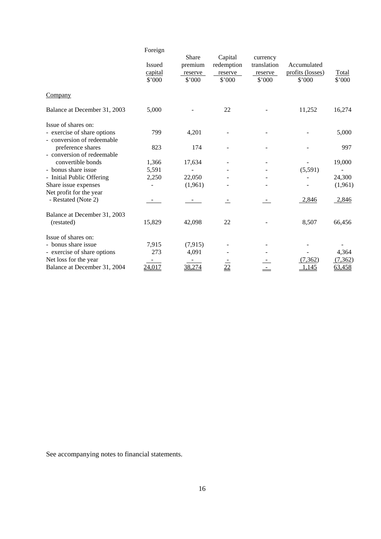|                                                           | Foreign                            |                                       |                                            |                                              |                                           |                 |
|-----------------------------------------------------------|------------------------------------|---------------------------------------|--------------------------------------------|----------------------------------------------|-------------------------------------------|-----------------|
|                                                           | <b>Issued</b><br>capital<br>\$'000 | Share<br>premium<br>reserve<br>\$'000 | Capital<br>redemption<br>reserve<br>\$'000 | currency<br>translation<br>reserve<br>\$'000 | Accumulated<br>profits (losses)<br>\$'000 | Total<br>\$'000 |
| Company                                                   |                                    |                                       |                                            |                                              |                                           |                 |
| Balance at December 31, 2003                              | 5,000                              |                                       | 22                                         |                                              | 11,252                                    | 16,274          |
| Issue of shares on:                                       |                                    |                                       |                                            |                                              |                                           |                 |
| - exercise of share options<br>- conversion of redeemable | 799                                | 4,201                                 |                                            |                                              |                                           | 5,000           |
| preference shares<br>- conversion of redeemable           | 823                                | 174                                   |                                            |                                              |                                           | 997             |
| convertible bonds                                         | 1,366                              | 17,634                                |                                            | $\overline{\phantom{a}}$                     |                                           | 19,000          |
| - bonus share issue                                       | 5,591                              |                                       |                                            |                                              | (5,591)                                   |                 |
| - Initial Public Offering                                 | 2,250                              | 22,050                                |                                            |                                              |                                           | 24,300          |
| Share issue expenses<br>Net profit for the year           |                                    | (1,961)                               |                                            |                                              |                                           | (1,961)         |
| - Restated (Note 2)                                       |                                    |                                       |                                            |                                              | 2,846                                     | 2,846           |
| Balance at December 31, 2003                              |                                    |                                       |                                            |                                              |                                           |                 |
| (restated)                                                | 15,829                             | 42,098                                | 22                                         |                                              | 8,507                                     | 66,456          |
| Issue of shares on:                                       |                                    |                                       |                                            |                                              |                                           |                 |
| - bonus share issue                                       | 7,915                              | (7, 915)                              |                                            |                                              |                                           |                 |
| - exercise of share options                               | 273                                | 4,091                                 |                                            |                                              |                                           | 4,364           |
| Net loss for the year                                     |                                    |                                       |                                            |                                              | (7, 362)                                  | (7,362)         |
| Balance at December 31, 2004                              | 24,017                             | 38,274                                | $\frac{22}{2}$                             |                                              | 1,145                                     | 63,458          |

See accompanying notes to financial statements.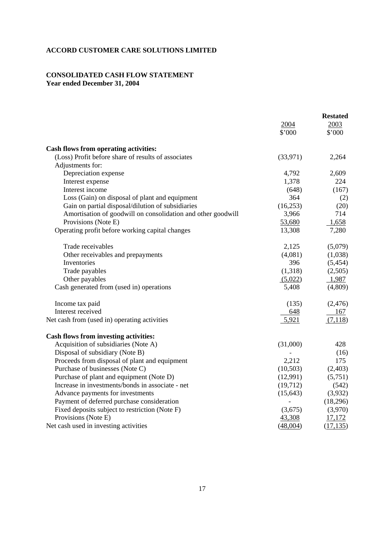## **ACCORD CUSTOMER CARE SOLUTIONS LIMITED**

# **CONSOLIDATED CASH FLOW STATEMENT Year ended December 31, 2004**

|                                                              |           | <b>Restated</b> |
|--------------------------------------------------------------|-----------|-----------------|
|                                                              | 2004      | 2003            |
|                                                              | \$'000    | \$'000          |
| <b>Cash flows from operating activities:</b>                 |           |                 |
| (Loss) Profit before share of results of associates          | (33,971)  | 2,264           |
| Adjustments for:                                             |           |                 |
| Depreciation expense                                         | 4,792     | 2,609           |
| Interest expense                                             | 1,378     | 224             |
| Interest income                                              | (648)     | (167)           |
| Loss (Gain) on disposal of plant and equipment               | 364       | (2)             |
| Gain on partial disposal/dilution of subsidiaries            | (16, 253) | (20)            |
| Amortisation of goodwill on consolidation and other goodwill | 3,966     | 714             |
| Provisions (Note E)                                          | 53,680    | 1,658           |
| Operating profit before working capital changes              | 13,308    | 7,280           |
| Trade receivables                                            | 2,125     | (5,079)         |
| Other receivables and prepayments                            | (4,081)   | (1,038)         |
| Inventories                                                  | 396       | (5,454)         |
| Trade payables                                               | (1,318)   | (2,505)         |
| Other payables                                               | (5,022)   | 1,987           |
| Cash generated from (used in) operations                     | 5,408     | (4,809)         |
| Income tax paid                                              | (135)     | (2, 476)        |
| Interest received                                            | 648       | 167             |
| Net cash from (used in) operating activities                 | 5,921     | (7,118)         |
| <b>Cash flows from investing activities:</b>                 |           |                 |
| Acquisition of subsidiaries (Note A)                         | (31,000)  | 428             |
| Disposal of subsidiary (Note B)                              |           | (16)            |
| Proceeds from disposal of plant and equipment                | 2,212     | 175             |
| Purchase of businesses (Note C)                              | (10,503)  | (2,403)         |
| Purchase of plant and equipment (Note D)                     | (12,991)  | (5,751)         |
| Increase in investments/bonds in associate - net             | (19,712)  | (542)           |
| Advance payments for investments                             | (15, 643) | (3,932)         |
| Payment of deferred purchase consideration                   |           | (18,296)        |
| Fixed deposits subject to restriction (Note F)               | (3,675)   | (3,970)         |
| Provisions (Note E)                                          | 43,308    | 17,172          |
| Net cash used in investing activities                        | (48,004)  | (17, 135)       |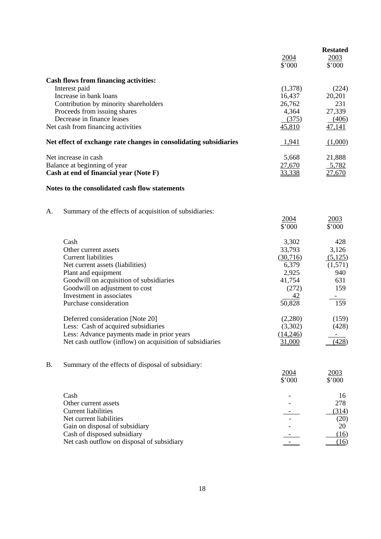|           |                                                                       |                 | <b>Restated</b> |
|-----------|-----------------------------------------------------------------------|-----------------|-----------------|
|           |                                                                       | 2004            | 2003            |
|           |                                                                       | \$'000          | \$'000          |
|           | <b>Cash flows from financing activities:</b>                          |                 |                 |
|           | Interest paid                                                         | (1,378)         | (224)           |
|           | Increase in bank loans                                                | 16,437          | 20,201          |
|           | Contribution by minority shareholders<br>Proceeds from issuing shares | 26,762<br>4,364 | 231<br>27,339   |
|           | Decrease in finance leases                                            | (375)           | (406)           |
|           | Net cash from financing activities                                    | 45,810          | 47,141          |
|           | Net effect of exchange rate changes in consolidating subsidiaries     | 1,941           | (1,000)         |
|           | Net increase in cash                                                  | 5,668           | 21,888          |
|           | Balance at beginning of year                                          | 27,670          | 5,782           |
|           | Cash at end of financial year (Note F)                                | 33,338          | 27,670          |
|           | Notes to the consolidated cash flow statements                        |                 |                 |
| Α.        | Summary of the effects of acquisition of subsidiaries:                |                 |                 |
|           |                                                                       | 2004            | 2003            |
|           |                                                                       | \$'000          | \$'000          |
|           | Cash                                                                  | 3,302           | 428             |
|           | Other current assets                                                  | 33,793          | 3,126           |
|           | <b>Current liabilities</b>                                            | (30,716)        | (5,125)         |
|           | Net current assets (liabilities)                                      | 6,379           | (1,571)         |
|           | Plant and equipment                                                   | 2,925           | 940             |
|           | Goodwill on acquisition of subsidiaries                               | 41,754          | 631<br>159      |
|           | Goodwill on adjustment to cost<br>Investment in associates            | (272)<br>42     |                 |
|           | Purchase consideration                                                | 50,828          | 159             |
|           | Deferred consideration [Note 20]                                      | (2,280)         | (159)           |
|           | Less: Cash of acquired subsidiaries                                   | (3,302)         | (428)           |
|           | Less: Advance payments made in prior years                            | (14,246)        |                 |
|           | Net cash outflow (inflow) on acquisition of subsidiaries              | 31,000          | (428)           |
| <b>B.</b> | Summary of the effects of disposal of subsidiary:                     |                 |                 |
|           |                                                                       | 2004            | 2003            |
|           |                                                                       | \$'000          | \$'000          |
|           | Cash                                                                  |                 | 16              |
|           | Other current assets                                                  |                 | 278             |
|           | <b>Current liabilities</b>                                            |                 | (314)           |
|           | Net current liabilities                                               |                 | (20)            |
|           | Gain on disposal of subsidiary<br>Cash of disposed subsidiary         |                 | 20              |
|           | Net cash outflow on disposal of subsidiary                            |                 | (16)<br>(16)    |
|           |                                                                       |                 |                 |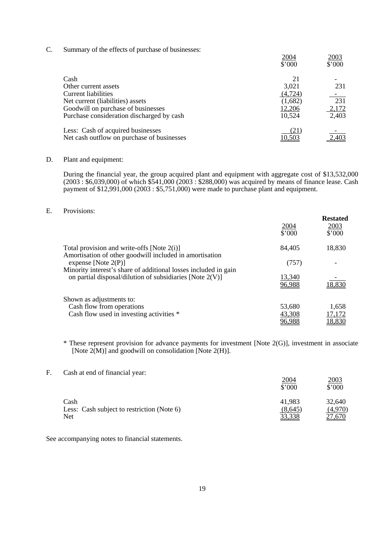C. Summary of the effects of purchase of businesses:

| J. | Duriniary or the criteria or parenase or businesses. | 2004<br>\$'000 | 2003<br>\$'000           |
|----|------------------------------------------------------|----------------|--------------------------|
|    | Cash                                                 | 21             |                          |
|    | Other current assets                                 | 3,021          | 231                      |
|    | Current liabilities                                  | (4,724)        | $\overline{\phantom{a}}$ |
|    | Net current (liabilities) assets                     | (1,682)        | 231                      |
|    | Goodwill on purchase of businesses                   | 12,206         | 2,172                    |
|    | Purchase consideration discharged by cash            | 10,524         | 2,403                    |
|    | Less: Cash of acquired businesses                    | (21)           |                          |
|    | Net cash outflow on purchase of businesses           |                |                          |

## D. Plant and equipment:

 During the financial year, the group acquired plant and equipment with aggregate cost of \$13,532,000 (2003 : \$6,039,000) of which \$541,000 (2003 : \$288,000) was acquired by means of finance lease. Cash payment of \$12,991,000 (2003 : \$5,751,000) were made to purchase plant and equipment.

**Restated** 

2004 2003

### E. Provisions:

|                                                                                                                                | <u>2004</u><br>\$'000 | Restated<br>2003<br>\$'000 |
|--------------------------------------------------------------------------------------------------------------------------------|-----------------------|----------------------------|
| Total provision and write-offs [Note $2(i)$ ]<br>Amortisation of other goodwill included in amortisation                       | 84,405                | 18,830                     |
| expense [Note $2(P)$ ]                                                                                                         | (757)                 |                            |
| Minority interest's share of additional losses included in gain<br>on partial disposal/dilution of subsidiaries [Note $2(V)$ ] | 13,340<br>96,988      | 18,830                     |
| Shown as adjustments to:                                                                                                       |                       |                            |
| Cash flow from operations                                                                                                      | 53,680                | 1,658                      |
| Cash flow used in investing activities *                                                                                       | 43,308                | 17,172                     |
|                                                                                                                                | <u>96,988</u>         | 18,830                     |

 \* These represent provision for advance payments for investment [Note 2(G)], investment in associate [Note 2(M)] and goodwill on consolidation [Note 2(H)].

## F. Cash at end of financial year:

|                                            | 2004<br>\$'000 | ZUUJ<br>\$'000 |
|--------------------------------------------|----------------|----------------|
| Cash                                       | 41,983         | 32,640         |
| Less: Cash subject to restriction (Note 6) | (8,645)        | (4,970)        |
| Net                                        | 33,338         | 27,670         |

See accompanying notes to financial statements.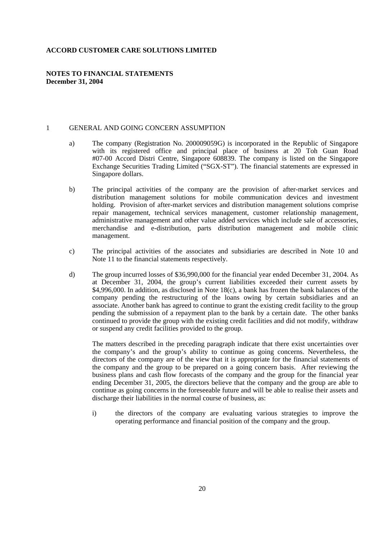#### **ACCORD CUSTOMER CARE SOLUTIONS LIMITED**

## **NOTES TO FINANCIAL STATEMENTS December 31, 2004**

#### 1 GENERAL AND GOING CONCERN ASSUMPTION

- a) The company (Registration No. 200009059G) is incorporated in the Republic of Singapore with its registered office and principal place of business at 20 Toh Guan Road #07-00 Accord Distri Centre, Singapore 608839. The company is listed on the Singapore Exchange Securities Trading Limited ("SGX-ST"). The financial statements are expressed in Singapore dollars.
- b) The principal activities of the company are the provision of after-market services and distribution management solutions for mobile communication devices and investment holding. Provision of after-market services and distribution management solutions comprise repair management, technical services management, customer relationship management, administrative management and other value added services which include sale of accessories, merchandise and e-distribution, parts distribution management and mobile clinic management.
- c) The principal activities of the associates and subsidiaries are described in Note 10 and Note 11 to the financial statements respectively.
- d) The group incurred losses of \$36,990,000 for the financial year ended December 31, 2004. As at December 31, 2004, the group's current liabilities exceeded their current assets by \$4,996,000. In addition, as disclosed in Note 18(c), a bank has frozen the bank balances of the company pending the restructuring of the loans owing by certain subsidiaries and an associate. Another bank has agreed to continue to grant the existing credit facility to the group pending the submission of a repayment plan to the bank by a certain date. The other banks continued to provide the group with the existing credit facilities and did not modify, withdraw or suspend any credit facilities provided to the group.

 The matters described in the preceding paragraph indicate that there exist uncertainties over the company's and the group's ability to continue as going concerns. Nevertheless, the directors of the company are of the view that it is appropriate for the financial statements of the company and the group to be prepared on a going concern basis. After reviewing the business plans and cash flow forecasts of the company and the group for the financial year ending December 31, 2005, the directors believe that the company and the group are able to continue as going concerns in the foreseeable future and will be able to realise their assets and discharge their liabilities in the normal course of business, as:

 i) the directors of the company are evaluating various strategies to improve the operating performance and financial position of the company and the group.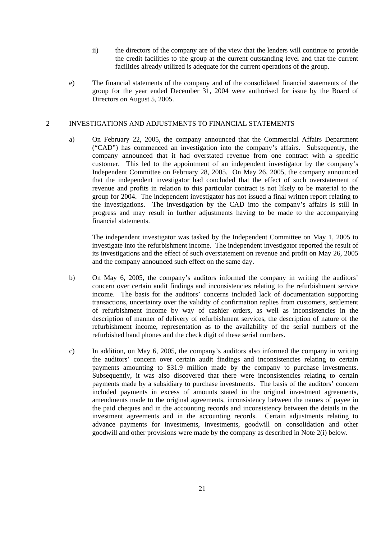- ii) the directors of the company are of the view that the lenders will continue to provide the credit facilities to the group at the current outstanding level and that the current facilities already utilized is adequate for the current operations of the group.
- e) The financial statements of the company and of the consolidated financial statements of the group for the year ended December 31, 2004 were authorised for issue by the Board of Directors on August 5, 2005.

## 2 INVESTIGATIONS AND ADJUSTMENTS TO FINANCIAL STATEMENTS

 a) On February 22, 2005, the company announced that the Commercial Affairs Department ("CAD") has commenced an investigation into the company's affairs. Subsequently, the company announced that it had overstated revenue from one contract with a specific customer. This led to the appointment of an independent investigator by the company's Independent Committee on February 28, 2005. On May 26, 2005, the company announced that the independent investigator had concluded that the effect of such overstatement of revenue and profits in relation to this particular contract is not likely to be material to the group for 2004. The independent investigator has not issued a final written report relating to the investigations. The investigation by the CAD into the company's affairs is still in progress and may result in further adjustments having to be made to the accompanying financial statements.

 The independent investigator was tasked by the Independent Committee on May 1, 2005 to investigate into the refurbishment income. The independent investigator reported the result of its investigations and the effect of such overstatement on revenue and profit on May 26, 2005 and the company announced such effect on the same day.

- b) On May 6, 2005, the company's auditors informed the company in writing the auditors' concern over certain audit findings and inconsistencies relating to the refurbishment service income. The basis for the auditors' concerns included lack of documentation supporting transactions, uncertainty over the validity of confirmation replies from customers, settlement of refurbishment income by way of cashier orders, as well as inconsistencies in the description of manner of delivery of refurbishment services, the description of nature of the refurbishment income, representation as to the availability of the serial numbers of the refurbished hand phones and the check digit of these serial numbers.
- c) In addition, on May 6, 2005, the company's auditors also informed the company in writing the auditors' concern over certain audit findings and inconsistencies relating to certain payments amounting to \$31.9 million made by the company to purchase investments. Subsequently, it was also discovered that there were inconsistencies relating to certain payments made by a subsidiary to purchase investments. The basis of the auditors' concern included payments in excess of amounts stated in the original investment agreements, amendments made to the original agreements, inconsistency between the names of payee in the paid cheques and in the accounting records and inconsistency between the details in the investment agreements and in the accounting records. Certain adjustments relating to advance payments for investments, investments, goodwill on consolidation and other goodwill and other provisions were made by the company as described in Note 2(i) below.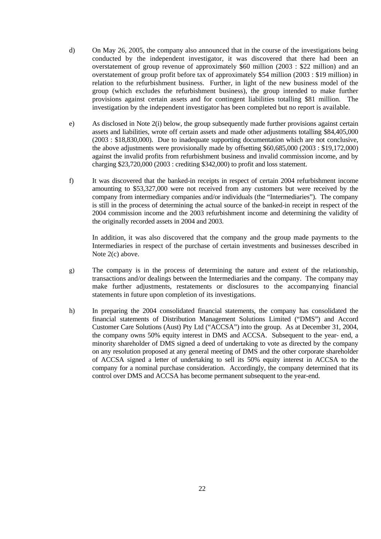- d) On May 26, 2005, the company also announced that in the course of the investigations being conducted by the independent investigator, it was discovered that there had been an overstatement of group revenue of approximately \$60 million (2003 : \$22 million) and an overstatement of group profit before tax of approximately \$54 million (2003 : \$19 million) in relation to the refurbishment business. Further, in light of the new business model of the group (which excludes the refurbishment business), the group intended to make further provisions against certain assets and for contingent liabilities totalling \$81 million. The investigation by the independent investigator has been completed but no report is available.
- e) As disclosed in Note 2(i) below, the group subsequently made further provisions against certain assets and liabilities, wrote off certain assets and made other adjustments totalling \$84,405,000 (2003 : \$18,830,000). Due to inadequate supporting documentation which are not conclusive, the above adjustments were provisionally made by offsetting \$60,685,000 (2003 : \$19,172,000) against the invalid profits from refurbishment business and invalid commission income, and by charging \$23,720,000 (2003 : crediting \$342,000) to profit and loss statement.
- f) It was discovered that the banked-in receipts in respect of certain 2004 refurbishment income amounting to \$53,327,000 were not received from any customers but were received by the company from intermediary companies and/or individuals (the "Intermediaries"). The company is still in the process of determining the actual source of the banked-in receipt in respect of the 2004 commission income and the 2003 refurbishment income and determining the validity of the originally recorded assets in 2004 and 2003.

 In addition, it was also discovered that the company and the group made payments to the Intermediaries in respect of the purchase of certain investments and businesses described in Note 2(c) above.

- g) The company is in the process of determining the nature and extent of the relationship, transactions and/or dealings between the Intermediaries and the company. The company may make further adjustments, restatements or disclosures to the accompanying financial statements in future upon completion of its investigations.
- h) In preparing the 2004 consolidated financial statements, the company has consolidated the financial statements of Distribution Management Solutions Limited ("DMS") and Accord Customer Care Solutions (Aust) Pty Ltd ("ACCSA") into the group. As at December 31, 2004, the company owns 50% equity interest in DMS and ACCSA. Subsequent to the year- end, a minority shareholder of DMS signed a deed of undertaking to vote as directed by the company on any resolution proposed at any general meeting of DMS and the other corporate shareholder of ACCSA signed a letter of undertaking to sell its 50% equity interest in ACCSA to the company for a nominal purchase consideration. Accordingly, the company determined that its control over DMS and ACCSA has become permanent subsequent to the year-end.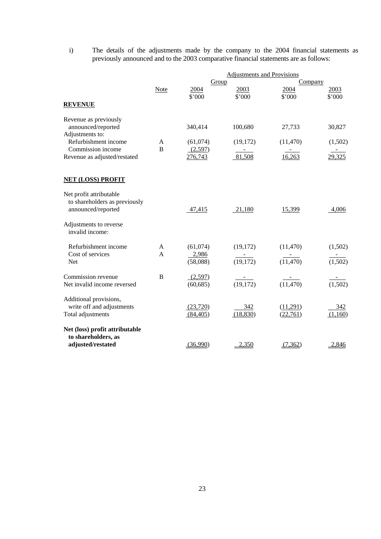i) The details of the adjustments made by the company to the 2004 financial statements as previously announced and to the 2003 comparative financial statements are as follows:

|                                           |                |               | <b>Adjustments and Provisions</b> |                        |                      |
|-------------------------------------------|----------------|---------------|-----------------------------------|------------------------|----------------------|
|                                           | Note           | Group<br>2004 | 2003                              | <b>Company</b><br>2004 | 2003                 |
|                                           |                | \$'000        | \$'000                            | \$'000                 | \$'000               |
| <b>REVENUE</b>                            |                |               |                                   |                        |                      |
| Revenue as previously                     |                |               |                                   |                        |                      |
| announced/reported                        |                | 340,414       | 100,680                           | 27,733                 | 30,827               |
| Adjustments to:<br>Refurbishment income   | A              | (61,074)      | (19,172)                          | (11, 470)              | (1,502)              |
| Commission income                         | $\overline{B}$ | (2,597)       |                                   |                        |                      |
| Revenue as adjusted/restated              |                | 276,743       | 81,508                            | 16,263                 | 29,325               |
| <b>NET (LOSS) PROFIT</b>                  |                |               |                                   |                        |                      |
| Net profit attributable                   |                |               |                                   |                        |                      |
| to shareholders as previously             |                |               |                                   |                        |                      |
| announced/reported                        |                | 47,415        | 21,180                            | 15,399                 | 4,006                |
| Adjustments to reverse<br>invalid income: |                |               |                                   |                        |                      |
| Refurbishment income                      | A              | (61,074)      | (19, 172)                         | (11, 470)              | (1,502)              |
| Cost of services                          | A              | 2,986         | $\sim$ $ \sim$                    | $\sim 10^{-10}$        |                      |
| Net                                       |                | (58,088)      | (19, 172)                         | (11, 470)              | $\overline{(1,502)}$ |
| Commission revenue                        | B              | (2,597)       |                                   |                        |                      |
| Net invalid income reversed               |                | (60, 685)     | (19, 172)                         | (11, 470)              | (1,502)              |
| Additional provisions,                    |                |               |                                   |                        |                      |
| write off and adjustments                 |                | (23,720)      | 342                               | (11,291)               | 342                  |
| Total adjustments                         |                | (84, 405)     | (18, 830)                         | (22, 761)              | (1,160)              |
| Net (loss) profit attributable            |                |               |                                   |                        |                      |
| to shareholders, as<br>adjusted/restated  |                | (36,990)      | 2,350                             | (7, 362)               | 2,846                |
|                                           |                |               |                                   |                        |                      |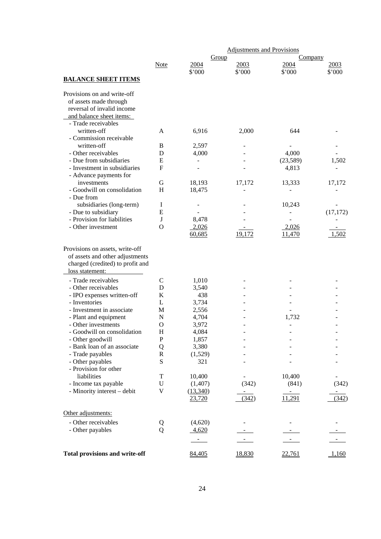|                                           |                  |                    | <b>Adjustments and Provisions</b> |                                    |           |
|-------------------------------------------|------------------|--------------------|-----------------------------------|------------------------------------|-----------|
|                                           |                  | Group              |                                   | Company                            |           |
|                                           | <b>Note</b>      | 2004               | 2003                              | 2004                               | 2003      |
| <b>BALANCE SHEET ITEMS</b>                |                  | \$'000             | \$'000                            | \$'000                             | \$'000    |
| Provisions on and write-off               |                  |                    |                                   |                                    |           |
| of assets made through                    |                  |                    |                                   |                                    |           |
| reversal of invalid income                |                  |                    |                                   |                                    |           |
| and balance sheet items:                  |                  |                    |                                   |                                    |           |
| - Trade receivables                       |                  |                    |                                   |                                    |           |
| written-off                               | A                | 6,916              | 2,000                             | 644                                |           |
| - Commission receivable                   |                  |                    |                                   |                                    |           |
| written-off                               | B                | 2,597              |                                   |                                    |           |
| - Other receivables                       | D                | 4,000              |                                   | 4,000                              |           |
| - Due from subsidiaries                   | E                |                    |                                   | (23,589)                           | 1,502     |
| - Investment in subsidiaries              | $\mathbf{F}$     |                    |                                   | 4,813                              |           |
| - Advance payments for                    |                  |                    |                                   |                                    |           |
| investments                               | G                | 18,193             | 17,172                            | 13,333                             | 17,172    |
| - Goodwill on consolidation               | H                | 18,475             |                                   |                                    |           |
| - Due from                                |                  |                    |                                   |                                    |           |
| subsidiaries (long-term)                  | Ι                |                    |                                   | 10,243                             |           |
| - Due to subsidiary                       | E                |                    |                                   |                                    | (17, 172) |
| - Provision for liabilities               | J                | 8,478              |                                   |                                    |           |
| - Other investment                        | $\Omega$         | 2,026              |                                   | 2,026                              |           |
|                                           |                  | 60,685             | 19,172                            | 11,470                             | 1,502     |
| loss statement:                           |                  |                    |                                   |                                    |           |
| - Trade receivables                       | $\mathcal{C}$    | 1,010              |                                   |                                    |           |
| - Other receivables                       | D                | 3,540              |                                   |                                    |           |
| - IPO expenses written-off                | K                | 438                |                                   |                                    |           |
| - Inventories                             | L                | 3,734              |                                   |                                    |           |
| - Investment in associate                 | M                | 2,556              |                                   |                                    |           |
| - Plant and equipment                     | N                | 4,704              |                                   | 1,732                              |           |
| - Other investments                       | $\mathbf{O}$     | 3,972              |                                   |                                    |           |
| - Goodwill on consolidation               | H                | 4,084              |                                   |                                    |           |
| - Other goodwill                          | $\mathbf P$      | 1,857              |                                   |                                    |           |
| - Bank loan of an associate               | Q                | 3,380              |                                   |                                    |           |
| - Trade payables                          | $\mathbf R$<br>S | (1,529)            |                                   |                                    |           |
| - Other payables<br>- Provision for other |                  | 321                |                                   |                                    |           |
| liabilities                               | T                | 10,400             |                                   | 10,400                             |           |
|                                           | $\mathbf U$      | (1, 407)           | (342)                             |                                    | (342)     |
| - Income tax payable                      | $\mathbf V$      |                    |                                   | (841)                              |           |
| - Minority interest - debit               |                  | (13,340)<br>23,720 | (342)                             | $\overline{\phantom{a}}$<br>11,291 | (342)     |
| Other adjustments:                        |                  |                    |                                   |                                    |           |
| - Other receivables                       | Q                | (4,620)            |                                   |                                    |           |
| - Other payables                          | Q                | 4,620              |                                   |                                    |           |
|                                           |                  |                    |                                   |                                    |           |
|                                           |                  |                    |                                   |                                    |           |
| <b>Total provisions and write-off</b>     |                  | 84,405             | 18,830                            | 22,761                             | 1,160     |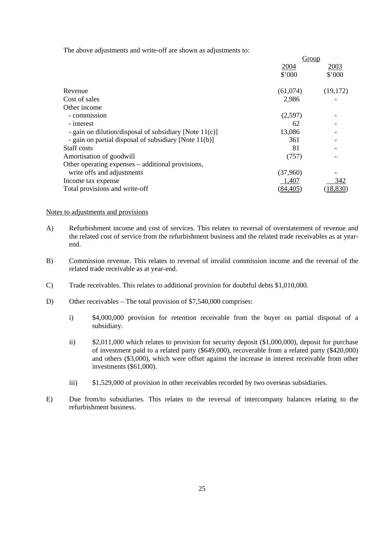The above adjustments and write-off are shown as adjustments to:

|                                                        | Group     |           |
|--------------------------------------------------------|-----------|-----------|
|                                                        | 2004      | 2003      |
|                                                        | \$'000    | \$'000    |
| Revenue                                                | (61,074)  | (19,172)  |
| Cost of sales                                          | 2,986     |           |
| Other income                                           |           |           |
| - commission                                           | (2,597)   |           |
| - interest                                             | 62        |           |
| - gain on dilution/disposal of subsidiary [Note 11(c)] | 13,086    |           |
| - gain on partial disposal of subsidiary [Note 11(b)]  | 361       |           |
| Staff costs                                            | 81        |           |
| Amortisation of goodwill                               | (757)     |           |
| Other operating expenses – additional provisions,      |           |           |
| write offs and adjustments                             | (37,960)  |           |
| Income tax expense                                     | 1,407     | 342       |
| Total provisions and write-off                         | (84, 405) | (18, 830) |

#### Notes to adjustments and provisions

- A) Refurbishment income and cost of services. This relates to reversal of overstatement of revenue and the related cost of service from the refurbishment business and the related trade receivables as at yearend.
- B) Commission revenue. This relates to reversal of invalid commission income and the reversal of the related trade receivable as at year-end.
- C) Trade receivables. This relates to additional provision for doubtful debts \$1,010,000.
- D) Other receivables The total provision of \$7,540,000 comprises:
	- i) \$4,000,000 provision for retention receivable from the buyer on partial disposal of a subsidiary.
	- ii) \$2,011,000 which relates to provision for security deposit (\$1,000,000), deposit for purchase of investment paid to a related party (\$649,000), recoverable from a related party (\$420,000) and others (\$3,000), which were offset against the increase in interest receivable from other investments (\$61,000).
	- iii) \$1,529,000 of provision in other receivables recorded by two overseas subsidiaries.
- E) Due from/to subsidiaries. This relates to the reversal of intercompany balances relating to the refurbishment business.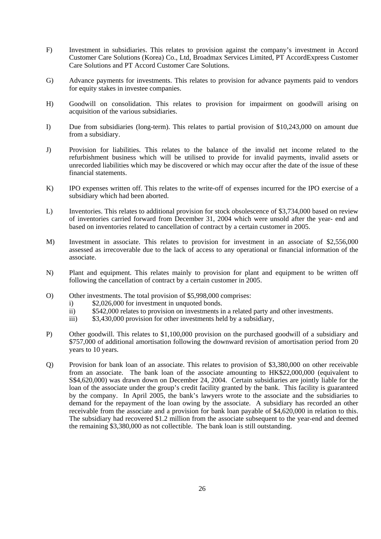- F) Investment in subsidiaries. This relates to provision against the company's investment in Accord Customer Care Solutions (Korea) Co., Ltd, Broadmax Services Limited, PT AccordExpress Customer Care Solutions and PT Accord Customer Care Solutions.
- G) Advance payments for investments. This relates to provision for advance payments paid to vendors for equity stakes in investee companies.
- H) Goodwill on consolidation. This relates to provision for impairment on goodwill arising on acquisition of the various subsidiaries.
- I) Due from subsidiaries (long-term). This relates to partial provision of \$10,243,000 on amount due from a subsidiary.
- J) Provision for liabilities. This relates to the balance of the invalid net income related to the refurbishment business which will be utilised to provide for invalid payments, invalid assets or unrecorded liabilities which may be discovered or which may occur after the date of the issue of these financial statements.
- K) IPO expenses written off. This relates to the write-off of expenses incurred for the IPO exercise of a subsidiary which had been aborted.
- L) Inventories. This relates to additional provision for stock obsolescence of \$3,734,000 based on review of inventories carried forward from December 31, 2004 which were unsold after the year- end and based on inventories related to cancellation of contract by a certain customer in 2005.
- M) Investment in associate. This relates to provision for investment in an associate of \$2,556,000 assessed as irrecoverable due to the lack of access to any operational or financial information of the associate.
- N) Plant and equipment. This relates mainly to provision for plant and equipment to be written off following the cancellation of contract by a certain customer in 2005.
- O) Other investments. The total provision of \$5,998,000 comprises:
	- i) \$2,026,000 for investment in unquoted bonds.
	- ii) \$542,000 relates to provision on investments in a related party and other investments.
	- iii) \$3,430,000 provision for other investments held by a subsidiary,
- P) Other goodwill. This relates to \$1,100,000 provision on the purchased goodwill of a subsidiary and \$757,000 of additional amortisation following the downward revision of amortisation period from 20 years to 10 years.
- Q) Provision for bank loan of an associate. This relates to provision of \$3,380,000 on other receivable from an associate. The bank loan of the associate amounting to HK\$22,000,000 (equivalent to S\$4,620,000) was drawn down on December 24, 2004. Certain subsidiaries are jointly liable for the loan of the associate under the group's credit facility granted by the bank. This facility is guaranteed by the company. In April 2005, the bank's lawyers wrote to the associate and the subsidiaries to demand for the repayment of the loan owing by the associate. A subsidiary has recorded an other receivable from the associate and a provision for bank loan payable of \$4,620,000 in relation to this. The subsidiary had recovered \$1.2 million from the associate subsequent to the year-end and deemed the remaining \$3,380,000 as not collectible. The bank loan is still outstanding.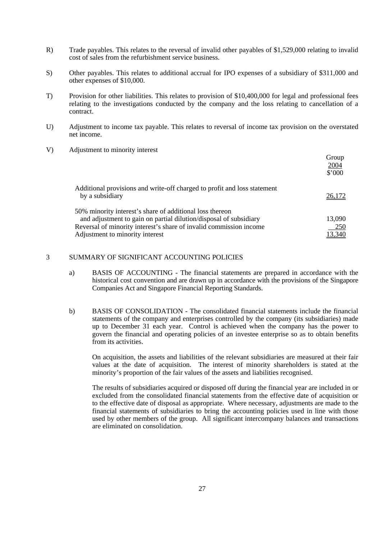- R) Trade payables. This relates to the reversal of invalid other payables of \$1,529,000 relating to invalid cost of sales from the refurbishment service business.
- S) Other payables. This relates to additional accrual for IPO expenses of a subsidiary of \$311,000 and other expenses of \$10,000.
- T) Provision for other liabilities. This relates to provision of \$10,400,000 for legal and professional fees relating to the investigations conducted by the company and the loss relating to cancellation of a contract.
- U) Adjustment to income tax payable. This relates to reversal of income tax provision on the overstated net income.
- V) Adjustment to minority interest

|                                                                                             | Group<br>2004<br>\$'000 |
|---------------------------------------------------------------------------------------------|-------------------------|
| Additional provisions and write-off charged to profit and loss statement<br>by a subsidiary | <u>26,172</u>           |
| 50% minority interest's share of additional loss thereon                                    |                         |
| and adjustment to gain on partial dilution/disposal of subsidiary                           | 13,090                  |
| Reversal of minority interest's share of invalid commission income                          | 250                     |
| Adjustment to minority interest                                                             | 13,340                  |

## 3 SUMMARY OF SIGNIFICANT ACCOUNTING POLICIES

- a) BASIS OF ACCOUNTING The financial statements are prepared in accordance with the historical cost convention and are drawn up in accordance with the provisions of the Singapore Companies Act and Singapore Financial Reporting Standards.
- b) BASIS OF CONSOLIDATION The consolidated financial statements include the financial statements of the company and enterprises controlled by the company (its subsidiaries) made up to December 31 each year. Control is achieved when the company has the power to govern the financial and operating policies of an investee enterprise so as to obtain benefits from its activities.

 On acquisition, the assets and liabilities of the relevant subsidiaries are measured at their fair values at the date of acquisition. The interest of minority shareholders is stated at the minority's proportion of the fair values of the assets and liabilities recognised.

 The results of subsidiaries acquired or disposed off during the financial year are included in or excluded from the consolidated financial statements from the effective date of acquisition or to the effective date of disposal as appropriate. Where necessary, adjustments are made to the financial statements of subsidiaries to bring the accounting policies used in line with those used by other members of the group. All significant intercompany balances and transactions are eliminated on consolidation.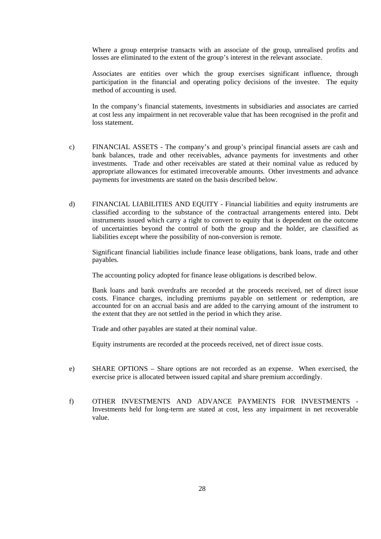Where a group enterprise transacts with an associate of the group, unrealised profits and losses are eliminated to the extent of the group's interest in the relevant associate.

 Associates are entities over which the group exercises significant influence, through participation in the financial and operating policy decisions of the investee. The equity method of accounting is used.

 In the company's financial statements, investments in subsidiaries and associates are carried at cost less any impairment in net recoverable value that has been recognised in the profit and loss statement.

- c) FINANCIAL ASSETS The company's and group's principal financial assets are cash and bank balances, trade and other receivables, advance payments for investments and other investments. Trade and other receivables are stated at their nominal value as reduced by appropriate allowances for estimated irrecoverable amounts. Other investments and advance payments for investments are stated on the basis described below.
- d) FINANCIAL LIABILITIES AND EQUITY Financial liabilities and equity instruments are classified according to the substance of the contractual arrangements entered into. Debt instruments issued which carry a right to convert to equity that is dependent on the outcome of uncertainties beyond the control of both the group and the holder, are classified as liabilities except where the possibility of non-conversion is remote.

 Significant financial liabilities include finance lease obligations, bank loans, trade and other payables.

The accounting policy adopted for finance lease obligations is described below.

 Bank loans and bank overdrafts are recorded at the proceeds received, net of direct issue costs. Finance charges, including premiums payable on settlement or redemption, are accounted for on an accrual basis and are added to the carrying amount of the instrument to the extent that they are not settled in the period in which they arise.

Trade and other payables are stated at their nominal value.

Equity instruments are recorded at the proceeds received, net of direct issue costs.

- e) SHARE OPTIONS Share options are not recorded as an expense. When exercised, the exercise price is allocated between issued capital and share premium accordingly.
- f) OTHER INVESTMENTS AND ADVANCE PAYMENTS FOR INVESTMENTS Investments held for long-term are stated at cost, less any impairment in net recoverable value.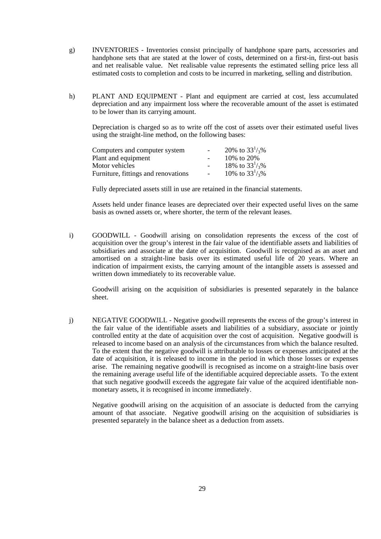- g) INVENTORIES Inventories consist principally of handphone spare parts, accessories and handphone sets that are stated at the lower of costs, determined on a first-in, first-out basis and net realisable value. Net realisable value represents the estimated selling price less all estimated costs to completion and costs to be incurred in marketing, selling and distribution.
- h) PLANT AND EQUIPMENT Plant and equipment are carried at cost, less accumulated depreciation and any impairment loss where the recoverable amount of the asset is estimated to be lower than its carrying amount.

 Depreciation is charged so as to write off the cost of assets over their estimated useful lives using the straight-line method, on the following bases:

| Computers and computer system       | 20% to $33^{1/3}$ % |
|-------------------------------------|---------------------|
| Plant and equipment                 | 10\% to 20\%        |
| Motor vehicles                      | 18% to $33^{1/3}$ % |
| Furniture, fittings and renovations | 10% to $33^{1/3}$ % |

Fully depreciated assets still in use are retained in the financial statements.

 Assets held under finance leases are depreciated over their expected useful lives on the same basis as owned assets or, where shorter, the term of the relevant leases.

 i) GOODWILL - Goodwill arising on consolidation represents the excess of the cost of acquisition over the group's interest in the fair value of the identifiable assets and liabilities of subsidiaries and associate at the date of acquisition. Goodwill is recognised as an asset and amortised on a straight-line basis over its estimated useful life of 20 years. Where an indication of impairment exists, the carrying amount of the intangible assets is assessed and written down immediately to its recoverable value.

 Goodwill arising on the acquisition of subsidiaries is presented separately in the balance sheet.

 j) NEGATIVE GOODWILL - Negative goodwill represents the excess of the group's interest in the fair value of the identifiable assets and liabilities of a subsidiary, associate or jointly controlled entity at the date of acquisition over the cost of acquisition. Negative goodwill is released to income based on an analysis of the circumstances from which the balance resulted. To the extent that the negative goodwill is attributable to losses or expenses anticipated at the date of acquisition, it is released to income in the period in which those losses or expenses arise. The remaining negative goodwill is recognised as income on a straight-line basis over the remaining average useful life of the identifiable acquired depreciable assets. To the extent that such negative goodwill exceeds the aggregate fair value of the acquired identifiable nonmonetary assets, it is recognised in income immediately.

 Negative goodwill arising on the acquisition of an associate is deducted from the carrying amount of that associate. Negative goodwill arising on the acquisition of subsidiaries is presented separately in the balance sheet as a deduction from assets.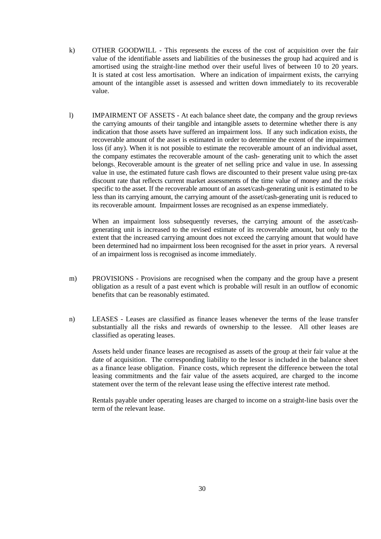- k) OTHER GOODWILL This represents the excess of the cost of acquisition over the fair value of the identifiable assets and liabilities of the businesses the group had acquired and is amortised using the straight-line method over their useful lives of between 10 to 20 years. It is stated at cost less amortisation. Where an indication of impairment exists, the carrying amount of the intangible asset is assessed and written down immediately to its recoverable value.
- l) IMPAIRMENT OF ASSETS At each balance sheet date, the company and the group reviews the carrying amounts of their tangible and intangible assets to determine whether there is any indication that those assets have suffered an impairment loss. If any such indication exists, the recoverable amount of the asset is estimated in order to determine the extent of the impairment loss (if any). When it is not possible to estimate the recoverable amount of an individual asset, the company estimates the recoverable amount of the cash- generating unit to which the asset belongs. Recoverable amount is the greater of net selling price and value in use. In assessing value in use, the estimated future cash flows are discounted to their present value using pre-tax discount rate that reflects current market assessments of the time value of money and the risks specific to the asset. If the recoverable amount of an asset/cash-generating unit is estimated to be less than its carrying amount, the carrying amount of the asset/cash-generating unit is reduced to its recoverable amount. Impairment losses are recognised as an expense immediately.

 When an impairment loss subsequently reverses, the carrying amount of the asset/cashgenerating unit is increased to the revised estimate of its recoverable amount, but only to the extent that the increased carrying amount does not exceed the carrying amount that would have been determined had no impairment loss been recognised for the asset in prior years. A reversal of an impairment loss is recognised as income immediately.

- m) PROVISIONS Provisions are recognised when the company and the group have a present obligation as a result of a past event which is probable will result in an outflow of economic benefits that can be reasonably estimated.
- n) LEASES Leases are classified as finance leases whenever the terms of the lease transfer substantially all the risks and rewards of ownership to the lessee. All other leases are classified as operating leases.

 Assets held under finance leases are recognised as assets of the group at their fair value at the date of acquisition. The corresponding liability to the lessor is included in the balance sheet as a finance lease obligation. Finance costs, which represent the difference between the total leasing commitments and the fair value of the assets acquired, are charged to the income statement over the term of the relevant lease using the effective interest rate method.

 Rentals payable under operating leases are charged to income on a straight-line basis over the term of the relevant lease.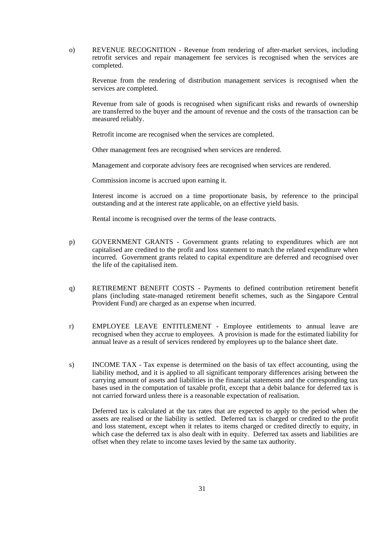o) REVENUE RECOGNITION - Revenue from rendering of after-market services, including retrofit services and repair management fee services is recognised when the services are completed.

 Revenue from the rendering of distribution management services is recognised when the services are completed.

 Revenue from sale of goods is recognised when significant risks and rewards of ownership are transferred to the buyer and the amount of revenue and the costs of the transaction can be measured reliably.

Retrofit income are recognised when the services are completed.

Other management fees are recognised when services are rendered.

Management and corporate advisory fees are recognised when services are rendered.

Commission income is accrued upon earning it.

 Interest income is accrued on a time proportionate basis, by reference to the principal outstanding and at the interest rate applicable, on an effective yield basis.

Rental income is recognised over the terms of the lease contracts.

- p) GOVERNMENT GRANTS Government grants relating to expenditures which are not capitalised are credited to the profit and loss statement to match the related expenditure when incurred. Government grants related to capital expenditure are deferred and recognised over the life of the capitalised item.
- q) RETIREMENT BENEFIT COSTS Payments to defined contribution retirement benefit plans (including state-managed retirement benefit schemes, such as the Singapore Central Provident Fund) are charged as an expense when incurred.
- r) EMPLOYEE LEAVE ENTITLEMENT Employee entitlements to annual leave are recognised when they accrue to employees. A provision is made for the estimated liability for annual leave as a result of services rendered by employees up to the balance sheet date.
- s) INCOME TAX Tax expense is determined on the basis of tax effect accounting, using the liability method, and it is applied to all significant temporary differences arising between the carrying amount of assets and liabilities in the financial statements and the corresponding tax bases used in the computation of taxable profit, except that a debit balance for deferred tax is not carried forward unless there is a reasonable expectation of realisation.

 Deferred tax is calculated at the tax rates that are expected to apply to the period when the assets are realised or the liability is settled. Deferred tax is charged or credited to the profit and loss statement, except when it relates to items charged or credited directly to equity, in which case the deferred tax is also dealt with in equity. Deferred tax assets and liabilities are offset when they relate to income taxes levied by the same tax authority.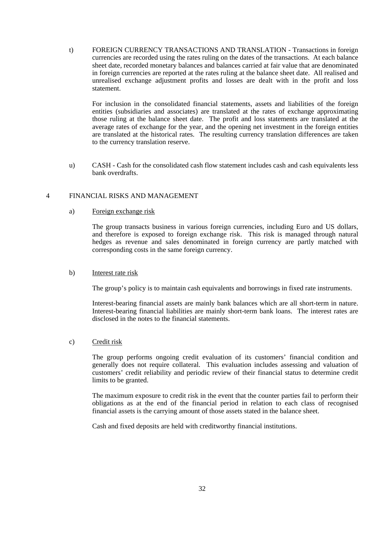t) FOREIGN CURRENCY TRANSACTIONS AND TRANSLATION - Transactions in foreign currencies are recorded using the rates ruling on the dates of the transactions. At each balance sheet date, recorded monetary balances and balances carried at fair value that are denominated in foreign currencies are reported at the rates ruling at the balance sheet date. All realised and unrealised exchange adjustment profits and losses are dealt with in the profit and loss statement.

 For inclusion in the consolidated financial statements, assets and liabilities of the foreign entities (subsidiaries and associates) are translated at the rates of exchange approximating those ruling at the balance sheet date. The profit and loss statements are translated at the average rates of exchange for the year, and the opening net investment in the foreign entities are translated at the historical rates. The resulting currency translation differences are taken to the currency translation reserve.

 u) CASH - Cash for the consolidated cash flow statement includes cash and cash equivalents less bank overdrafts.

## 4 FINANCIAL RISKS AND MANAGEMENT

a) Foreign exchange risk

 The group transacts business in various foreign currencies, including Euro and US dollars, and therefore is exposed to foreign exchange risk. This risk is managed through natural hedges as revenue and sales denominated in foreign currency are partly matched with corresponding costs in the same foreign currency.

#### b) Interest rate risk

The group's policy is to maintain cash equivalents and borrowings in fixed rate instruments.

 Interest-bearing financial assets are mainly bank balances which are all short-term in nature. Interest-bearing financial liabilities are mainly short-term bank loans. The interest rates are disclosed in the notes to the financial statements.

## c) Credit risk

 The group performs ongoing credit evaluation of its customers' financial condition and generally does not require collateral. This evaluation includes assessing and valuation of customers' credit reliability and periodic review of their financial status to determine credit limits to be granted.

 The maximum exposure to credit risk in the event that the counter parties fail to perform their obligations as at the end of the financial period in relation to each class of recognised financial assets is the carrying amount of those assets stated in the balance sheet.

Cash and fixed deposits are held with creditworthy financial institutions.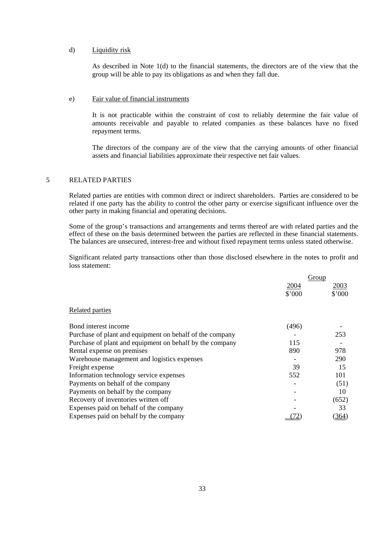### d) Liquidity risk

 As described in Note 1(d) to the financial statements, the directors are of the view that the group will be able to pay its obligations as and when they fall due.

#### e) Fair value of financial instruments

 It is not practicable within the constraint of cost to reliably determine the fair value of amounts receivable and payable to related companies as these balances have no fixed repayment terms.

 The directors of the company are of the view that the carrying amounts of other financial assets and financial liabilities approximate their respective net fair values.

## 5 RELATED PARTIES

 Related parties are entities with common direct or indirect shareholders. Parties are considered to be related if one party has the ability to control the other party or exercise significant influence over the other party in making financial and operating decisions.

 Some of the group's transactions and arrangements and terms thereof are with related parties and the effect of these on the basis determined between the parties are reflected in these financial statements. The balances are unsecured, interest-free and without fixed repayment terms unless stated otherwise.

 Significant related party transactions other than those disclosed elsewhere in the notes to profit and loss statement:

|                                                          | Group  |        |
|----------------------------------------------------------|--------|--------|
|                                                          | 2004   | 2003   |
|                                                          | \$'000 | \$'000 |
| Related parties                                          |        |        |
| Bond interest income                                     | (496)  |        |
| Purchase of plant and equipment on behalf of the company |        | 253    |
| Purchase of plant and equipment on behalf by the company | 115    |        |
| Rental expense on premises                               | 890    | 978    |
| Warehouse management and logistics expenses              |        | 290    |
| Freight expense                                          | 39     | 15     |
| Information technology service expenses                  | 552    | 101    |
| Payments on behalf of the company                        |        | (51)   |
| Payments on behalf by the company                        |        | 10     |
| Recovery of inventories written off                      |        | (652)  |
| Expenses paid on behalf of the company                   |        | 33     |
| Expenses paid on behalf by the company                   |        | (364)  |
|                                                          |        |        |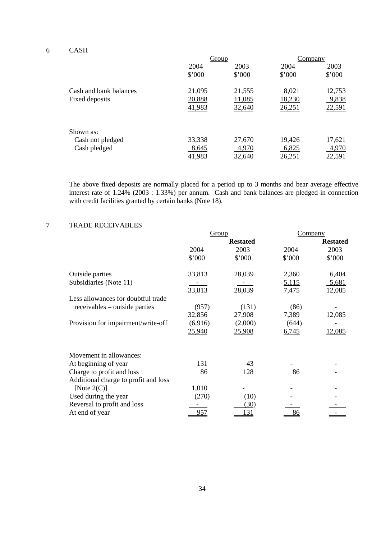## 6 CASH

|                        |        | Group  |        | Company |
|------------------------|--------|--------|--------|---------|
|                        | 2004   | 2003   | 2004   | 2003    |
|                        | \$'000 | \$'000 | \$'000 | \$'000  |
| Cash and bank balances | 21,095 | 21,555 | 8,021  | 12,753  |
| Fixed deposits         | 20,888 | 11,085 | 18,230 | 9,838   |
|                        | 41,983 | 32,640 | 26,251 | 22,591  |
| Shown as:              |        |        |        |         |
| Cash not pledged       | 33,338 | 27,670 | 19,426 | 17,621  |
| Cash pledged           | 8,645  | 4,970  | 6,825  | 4,970   |
|                        | 41,983 | 32,640 | 26,25  | 22,591  |

 The above fixed deposits are normally placed for a period up to 3 months and bear average effective interest rate of 1.24% (2003 : 1.33%) per annum. Cash and bank balances are pledged in connection with credit facilities granted by certain banks (Note 18).

# 7 TRADE RECEIVABLES

|                                      | Group   |                 | Company |                 |
|--------------------------------------|---------|-----------------|---------|-----------------|
|                                      |         | <b>Restated</b> |         | <b>Restated</b> |
|                                      | 2004    | 2003            | 2004    | 2003            |
|                                      | \$'000  | \$'000          | \$'000  | \$'000          |
| Outside parties                      | 33,813  | 28,039          | 2,360   | 6,404           |
| Subsidiaries (Note 11)               |         |                 | 5,115   | 5,681           |
|                                      | 33,813  | 28,039          | 7,475   | 12,085          |
| Less allowances for doubtful trade   |         |                 |         |                 |
| receivables – outside parties        | (957)   | (131)           | (86)    |                 |
|                                      | 32,856  | 27,908          | 7,389   | 12,085          |
| Provision for impairment/write-off   | (6,916) | (2,000)         | (644)   |                 |
|                                      | 25,940  | 25,908          | 6,745   | 2,085           |
| Movement in allowances:              |         |                 |         |                 |
| At beginning of year                 | 131     | 43              |         |                 |
| Charge to profit and loss            | 86      | 128             | 86      |                 |
| Additional charge to profit and loss |         |                 |         |                 |
| [Note $2(C)$ ]                       | 1,010   |                 |         |                 |
| Used during the year                 | (270)   | (10)            |         |                 |
| Reversal to profit and loss          |         | (30)            |         |                 |
| At end of year                       | 957     | <u>131</u>      | 86      |                 |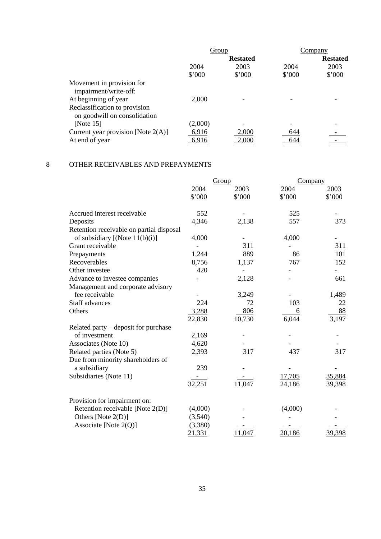| Group   |                 |        | Company         |  |
|---------|-----------------|--------|-----------------|--|
|         | <b>Restated</b> |        | <b>Restated</b> |  |
| 2004    | 2003            | 2004   | 2003            |  |
| \$'000  | \$'000          | \$'000 | \$'000          |  |
|         |                 |        |                 |  |
| 2,000   |                 |        |                 |  |
|         |                 |        |                 |  |
| (2,000) |                 |        |                 |  |
| 6,916   | 2,000           | 644    |                 |  |
| 6,916   | 2,000           | 644    |                 |  |
|         |                 |        |                 |  |

## 8 OTHER RECEIVABLES AND PREPAYMENTS

|                                          |                | Group          |                | Company        |
|------------------------------------------|----------------|----------------|----------------|----------------|
|                                          | 2004<br>\$'000 | 2003<br>\$'000 | 2004<br>\$'000 | 2003<br>\$'000 |
|                                          |                |                |                |                |
| Accrued interest receivable              | 552            |                | 525            |                |
| Deposits                                 | 4,346          | 2,138          | 557            | 373            |
| Retention receivable on partial disposal |                |                |                |                |
| of subsidiary $[(Note 11(b)(i)]$         | 4,000          |                | 4,000          |                |
| Grant receivable                         |                | 311            |                | 311            |
| Prepayments                              | 1,244          | 889            | 86             | 101            |
| Recoverables                             | 8,756          | 1,137          | 767            | 152            |
| Other investee                           | 420            |                |                |                |
| Advance to investee companies            |                | 2,128          |                | 661            |
| Management and corporate advisory        |                |                |                |                |
| fee receivable                           |                | 3,249          |                | 1,489          |
| <b>Staff advances</b>                    | 224            | 72             | 103            | 22             |
| Others                                   | 3,288          | 806            | 6              | 88             |
|                                          | 22,830         | 10,730         | 6,044          | 3,197          |
| Related party – deposit for purchase     |                |                |                |                |
| of investment                            | 2,169          |                |                |                |
| Associates (Note 10)                     | 4,620          |                |                |                |
| Related parties (Note 5)                 | 2,393          | 317            | 437            | 317            |
| Due from minority shareholders of        |                |                |                |                |
| a subsidiary                             | 239            |                |                |                |
| Subsidiaries (Note 11)                   |                |                | 17,705         | 35,884         |
|                                          | 32,251         | 11,047         | 24,186         | 39,398         |
| Provision for impairment on:             |                |                |                |                |
| Retention receivable [Note 2(D)]         | (4,000)        |                | (4,000)        |                |
| Others [Note 2(D)]                       | (3,540)        |                |                |                |
| Associate [Note $2(Q)$ ]                 | (3,380)        |                |                |                |
|                                          | 21,331         | 11,047         | 20,186         | 39,398         |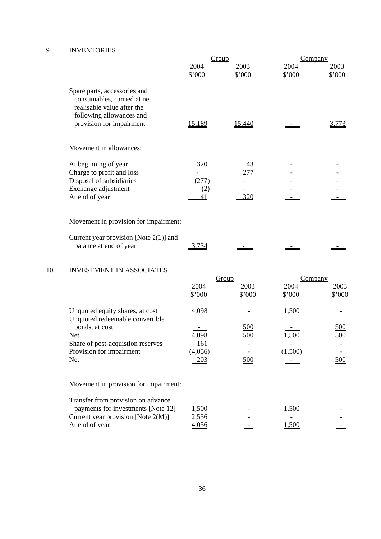# 9 INVENTORIES

|                                                                                                                                                   | Group          |                | Company        |                |
|---------------------------------------------------------------------------------------------------------------------------------------------------|----------------|----------------|----------------|----------------|
|                                                                                                                                                   | 2004<br>\$'000 | 2003<br>\$'000 | 2004<br>\$'000 | 2003<br>\$'000 |
| Spare parts, accessories and<br>consumables, carried at net<br>realisable value after the<br>following allowances and<br>provision for impairment | 15,189         | 15,440         |                | 3,773          |
| Movement in allowances:                                                                                                                           |                |                |                |                |
| At beginning of year                                                                                                                              | 320            | 43             |                |                |
| Charge to profit and loss                                                                                                                         |                | 277            |                |                |
| Disposal of subsidiaries                                                                                                                          | (277)          |                |                |                |
| Exchange adjustment                                                                                                                               | (2)            |                |                |                |
| At end of year                                                                                                                                    | 41             | 320            |                |                |
| Movement in provision for impairment:                                                                                                             |                |                |                |                |
| Current year provision [Note 2(L)] and                                                                                                            |                |                |                |                |
| balance at end of year                                                                                                                            | .734           |                |                |                |

# 10 INVESTMENT IN ASSOCIATES

|                                       |                | Group             | Company        |                |
|---------------------------------------|----------------|-------------------|----------------|----------------|
|                                       | 2004<br>\$'000 | 2003<br>\$'000    | 2004<br>\$'000 | 2003<br>\$'000 |
|                                       |                |                   |                |                |
| Unquoted equity shares, at cost       | 4,098          |                   | 1,500          |                |
| Unquoted redeemable convertible       |                |                   |                |                |
| bonds, at cost                        |                | $\underline{500}$ |                | <u>500</u>     |
| <b>Net</b>                            | 4,098          | 500               | 1,500          | 500            |
| Share of post-acquistion reserves     | 161            |                   |                |                |
| Provision for impairment              | (4,056)        |                   | (1,500)        |                |
| <b>Net</b>                            | <u>203</u>     | 500               |                | 500            |
| Movement in provision for impairment: |                |                   |                |                |
| Transfer from provision on advance    |                |                   |                |                |
| payments for investments [Note 12]    | 1,500          |                   | 1,500          |                |
| Current year provision [Note $2(M)$ ] | 2,556          |                   |                |                |
| At end of year                        | 4,056          |                   | 1,500          |                |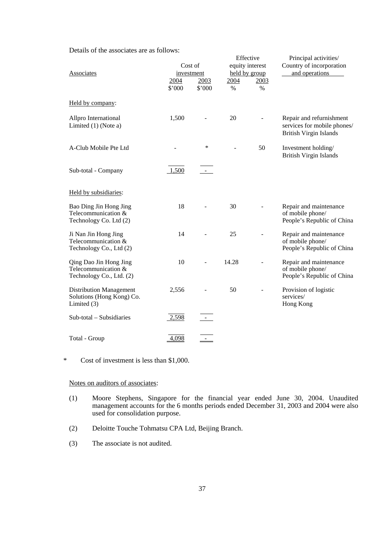Details of the associates are as follows:

| <b>Associates</b>                                                          | Cost of<br>investment<br>2004<br>\$'000 | 2003<br>\$'000 | 2004<br>$\%$ | Effective<br>equity interest<br>held by group<br>2003<br>% | Principal activities/<br>Country of incorporation<br>and operations                      |
|----------------------------------------------------------------------------|-----------------------------------------|----------------|--------------|------------------------------------------------------------|------------------------------------------------------------------------------------------|
| Held by company:                                                           |                                         |                |              |                                                            |                                                                                          |
| Allpro International<br>Limited (1) (Note a)                               | 1,500                                   |                | 20           |                                                            | Repair and refurnishment<br>services for mobile phones/<br><b>British Virgin Islands</b> |
| A-Club Mobile Pte Ltd                                                      |                                         | *              |              | 50                                                         | Investment holding/<br><b>British Virgin Islands</b>                                     |
| Sub-total - Company                                                        | 1,500                                   |                |              |                                                            |                                                                                          |
| Held by subsidiaries:                                                      |                                         |                |              |                                                            |                                                                                          |
| Bao Ding Jin Hong Jing<br>Telecommunication &<br>Technology Co. Ltd (2)    | 18                                      |                | 30           |                                                            | Repair and maintenance<br>of mobile phone/<br>People's Republic of China                 |
| Ji Nan Jin Hong Jing<br>Telecommunication &<br>Technology Co., Ltd (2)     | 14                                      |                | 25           |                                                            | Repair and maintenance<br>of mobile phone/<br>People's Republic of China                 |
| Qing Dao Jin Hong Jing<br>Telecommunication &<br>Technology Co., Ltd. (2)  | 10                                      |                | 14.28        |                                                            | Repair and maintenance<br>of mobile phone/<br>People's Republic of China                 |
| <b>Distribution Management</b><br>Solutions (Hong Kong) Co.<br>Limited (3) | 2,556                                   |                | 50           |                                                            | Provision of logistic<br>services/<br>Hong Kong                                          |
| Sub-total - Subsidiaries                                                   | 2,598                                   |                |              |                                                            |                                                                                          |
| Total - Group                                                              | 4,098                                   |                |              |                                                            |                                                                                          |

\* Cost of investment is less than \$1,000.

Notes on auditors of associates:

- (1) Moore Stephens, Singapore for the financial year ended June 30, 2004. Unaudited management accounts for the 6 months periods ended December 31, 2003 and 2004 were also used for consolidation purpose.
- (2) Deloitte Touche Tohmatsu CPA Ltd, Beijing Branch.
- (3) The associate is not audited.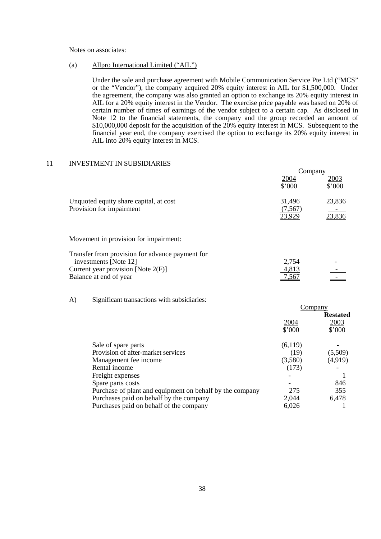#### Notes on associates:

#### (a) Allpro International Limited ("AIL")

Under the sale and purchase agreement with Mobile Communication Service Pte Ltd ("MCS" or the "Vendor"), the company acquired 20% equity interest in AIL for \$1,500,000. Under the agreement, the company was also granted an option to exchange its 20% equity interest in AIL for a 20% equity interest in the Vendor. The exercise price payable was based on 20% of certain number of times of earnings of the vendor subject to a certain cap. As disclosed in Note 12 to the financial statements, the company and the group recorded an amount of \$10,000,000 deposit for the acquisition of the 20% equity interest in MCS. Subsequent to the financial year end, the company exercised the option to exchange its 20% equity interest in AIL into 20% equity interest in MCS.

#### 11 INVESTMENT IN SUBSIDIARIES

|                                                                          | Company                     |                            |
|--------------------------------------------------------------------------|-----------------------------|----------------------------|
|                                                                          | 2004<br>\$'000              | <u>2003</u><br>\$'000      |
| Unquoted equity share capital, at cost<br>Provision for impairment       | 31,496<br>(7,567)<br>23,929 | 23,836<br>$\sim$<br>23,836 |
| Movement in provision for impairment:                                    |                             |                            |
| Transfer from provision for advance payment for<br>investments [Note 12] | 2,754                       |                            |
| Current year provision [Note $2(F)$ ]                                    | 4,813                       |                            |
| Balance at end of year                                                   | 7,567                       |                            |

#### A) Significant transactions with subsidiaries:

|                                                          | Company |                 |
|----------------------------------------------------------|---------|-----------------|
|                                                          |         | <b>Restated</b> |
|                                                          | 2004    | 2003            |
|                                                          | \$'000  | \$'000          |
| Sale of spare parts                                      | (6,119) |                 |
| Provision of after-market services                       | (19)    | (5,509)         |
| Management fee income                                    | (3,580) | (4, 919)        |
| Rental income                                            | (173)   |                 |
| Freight expenses                                         |         |                 |
| Spare parts costs                                        |         | 846             |
| Purchase of plant and equipment on behalf by the company | 275     | 355             |
| Purchases paid on behalf by the company                  | 2,044   | 6,478           |
| Purchases paid on behalf of the company                  | 6,026   |                 |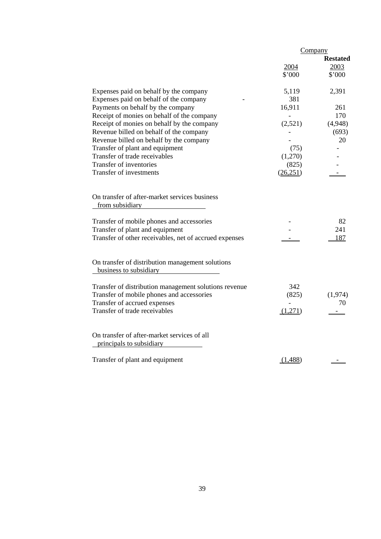|                                                                            | Company                                                                                                                                                                                                                                                                                                                                                                                                                                                                                                                                                       |                                                                |
|----------------------------------------------------------------------------|---------------------------------------------------------------------------------------------------------------------------------------------------------------------------------------------------------------------------------------------------------------------------------------------------------------------------------------------------------------------------------------------------------------------------------------------------------------------------------------------------------------------------------------------------------------|----------------------------------------------------------------|
|                                                                            |                                                                                                                                                                                                                                                                                                                                                                                                                                                                                                                                                               | <b>Restated</b>                                                |
|                                                                            | 2004                                                                                                                                                                                                                                                                                                                                                                                                                                                                                                                                                          | 2003                                                           |
|                                                                            | \$'000                                                                                                                                                                                                                                                                                                                                                                                                                                                                                                                                                        | \$'000                                                         |
| Expenses paid on behalf by the company                                     | 5,119                                                                                                                                                                                                                                                                                                                                                                                                                                                                                                                                                         | 2,391                                                          |
| Expenses paid on behalf of the company                                     | 381                                                                                                                                                                                                                                                                                                                                                                                                                                                                                                                                                           |                                                                |
| Payments on behalf by the company                                          | 16,911                                                                                                                                                                                                                                                                                                                                                                                                                                                                                                                                                        | 261                                                            |
|                                                                            | $\overline{\phantom{a}}$                                                                                                                                                                                                                                                                                                                                                                                                                                                                                                                                      | 170                                                            |
|                                                                            |                                                                                                                                                                                                                                                                                                                                                                                                                                                                                                                                                               | (4,948)                                                        |
|                                                                            |                                                                                                                                                                                                                                                                                                                                                                                                                                                                                                                                                               | (693)                                                          |
|                                                                            |                                                                                                                                                                                                                                                                                                                                                                                                                                                                                                                                                               | 20                                                             |
|                                                                            |                                                                                                                                                                                                                                                                                                                                                                                                                                                                                                                                                               |                                                                |
| Transfer of trade receivables                                              |                                                                                                                                                                                                                                                                                                                                                                                                                                                                                                                                                               |                                                                |
|                                                                            |                                                                                                                                                                                                                                                                                                                                                                                                                                                                                                                                                               |                                                                |
| Transfer of investments                                                    | (26, 251)                                                                                                                                                                                                                                                                                                                                                                                                                                                                                                                                                     |                                                                |
| On transfer of after-market services business<br>from subsidiary           |                                                                                                                                                                                                                                                                                                                                                                                                                                                                                                                                                               | 82                                                             |
|                                                                            |                                                                                                                                                                                                                                                                                                                                                                                                                                                                                                                                                               | 241                                                            |
|                                                                            |                                                                                                                                                                                                                                                                                                                                                                                                                                                                                                                                                               | 187                                                            |
|                                                                            |                                                                                                                                                                                                                                                                                                                                                                                                                                                                                                                                                               |                                                                |
| On transfer of distribution management solutions<br>business to subsidiary |                                                                                                                                                                                                                                                                                                                                                                                                                                                                                                                                                               |                                                                |
|                                                                            |                                                                                                                                                                                                                                                                                                                                                                                                                                                                                                                                                               |                                                                |
|                                                                            |                                                                                                                                                                                                                                                                                                                                                                                                                                                                                                                                                               | (1,974)                                                        |
|                                                                            |                                                                                                                                                                                                                                                                                                                                                                                                                                                                                                                                                               | 70                                                             |
|                                                                            |                                                                                                                                                                                                                                                                                                                                                                                                                                                                                                                                                               |                                                                |
|                                                                            |                                                                                                                                                                                                                                                                                                                                                                                                                                                                                                                                                               |                                                                |
| On transfer of after-market services of all<br>principals to subsidiary    |                                                                                                                                                                                                                                                                                                                                                                                                                                                                                                                                                               |                                                                |
| Transfer of plant and equipment                                            | (1,488)                                                                                                                                                                                                                                                                                                                                                                                                                                                                                                                                                       |                                                                |
|                                                                            | Receipt of monies on behalf of the company<br>Receipt of monies on behalf by the company<br>Revenue billed on behalf of the company<br>Revenue billed on behalf by the company<br>Transfer of plant and equipment<br>Transfer of inventories<br>Transfer of mobile phones and accessories<br>Transfer of plant and equipment<br>Transfer of other receivables, net of accrued expenses<br>Transfer of distribution management solutions revenue<br>Transfer of mobile phones and accessories<br>Transfer of accrued expenses<br>Transfer of trade receivables | (2,521)<br>(75)<br>(1,270)<br>(825)<br>342<br>(825)<br>(1,271) |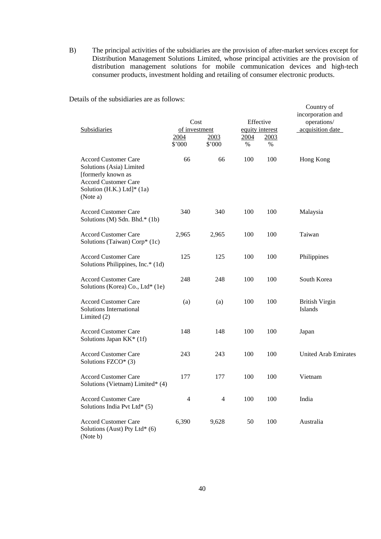B) The principal activities of the subsidiaries are the provision of after-market services except for Distribution Management Solutions Limited, whose principal activities are the provision of distribution management solutions for mobile communication devices and high-tech consumer products, investment holding and retailing of consumer electronic products.

Details of the subsidiaries are as follows:

| Subsidiaries                                                                                                                                           | Cost<br>of investment<br>2004<br>\$'000 | 2003<br>\$'000 | Effective<br>equity interest<br>2004<br>$\%$ | 2003<br>% | Country of<br>incorporation and<br>operations/<br>acquisition date |
|--------------------------------------------------------------------------------------------------------------------------------------------------------|-----------------------------------------|----------------|----------------------------------------------|-----------|--------------------------------------------------------------------|
| <b>Accord Customer Care</b><br>Solutions (Asia) Limited<br>[formerly known as<br><b>Accord Customer Care</b><br>Solution (H.K.) Ltd]* (1a)<br>(Note a) | 66                                      | 66             | 100                                          | 100       | Hong Kong                                                          |
| <b>Accord Customer Care</b><br>Solutions (M) Sdn. Bhd.* (1b)                                                                                           | 340                                     | 340            | 100                                          | 100       | Malaysia                                                           |
| <b>Accord Customer Care</b><br>Solutions (Taiwan) Corp* (1c)                                                                                           | 2,965                                   | 2,965          | 100                                          | 100       | Taiwan                                                             |
| <b>Accord Customer Care</b><br>Solutions Philippines, Inc.* (1d)                                                                                       | 125                                     | 125            | 100                                          | 100       | Philippines                                                        |
| <b>Accord Customer Care</b><br>Solutions (Korea) Co., Ltd* (1e)                                                                                        | 248                                     | 248            | 100                                          | 100       | South Korea                                                        |
| <b>Accord Customer Care</b><br>Solutions International<br>Limited $(2)$                                                                                | (a)                                     | (a)            | 100                                          | 100       | <b>British Virgin</b><br>Islands                                   |
| <b>Accord Customer Care</b><br>Solutions Japan KK* (1f)                                                                                                | 148                                     | 148            | 100                                          | 100       | Japan                                                              |
| <b>Accord Customer Care</b><br>Solutions FZCO* (3)                                                                                                     | 243                                     | 243            | 100                                          | 100       | <b>United Arab Emirates</b>                                        |
| <b>Accord Customer Care</b><br>Solutions (Vietnam) Limited* (4)                                                                                        | 177                                     | 177            | 100                                          | 100       | Vietnam                                                            |
| <b>Accord Customer Care</b><br>Solutions India Pvt Ltd* (5)                                                                                            | 4                                       | $\overline{4}$ | 100                                          | 100       | India                                                              |
| <b>Accord Customer Care</b><br>Solutions (Aust) Pty Ltd* (6)<br>(Note b)                                                                               | 6,390                                   | 9,628          | 50                                           | 100       | Australia                                                          |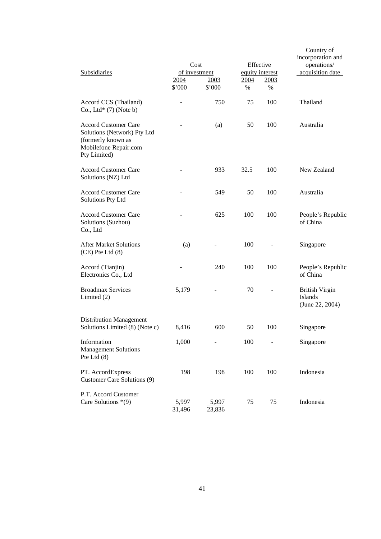|               | Subsidiaries                                                                                                              |                 | Cost<br>of investment<br>2004<br>2003<br>\$'000<br>\$'000 |      | Effective<br>equity interest<br>2003<br>$\%$ | Country of<br>incorporation and<br>operations/<br>acquisition date |  |
|---------------|---------------------------------------------------------------------------------------------------------------------------|-----------------|-----------------------------------------------------------|------|----------------------------------------------|--------------------------------------------------------------------|--|
|               | Accord CCS (Thailand)<br>Co., Ltd $*$ (7) (Note b)                                                                        |                 | 750                                                       | 75   | 100                                          | Thailand                                                           |  |
|               | <b>Accord Customer Care</b><br>Solutions (Network) Pty Ltd<br>(formerly known as<br>Mobilefone Repair.com<br>Pty Limited) |                 | (a)                                                       | 50   | 100                                          | Australia                                                          |  |
|               | <b>Accord Customer Care</b><br>Solutions (NZ) Ltd                                                                         |                 | 933                                                       | 32.5 | 100                                          | New Zealand                                                        |  |
|               | <b>Accord Customer Care</b><br>Solutions Pty Ltd                                                                          |                 | 549                                                       | 50   | 100                                          | Australia                                                          |  |
| Co., Ltd      | <b>Accord Customer Care</b><br>Solutions (Suzhou)                                                                         |                 | 625                                                       | 100  | 100                                          | People's Republic<br>of China                                      |  |
|               | <b>After Market Solutions</b><br>$(CE)$ Pte Ltd $(8)$                                                                     | (a)             |                                                           | 100  |                                              | Singapore                                                          |  |
|               | Accord (Tianjin)<br>Electronics Co., Ltd                                                                                  |                 | 240                                                       | 100  | 100                                          | People's Republic<br>of China                                      |  |
|               | <b>Broadmax Services</b><br>Limited $(2)$                                                                                 | 5,179           |                                                           | 70   |                                              | <b>British Virgin</b><br><b>Islands</b><br>(June 22, 2004)         |  |
|               | <b>Distribution Management</b><br>Solutions Limited (8) (Note c)                                                          | 8,416           | 600                                                       | 50   | 100                                          | Singapore                                                          |  |
| Pte Ltd $(8)$ | Information<br><b>Management Solutions</b>                                                                                | 1,000           |                                                           | 100  |                                              | Singapore                                                          |  |
|               | PT. AccordExpress<br>Customer Care Solutions (9)                                                                          | 198             | 198                                                       | 100  | 100                                          | Indonesia                                                          |  |
|               | P.T. Accord Customer<br>Care Solutions *(9)                                                                               | 5,997<br>31,496 | 5,997<br>23,836                                           | 75   | 75                                           | Indonesia                                                          |  |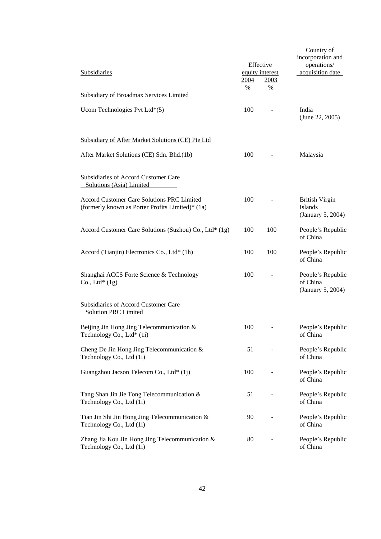| Subsidiaries                                                                                   | <u> 2004 </u><br>$\%$ | Effective<br>equity interest<br>2003<br>$\%$ | Country of<br>incorporation and<br>operations/<br>acquisition date |
|------------------------------------------------------------------------------------------------|-----------------------|----------------------------------------------|--------------------------------------------------------------------|
| <b>Subsidiary of Broadmax Services Limited</b>                                                 |                       |                                              |                                                                    |
| Ucom Technologies Pvt Ltd*(5)                                                                  | 100                   |                                              | India<br>(June 22, 2005)                                           |
| Subsidiary of After Market Solutions (CE) Pte Ltd                                              |                       |                                              |                                                                    |
| After Market Solutions (CE) Sdn. Bhd.(1b)                                                      | 100                   |                                              | Malaysia                                                           |
| Subsidiaries of Accord Customer Care<br>Solutions (Asia) Limited                               |                       |                                              |                                                                    |
| Accord Customer Care Solutions PRC Limited<br>(formerly known as Porter Profits Limited)* (1a) | 100                   |                                              | <b>British Virgin</b><br>Islands<br>(January 5, 2004)              |
| Accord Customer Care Solutions (Suzhou) Co., Ltd* (1g)                                         | 100                   | 100                                          | People's Republic<br>of China                                      |
| Accord (Tianjin) Electronics Co., Ltd* (1h)                                                    | 100                   | 100                                          | People's Republic<br>of China                                      |
| Shanghai ACCS Forte Science & Technology<br>Co., Ltd* $(1g)$                                   | 100                   |                                              | People's Republic<br>of China<br>(January 5, 2004)                 |
| Subsidiaries of Accord Customer Care<br><b>Solution PRC Limited</b>                            |                       |                                              |                                                                    |
| Beijing Jin Hong Jing Telecommunication &<br>Technology Co., Ltd <sup>*</sup> (1i)             | 100                   | $\overline{\phantom{a}}$                     | People's Republic<br>of China                                      |
| Cheng De Jin Hong Jing Telecommunication &<br>Technology Co., Ltd (1i)                         | 51                    |                                              | People's Republic<br>of China                                      |
| Guangzhou Jacson Telecom Co., Ltd* (1j)                                                        | 100                   |                                              | People's Republic<br>of China                                      |
| Tang Shan Jin Jie Tong Telecommunication &<br>Technology Co., Ltd (1i)                         | 51                    |                                              | People's Republic<br>of China                                      |
| Tian Jin Shi Jin Hong Jing Telecommunication &<br>Technology Co., Ltd (1i)                     | 90                    |                                              | People's Republic<br>of China                                      |
| Zhang Jia Kou Jin Hong Jing Telecommunication &<br>Technology Co., Ltd (1i)                    | 80                    |                                              | People's Republic<br>of China                                      |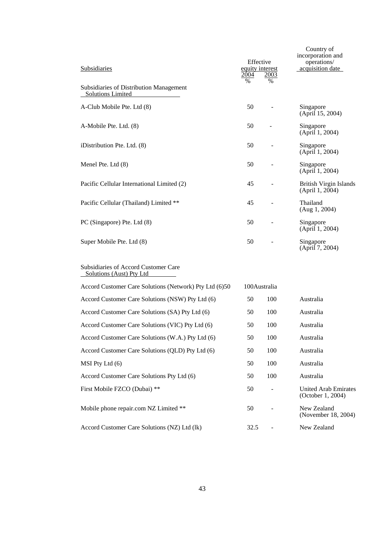| Subsidiaries                                                        | Effective<br>equity interest<br>2004<br>$\%$ | 2003<br>$\%$  | Country of<br>incorporation and<br>operations/<br>acquisition date |
|---------------------------------------------------------------------|----------------------------------------------|---------------|--------------------------------------------------------------------|
| Subsidiaries of Distribution Management<br><b>Solutions Limited</b> |                                              |               |                                                                    |
| A-Club Mobile Pte. Ltd (8)                                          | 50                                           |               | Singapore<br>(April 15, 2004)                                      |
| A-Mobile Pte. Ltd. (8)                                              | 50                                           |               | Singapore<br>(April 1, 2004)                                       |
| iDistribution Pte. Ltd. (8)                                         | 50                                           |               | Singapore<br>(April 1, 2004)                                       |
| Menel Pte. Ltd (8)                                                  | 50                                           |               | Singapore<br>(April 1, 2004)                                       |
| Pacific Cellular International Limited (2)                          | 45                                           |               | <b>British Virgin Islands</b><br>(April 1, 2004)                   |
| Pacific Cellular (Thailand) Limited **                              | 45                                           |               | Thailand<br>(Aug 1, 2004)                                          |
| PC (Singapore) Pte. Ltd (8)                                         | 50                                           |               | Singapore<br>(April 1, 2004)                                       |
| Super Mobile Pte. Ltd (8)                                           | 50                                           |               | Singapore<br>(April 7, 2004)                                       |
| Subsidiaries of Accord Customer Care<br>Solutions (Aust) Pty Ltd    |                                              |               |                                                                    |
| Accord Customer Care Solutions (Network) Pty Ltd (6)50              | 100Australia                                 |               |                                                                    |
| Accord Customer Care Solutions (NSW) Pty Ltd (6)                    | 50                                           | 100           | Australia                                                          |
| Accord Customer Care Solutions (SA) Pty Ltd (6)                     | 50                                           | 100           | Australia                                                          |
| Accord Customer Care Solutions (VIC) Pty Ltd (6)                    | 50                                           | 100           | Australia                                                          |
| Accord Customer Care Solutions (W.A.) Pty Ltd (6)                   | 50                                           | 100           | Australia                                                          |
| Accord Customer Care Solutions (QLD) Pty Ltd (6)                    | 50                                           | 100           | Australia                                                          |
| MSI Pty Ltd (6)                                                     | 50                                           | 100           | Australia                                                          |
| Accord Customer Care Solutions Pty Ltd (6)                          | 50                                           | 100           | Australia                                                          |
| First Mobile FZCO (Dubai) **                                        | 50                                           |               | <b>United Arab Emirates</b><br>(October 1, 2004)                   |
| Mobile phone repair.com NZ Limited **                               | 50                                           |               | New Zealand<br>(November 18, 2004)                                 |
| Accord Customer Care Solutions (NZ) Ltd (lk)                        | 32.5                                         | $\frac{1}{2}$ | New Zealand                                                        |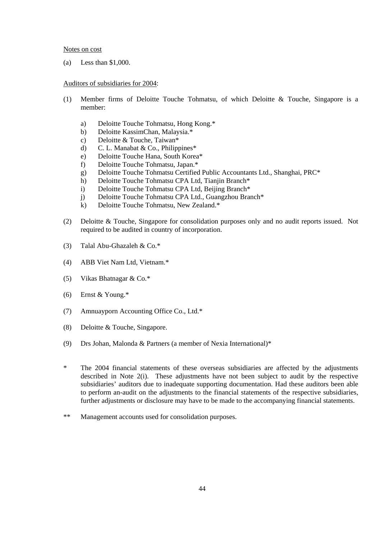#### Notes on cost

(a) Less than \$1,000.

#### Auditors of subsidiaries for 2004:

- (1) Member firms of Deloitte Touche Tohmatsu, of which Deloitte & Touche, Singapore is a member:
	- a) Deloitte Touche Tohmatsu, Hong Kong.\*
	- b) Deloitte KassimChan, Malaysia.\*
	- c) Deloitte & Touche, Taiwan\*
	- d) C. L. Manabat & Co., Philippines\*
	- e) Deloitte Touche Hana, South Korea\*
	- f) Deloitte Touche Tohmatsu, Japan.\*
	- g) Deloitte Touche Tohmatsu Certified Public Accountants Ltd., Shanghai, PRC\*
	- h) Deloitte Touche Tohmatsu CPA Ltd, Tianjin Branch\*
	- i) Deloitte Touche Tohmatsu CPA Ltd, Beijing Branch\*
	- j) Deloitte Touche Tohmatsu CPA Ltd., Guangzhou Branch\*
	- k) Deloitte Touche Tohmatsu, New Zealand.\*
- (2) Deloitte & Touche, Singapore for consolidation purposes only and no audit reports issued. Not required to be audited in country of incorporation.
- (3) Talal Abu-Ghazaleh & Co.\*
- (4) ABB Viet Nam Ltd, Vietnam.\*
- (5) Vikas Bhatnagar & Co.\*
- (6) Ernst & Young.\*
- (7) Amnuayporn Accounting Office Co., Ltd.\*
- (8) Deloitte & Touche, Singapore.
- (9) Drs Johan, Malonda & Partners (a member of Nexia International)\*
- \* The 2004 financial statements of these overseas subsidiaries are affected by the adjustments described in Note 2(i). These adjustments have not been subject to audit by the respective subsidiaries' auditors due to inadequate supporting documentation. Had these auditors been able to perform an-audit on the adjustments to the financial statements of the respective subsidiaries, further adjustments or disclosure may have to be made to the accompanying financial statements.
- \*\* Management accounts used for consolidation purposes.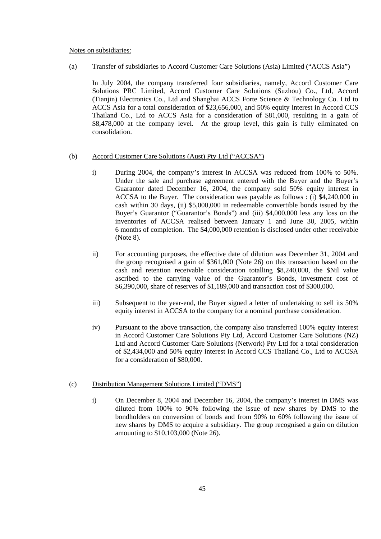#### Notes on subsidiaries:

### (a) Transfer of subsidiaries to Accord Customer Care Solutions (Asia) Limited ("ACCS Asia")

 In July 2004, the company transferred four subsidiaries, namely, Accord Customer Care Solutions PRC Limited, Accord Customer Care Solutions (Suzhou) Co., Ltd, Accord (Tianjin) Electronics Co., Ltd and Shanghai ACCS Forte Science & Technology Co. Ltd to ACCS Asia for a total consideration of \$23,656,000, and 50% equity interest in Accord CCS Thailand Co., Ltd to ACCS Asia for a consideration of \$81,000, resulting in a gain of \$8,478,000 at the company level. At the group level, this gain is fully eliminated on consolidation.

### (b) Accord Customer Care Solutions (Aust) Pty Ltd ("ACCSA")

- i) During 2004, the company's interest in ACCSA was reduced from 100% to 50%. Under the sale and purchase agreement entered with the Buyer and the Buyer's Guarantor dated December 16, 2004, the company sold 50% equity interest in ACCSA to the Buyer. The consideration was payable as follows : (i) \$4,240,000 in cash within 30 days, (ii) \$5,000,000 in redeemable convertible bonds issued by the Buyer's Guarantor ("Guarantor's Bonds") and (iii) \$4,000,000 less any loss on the inventories of ACCSA realised between January 1 and June 30, 2005, within 6 months of completion. The \$4,000,000 retention is disclosed under other receivable (Note 8).
- ii) For accounting purposes, the effective date of dilution was December 31, 2004 and the group recognised a gain of \$361,000 (Note 26) on this transaction based on the cash and retention receivable consideration totalling \$8,240,000, the \$Nil value ascribed to the carrying value of the Guarantor's Bonds, investment cost of \$6,390,000, share of reserves of \$1,189,000 and transaction cost of \$300,000.
- iii) Subsequent to the year-end, the Buyer signed a letter of undertaking to sell its 50% equity interest in ACCSA to the company for a nominal purchase consideration.
- iv) Pursuant to the above transaction, the company also transferred 100% equity interest in Accord Customer Care Solutions Pty Ltd, Accord Customer Care Solutions (NZ) Ltd and Accord Customer Care Solutions (Network) Pty Ltd for a total consideration of \$2,434,000 and 50% equity interest in Accord CCS Thailand Co., Ltd to ACCSA for a consideration of \$80,000.

### (c) Distribution Management Solutions Limited ("DMS")

 i) On December 8, 2004 and December 16, 2004, the company's interest in DMS was diluted from 100% to 90% following the issue of new shares by DMS to the bondholders on conversion of bonds and from 90% to 60% following the issue of new shares by DMS to acquire a subsidiary. The group recognised a gain on dilution amounting to \$10,103,000 (Note 26).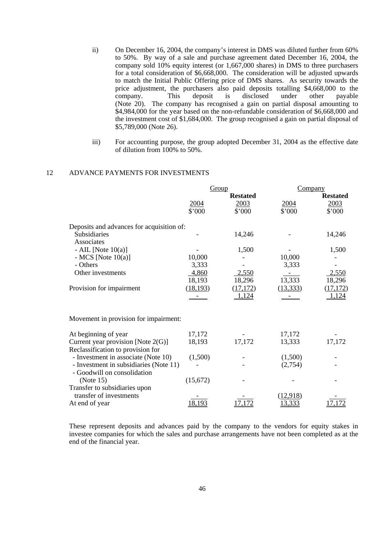- ii) On December 16, 2004, the company's interest in DMS was diluted further from 60% to 50%. By way of a sale and purchase agreement dated December 16, 2004, the company sold 10% equity interest (or 1,667,000 shares) in DMS to three purchasers for a total consideration of \$6,668,000. The consideration will be adjusted upwards to match the Initial Public Offering price of DMS shares. As security towards the price adjustment, the purchasers also paid deposits totalling \$4,668,000 to the company. This deposit is disclosed under other payable (Note 20). The company has recognised a gain on partial disposal amounting to \$4,984,000 for the year based on the non-refundable consideration of \$6,668,000 and the investment cost of \$1,684,000. The group recognised a gain on partial disposal of \$5,789,000 (Note 26).
- iii) For accounting purpose, the group adopted December 31, 2004 as the effective date of dilution from 100% to 50%.

## 12 ADVANCE PAYMENTS FOR INVESTMENTS

|                                                                            |                | Group           | Company        |                 |  |
|----------------------------------------------------------------------------|----------------|-----------------|----------------|-----------------|--|
|                                                                            |                | <b>Restated</b> |                | <b>Restated</b> |  |
|                                                                            | 2004<br>\$'000 | 2003<br>\$'000  | 2004<br>\$'000 | 2003<br>\$'000  |  |
| Deposits and advances for acquisition of:                                  |                |                 |                |                 |  |
| Subsidiaries                                                               |                | 14,246          |                | 14,246          |  |
| Associates                                                                 |                |                 |                |                 |  |
| - AIL [Note $10(a)$ ]                                                      |                | 1,500           |                | 1,500           |  |
| - MCS [Note $10(a)$ ]                                                      | 10,000         |                 | 10,000         |                 |  |
| - Others                                                                   | 3,333          |                 | 3,333          |                 |  |
| Other investments                                                          | 4,860          | 2,550           |                | 2,550           |  |
|                                                                            | 18,193         | 18,296          | 13,333         | 18,296          |  |
| Provision for impairment                                                   | (18, 193)      | (17, 172)       | (13, 333)      | (17, 172)       |  |
| Movement in provision for impairment:                                      |                | <u>1,124</u>    |                | 1,124           |  |
|                                                                            |                |                 |                |                 |  |
| At beginning of year                                                       | 17,172         |                 | 17,172         |                 |  |
| Current year provision [Note $2(G)$ ]<br>Reclassification to provision for | 18,193         | 17,172          | 13,333         | 17,172          |  |
| - Investment in associate (Note 10)                                        | (1,500)        |                 | (1,500)        |                 |  |
| - Investment in subsidiaries (Note 11)                                     |                |                 | (2,754)        |                 |  |
| - Goodwill on consolidation                                                |                |                 |                |                 |  |
| (Note 15)                                                                  | (15, 672)      |                 |                |                 |  |
| Transfer to subsidiaries upon                                              |                |                 |                |                 |  |
| transfer of investments                                                    |                |                 | (12.918)       |                 |  |
| At end of year                                                             | 18,193         | .7.172          | 13,333         | 17.172          |  |

 These represent deposits and advances paid by the company to the vendors for equity stakes in investee companies for which the sales and purchase arrangements have not been completed as at the end of the financial year.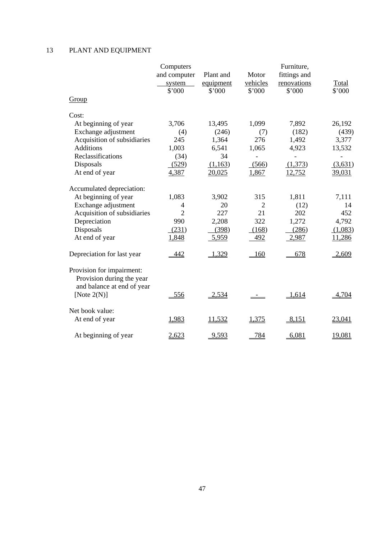# 13 PLANT AND EQUIPMENT

|                                                        | Computers      |           |          |              |         |
|--------------------------------------------------------|----------------|-----------|----------|--------------|---------|
|                                                        | and computer   | Plant and | Motor    | fittings and |         |
|                                                        | system         | equipment | vehicles | renovations  | Total   |
|                                                        | \$'000         | \$'000    | \$'000   | \$'000       | \$'000  |
| Group                                                  |                |           |          |              |         |
| Cost:                                                  |                |           |          |              |         |
| At beginning of year                                   | 3,706          | 13,495    | 1,099    | 7,892        | 26,192  |
| Exchange adjustment                                    | (4)            | (246)     | (7)      | (182)        | (439)   |
| Acquisition of subsidiaries                            | 245            | 1,364     | 276      | 1,492        | 3,377   |
| <b>Additions</b>                                       | 1,003          | 6,541     | 1,065    | 4,923        | 13,532  |
| Reclassifications                                      | (34)           | 34        |          |              |         |
| Disposals                                              | (529)          | (1,163)   | (566)    | (1,373)      | (3,631) |
| At end of year                                         | 4,387          | 20,025    | 1,867    | 12,752       | 39,031  |
| Accumulated depreciation:                              |                |           |          |              |         |
| At beginning of year                                   | 1,083          | 3,902     | 315      | 1,811        | 7,111   |
| Exchange adjustment                                    | $\overline{4}$ | 20        | 2        | (12)         | 14      |
| Acquisition of subsidiaries                            | $\overline{2}$ | 227       | 21       | 202          | 452     |
| Depreciation                                           | 990            | 2,208     | 322      | 1,272        | 4,792   |
| Disposals                                              | (231)          | (398)     | (168)    | (286)        | (1,083) |
| At end of year                                         | 1,848          | 5,959     | 492      | 2,987        | 11,286  |
| Depreciation for last year                             | 442            | 1,329     | 160      | 678          | 2,609   |
| Provision for impairment:<br>Provision during the year |                |           |          |              |         |
| and balance at end of year<br>[Note $2(N)$ ]           | 556            | 2,534     |          | 1,614        | 4,704   |
| Net book value:                                        |                |           |          |              |         |
| At end of year                                         | 1,983          | 11,532    | 1,375    | 8,151        | 23,041  |
| At beginning of year                                   | 2,623          | 9,593     | 784      | 6,081        | 19,081  |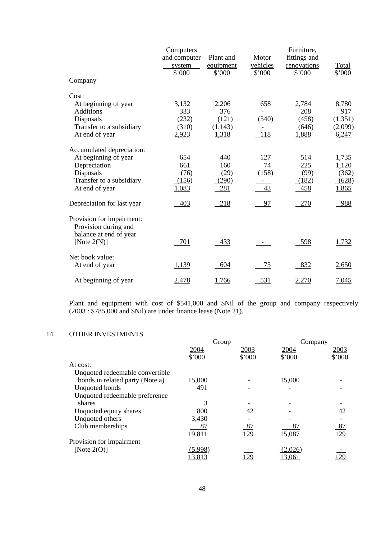|                                                   | Computers<br>and computer | Plant and           | Motor              | Furniture,<br>fittings and |                 |
|---------------------------------------------------|---------------------------|---------------------|--------------------|----------------------------|-----------------|
|                                                   | system<br>\$'000          | equipment<br>\$'000 | vehicles<br>\$'000 | renovations<br>\$'000      | Total<br>\$'000 |
| Company                                           |                           |                     |                    |                            |                 |
| Cost:                                             |                           |                     |                    |                            |                 |
| At beginning of year                              | 3,132                     | 2,206               | 658                | 2,784                      | 8,780           |
| <b>Additions</b>                                  | 333                       | 376                 |                    | 208                        | 917             |
| Disposals                                         | (232)                     | (121)               | (540)              | (458)                      | (1, 351)        |
| Transfer to a subsidiary                          | (310)                     | (1,143)             |                    | (646)                      | (2,099)         |
| At end of year                                    | 2,923                     | 1,318               | 118                | 1,888                      | 6,247           |
| Accumulated depreciation:                         |                           |                     |                    |                            |                 |
| At beginning of year                              | 654                       | 440                 | 127                | 514                        | 1,735           |
| Depreciation                                      | 661                       | 160                 | 74                 | 225                        | 1,120           |
| Disposals                                         | (76)                      | (29)                | (158)              | (99)                       | (362)           |
| Transfer to a subsidiary                          | (156)                     | (290)               |                    | (182)                      | (628)           |
| At end of year                                    | 1,083                     | 281                 | 43                 | 458                        | 1,865           |
| Depreciation for last year                        | 403                       | $-218$              | 97                 | <u>270</u>                 | 988             |
| Provision for impairment:<br>Provision during and |                           |                     |                    |                            |                 |
| balance at end of year<br>[Note $2(N)$ ]          | 701                       | 433                 |                    | 598                        | <u>1,732</u>    |
| Net book value:                                   |                           |                     |                    |                            |                 |
| At end of year                                    | 1,139                     | 604                 | 75                 | 832                        | 2,650           |
| At beginning of year                              | 2,478                     | 1,766               | 531                | 2,270                      | 7,045           |

 Plant and equipment with cost of \$541,000 and \$Nil of the group and company respectively (2003 : \$785,000 and \$Nil) are under finance lease (Note 21).

## 14 OTHER INVESTMENTS

|                                 | Group   |        | Company |        |
|---------------------------------|---------|--------|---------|--------|
|                                 | 2004    | 2003   | 2004    | 2003   |
|                                 | \$'000  | \$'000 | \$'000  | \$'000 |
| At cost:                        |         |        |         |        |
| Unquoted redeemable convertible |         |        |         |        |
| bonds in related party (Note a) | 15,000  |        | 15,000  |        |
| Unquoted bonds                  | 491     |        |         |        |
| Unquoted redeemable preference  |         |        |         |        |
| shares                          | 3       |        |         |        |
| Unquoted equity shares          | 800     | 42     |         | 42     |
| Unquoted others                 | 3,430   |        |         |        |
| Club memberships                | 87      | 87     | 87      | 87     |
|                                 | 19,811  | 129    | 15,087  | 129    |
| Provision for impairment        |         |        |         |        |
| [Note $2(O)$ ]                  | (5,998) |        | (2,026) |        |
|                                 | 13,813  | 129    | 13,061  | 129    |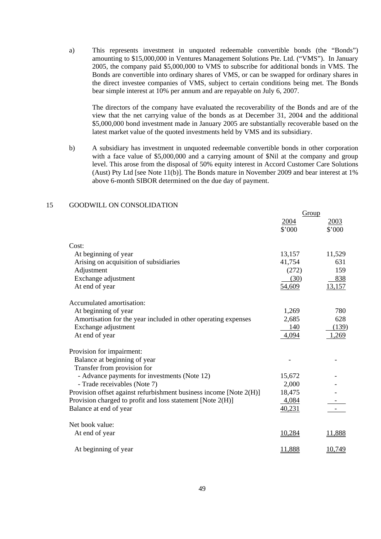a) This represents investment in unquoted redeemable convertible bonds (the "Bonds") amounting to \$15,000,000 in Ventures Management Solutions Pte. Ltd. ("VMS"). In January 2005, the company paid \$5,000,000 to VMS to subscribe for additional bonds in VMS. The Bonds are convertible into ordinary shares of VMS, or can be swapped for ordinary shares in the direct investee companies of VMS, subject to certain conditions being met. The Bonds bear simple interest at 10% per annum and are repayable on July 6, 2007.

 The directors of the company have evaluated the recoverability of the Bonds and are of the view that the net carrying value of the bonds as at December 31, 2004 and the additional \$5,000,000 bond investment made in January 2005 are substantially recoverable based on the latest market value of the quoted investments held by VMS and its subsidiary.

 b) A subsidiary has investment in unquoted redeemable convertible bonds in other corporation with a face value of \$5,000,000 and a carrying amount of \$Nil at the company and group level. This arose from the disposal of 50% equity interest in Accord Customer Care Solutions (Aust) Pty Ltd [see Note 11(b)]. The Bonds mature in November 2009 and bear interest at 1% above 6-month SIBOR determined on the due day of payment.

|                                                                    | Group         |        |
|--------------------------------------------------------------------|---------------|--------|
|                                                                    | 2004          | 2003   |
|                                                                    | \$'000        | \$'000 |
| Cost:                                                              |               |        |
| At beginning of year                                               | 13,157        | 11,529 |
| Arising on acquisition of subsidiaries                             | 41,754        | 631    |
| Adjustment                                                         | (272)         | 159    |
| Exchange adjustment                                                | (30)          | 838    |
| At end of year                                                     | 54,609        | 13,157 |
| Accumulated amortisation:                                          |               |        |
| At beginning of year                                               | 1,269         | 780    |
| Amortisation for the year included in other operating expenses     | 2,685         | 628    |
| Exchange adjustment                                                | 140           | (139)  |
| At end of year                                                     | 4,094         | 1,269  |
| Provision for impairment:                                          |               |        |
| Balance at beginning of year                                       |               |        |
| Transfer from provision for                                        |               |        |
| - Advance payments for investments (Note 12)                       | 15,672        |        |
| - Trade receivables (Note 7)                                       | 2,000         |        |
| Provision offset against refurbishment business income [Note 2(H)] | 18,475        |        |
| Provision charged to profit and loss statement [Note 2(H)]         | 4,084         |        |
| Balance at end of year                                             | 40,231        |        |
| Net book value:                                                    |               |        |
| At end of year                                                     | 10,284        | 11,888 |
| At beginning of year                                               | <u>11.888</u> | 10.749 |

#### 15 GOODWILL ON CONSOLIDATION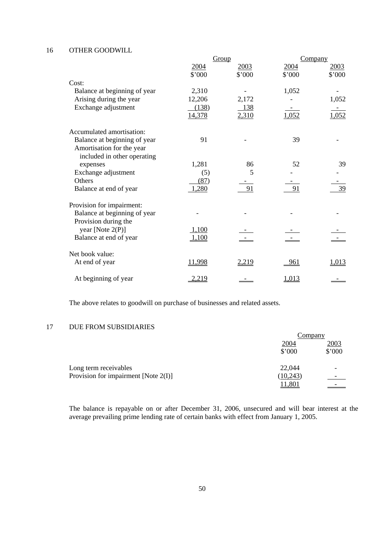#### 16 OTHER GOODWILL

|                                                                                          |                 | Group        |            | Company |
|------------------------------------------------------------------------------------------|-----------------|--------------|------------|---------|
|                                                                                          | 2004            | 2003         | 2004       | 2003    |
|                                                                                          | \$'000          | \$'000       | \$'000     | \$'000  |
| Cost:                                                                                    |                 |              |            |         |
| Balance at beginning of year                                                             | 2,310           |              | 1,052      |         |
| Arising during the year                                                                  | 12,206          | 2,172        |            | 1,052   |
| Exchange adjustment                                                                      | (138)<br>14,378 | 138<br>2,310 | 1,052      | 1,052   |
| Accumulated amortisation:                                                                |                 |              |            |         |
| Balance at beginning of year<br>Amortisation for the year<br>included in other operating | 91              |              | 39         |         |
| expenses                                                                                 | 1,281           | 86           | 52         | 39      |
| Exchange adjustment                                                                      | (5)             | 5            |            |         |
| Others                                                                                   | (87)            |              |            |         |
| Balance at end of year                                                                   | 1,280           | 91           | 91         | 39      |
| Provision for impairment:                                                                |                 |              |            |         |
| Balance at beginning of year                                                             |                 |              |            |         |
| Provision during the                                                                     |                 |              |            |         |
| year [Note $2(P)$ ]                                                                      | 1,100           |              |            |         |
| Balance at end of year                                                                   | <u>1,100</u>    |              |            |         |
| Net book value:                                                                          |                 |              |            |         |
| At end of year                                                                           | 11,998          | 2,219        | <u>961</u> | 1,013   |
| At beginning of year                                                                     | 2,219           |              | 1,013      |         |

The above relates to goodwill on purchase of businesses and related assets.

## 17 DUE FROM SUBSIDIARIES

|                                         | Company        |                |
|-----------------------------------------|----------------|----------------|
|                                         | 2004<br>\$'000 | 2003<br>\$'000 |
| Long term receivables                   | 22,044         |                |
| Provision for impairment [Note $2(I)$ ] | (10, 243)      |                |
|                                         | 11,801         |                |

 The balance is repayable on or after December 31, 2006, unsecured and will bear interest at the average prevailing prime lending rate of certain banks with effect from January 1, 2005.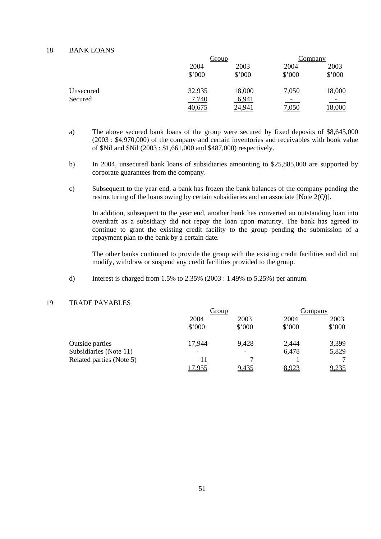#### 18 BANK LOANS

| Group  |        | Company |        |
|--------|--------|---------|--------|
| 2004   | 2003   | 2004    | 2003   |
| \$'000 | \$'000 | \$'000  | \$'000 |
| 32,935 | 18,000 | 7,050   | 18,000 |
| 7,740  | 6,941  |         |        |
| 40,675 | 24,941 | 7,050   | 18,000 |
|        |        |         |        |

- a) The above secured bank loans of the group were secured by fixed deposits of \$8,645,000 (2003 : \$4,970,000) of the company and certain inventories and receivables with book value of \$Nil and \$Nil (2003 : \$1,661,000 and \$487,000) respectively.
- b) In 2004, unsecured bank loans of subsidiaries amounting to \$25,885,000 are supported by corporate guarantees from the company.
- c) Subsequent to the year end, a bank has frozen the bank balances of the company pending the restructuring of the loans owing by certain subsidiaries and an associate [Note 2(Q)].

 In addition, subsequent to the year end, another bank has converted an outstanding loan into overdraft as a subsidiary did not repay the loan upon maturity. The bank has agreed to continue to grant the existing credit facility to the group pending the submission of a repayment plan to the bank by a certain date.

The other banks continued to provide the group with the existing credit facilities and did not modify, withdraw or suspend any credit facilities provided to the group.

d) Interest is charged from 1.5% to 2.35% (2003 : 1.49% to 5.25%) per annum.

# 19 TRADE PAYABLES

|                          |                          | Group                    |        | Company |
|--------------------------|--------------------------|--------------------------|--------|---------|
|                          | 2004                     | 2003                     | 2004   | 2003    |
|                          | \$'000                   | \$'000                   | \$'000 | \$'000  |
| Outside parties          | 17,944                   | 9,428                    | 2,444  | 3,399   |
| Subsidiaries (Note 11)   | $\overline{\phantom{a}}$ | $\overline{\phantom{0}}$ | 6,478  | 5,829   |
| Related parties (Note 5) |                          |                          |        |         |
|                          | <u>7.955</u>             | 9,435                    | 8,923  | 9,235   |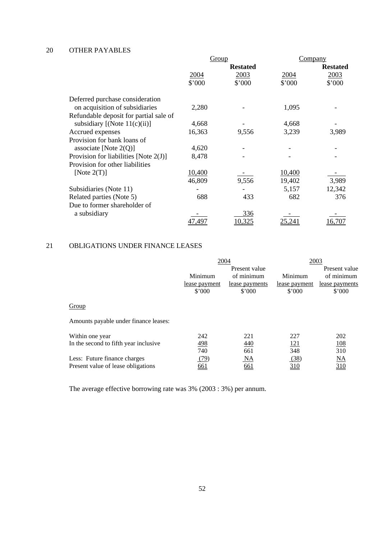# 20 OTHER PAYABLES

|                                          | Group  |                 |        | Company         |  |
|------------------------------------------|--------|-----------------|--------|-----------------|--|
|                                          |        | <b>Restated</b> |        | <b>Restated</b> |  |
|                                          | 2004   | 2003            | 2004   | 2003            |  |
|                                          | \$'000 | \$'000          | \$'000 | \$'000          |  |
| Deferred purchase consideration          |        |                 |        |                 |  |
| on acquisition of subsidiaries           | 2,280  |                 | 1,095  |                 |  |
| Refundable deposit for partial sale of   |        |                 |        |                 |  |
| subsidiary $[(Note 11(c)(ii)]$           | 4,668  |                 | 4,668  |                 |  |
| Accrued expenses                         | 16,363 | 9,556           | 3,239  | 3,989           |  |
| Provision for bank loans of              |        |                 |        |                 |  |
| associate [Note $2(Q)$ ]                 | 4,620  |                 |        |                 |  |
| Provision for liabilities [Note $2(J)$ ] | 8,478  |                 |        |                 |  |
| Provision for other liabilities          |        |                 |        |                 |  |
| [Note $2(T)$ ]                           | 10,400 |                 | 10,400 |                 |  |
|                                          | 46,809 | 9,556           | 19,402 | 3,989           |  |
| Subsidiaries (Note 11)                   |        |                 | 5,157  | 12,342          |  |
| Related parties (Note 5)                 | 688    | 433             | 682    | 376             |  |
| Due to former shareholder of             |        |                 |        |                 |  |
| a subsidiary                             |        | 336             |        |                 |  |
|                                          | 47,497 | 10,325          | 25,241 | 16,707          |  |

# 21 OBLIGATIONS UNDER FINANCE LEASES

|                                       | 2004          |                | 2003          |                        |
|---------------------------------------|---------------|----------------|---------------|------------------------|
|                                       |               | Present value  |               | Present value          |
|                                       | Minimum       | of minimum     | Minimum       | of minimum             |
|                                       | lease payment | lease payments | lease payment | lease payments         |
|                                       | \$'000        | \$'000         | \$'000        | \$'000                 |
| Group                                 |               |                |               |                        |
| Amounts payable under finance leases: |               |                |               |                        |
| Within one year                       | 242           | 221            | 227           | 202                    |
| In the second to fifth year inclusive | 498           | 440            | 121           | <u>108</u>             |
|                                       | 740           | 661            | 348           | 310                    |
| Less: Future finance charges          | (79)          | NA             | (38)          | $\overline{\text{NA}}$ |
| Present value of lease obligations    | <u>661</u>    | 661            | <u>310</u>    | 310                    |
|                                       |               |                |               |                        |

The average effective borrowing rate was 3% (2003 : 3%) per annum.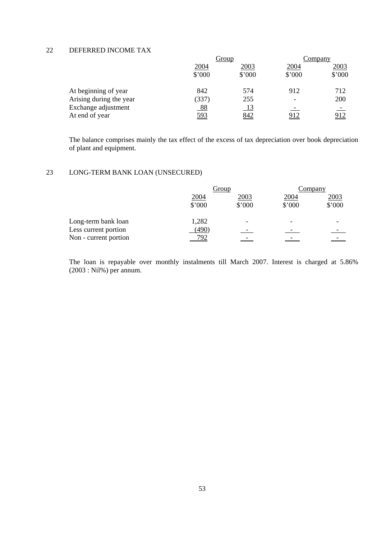# 22 DEFERRED INCOME TAX

|                                       | Group          |                  | Company        |                |
|---------------------------------------|----------------|------------------|----------------|----------------|
|                                       | 2004<br>\$'000 | 2003<br>\$'000   | 2004<br>\$'000 | 2003<br>\$'000 |
| At beginning of year                  | 842            | 574              | 912            | 712            |
| Arising during the year               | (337)          | 255              |                | 200            |
| Exchange adjustment<br>At end of year | 88<br>593      | <u>13</u><br>842 | <u>912</u>     | <u>912</u>     |

 The balance comprises mainly the tax effect of the excess of tax depreciation over book depreciation of plant and equipment.

# 23 LONG-TERM BANK LOAN (UNSECURED)

|                       | Group       |        | Company |             |
|-----------------------|-------------|--------|---------|-------------|
|                       | <u>2004</u> | 2003   | 2004    | <u>2003</u> |
|                       | \$'000      | \$'000 | \$'000  | \$'000      |
| Long-term bank loan   | 1,282       |        |         |             |
| Less current portion  | (490)       |        |         |             |
| Non - current portion | 792         |        |         |             |

 The loan is repayable over monthly instalments till March 2007. Interest is charged at 5.86% (2003 : Nil%) per annum.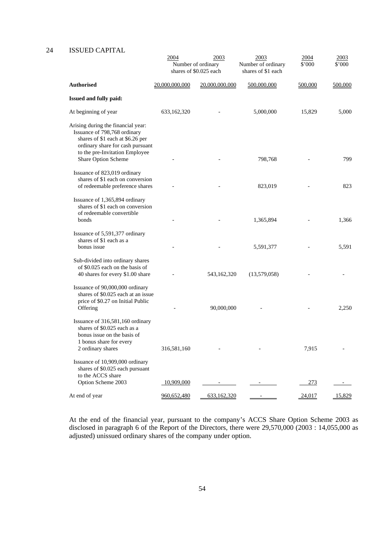# 24 ISSUED CAPITAL

|                                                                                                                                                                              | 2004           | 2003<br>Number of ordinary<br>shares of \$0.025 each | 2003<br>Number of ordinary<br>shares of \$1 each | 2004<br>\$'000 | 2003<br>\$'000 |
|------------------------------------------------------------------------------------------------------------------------------------------------------------------------------|----------------|------------------------------------------------------|--------------------------------------------------|----------------|----------------|
| <b>Authorised</b>                                                                                                                                                            | 20,000,000,000 | 20,000,000,000                                       | 500,000,000                                      | 500,000        | 500,000        |
| <b>Issued and fully paid:</b>                                                                                                                                                |                |                                                      |                                                  |                |                |
| At beginning of year                                                                                                                                                         | 633,162,320    |                                                      | 5,000,000                                        | 15,829         | 5,000          |
| Arising during the financial year:<br>Issuance of 798,768 ordinary<br>shares of \$1 each at \$6.26 per<br>ordinary share for cash pursuant<br>to the pre-Invitation Employee |                |                                                      |                                                  |                |                |
| Share Option Scheme                                                                                                                                                          |                |                                                      | 798,768                                          |                | 799            |
| Issuance of 823,019 ordinary<br>shares of \$1 each on conversion<br>of redeemable preference shares                                                                          |                |                                                      | 823,019                                          |                | 823            |
| Issuance of 1,365,894 ordinary<br>shares of \$1 each on conversion<br>of redeemable convertible<br>bonds                                                                     |                |                                                      | 1,365,894                                        |                | 1,366          |
| Issuance of 5,591,377 ordinary<br>shares of \$1 each as a<br>bonus issue                                                                                                     |                |                                                      | 5,591,377                                        |                | 5,591          |
| Sub-divided into ordinary shares<br>of \$0.025 each on the basis of<br>40 shares for every \$1.00 share                                                                      |                | 543,162,320                                          | (13,579,058)                                     |                |                |
| Issuance of 90,000,000 ordinary<br>shares of \$0.025 each at an issue<br>price of \$0.27 on Initial Public<br>Offering                                                       |                | 90,000,000                                           |                                                  |                | 2,250          |
| Issuance of 316,581,160 ordinary<br>shares of \$0.025 each as a<br>bonus issue on the basis of<br>1 bonus share for every<br>2 ordinary shares                               | 316,581,160    |                                                      |                                                  | 7,915          |                |
| Issuance of 10,909,000 ordinary<br>shares of \$0.025 each pursuant<br>to the ACCS share                                                                                      |                |                                                      |                                                  |                |                |
| Option Scheme 2003                                                                                                                                                           | 10,909,000     |                                                      |                                                  | 273            |                |
| At end of year                                                                                                                                                               | 960,652,480    | 633,162,320                                          |                                                  | 24,017         | 15,829         |

 At the end of the financial year, pursuant to the company's ACCS Share Option Scheme 2003 as disclosed in paragraph 6 of the Report of the Directors, there were 29,570,000 (2003 : 14,055,000 as adjusted) unissued ordinary shares of the company under option.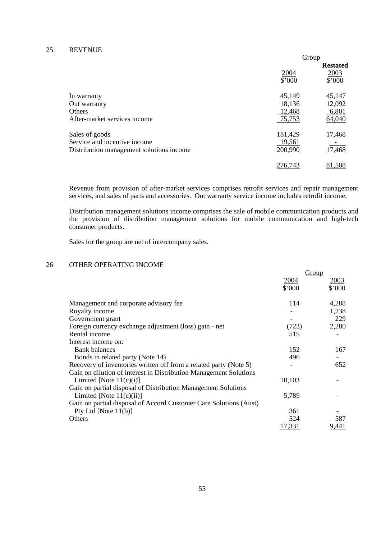### 25 REVENUE

|                                          | Group   |                 |
|------------------------------------------|---------|-----------------|
|                                          |         | <b>Restated</b> |
|                                          | 2004    | 2003            |
|                                          | \$'000  | \$'000          |
| In warranty                              | 45,149  | 45,147          |
| Out warranty                             | 18,136  | 12,092          |
| <b>Others</b>                            | 12,468  | 6,801           |
| After-market services income             | 75,753  | 64,040          |
| Sales of goods                           | 181,429 | 17,468          |
| Service and incentive income             | 19,561  |                 |
| Distribution management solutions income | 200,990 | 17,468          |
|                                          | 276.74  | 81.508          |

 Revenue from provision of after-market services comprises retrofit services and repair management services, and sales of parts and accessories. Out warranty service income includes retrofit income.

 Distribution management solutions income comprises the sale of mobile communication products and the provision of distribution management solutions for mobile communication and high-tech consumer products.

Sales for the group are net of intercompany sales.

# 26 OTHER OPERATING INCOME

|                                                                   | Group  |        |
|-------------------------------------------------------------------|--------|--------|
|                                                                   | 2004   | 2003   |
|                                                                   | \$'000 | \$'000 |
| Management and corporate advisory fee                             | 114    | 4,288  |
| Royalty income                                                    |        | 1,238  |
| Government grant                                                  |        | 229    |
| Foreign currency exchange adjustment (loss) gain - net            | (723)  | 2,280  |
| Rental income                                                     | 515    |        |
| Interest income on:                                               |        |        |
| <b>Bank balances</b>                                              | 152    | 167    |
| Bonds in related party (Note 14)                                  | 496    |        |
| Recovery of inventories written off from a related party (Note 5) |        | 652    |
| Gain on dilution of interest in Distribution Management Solutions |        |        |
| Limited [Note $11(c)(i)$ ]                                        | 10,103 |        |
| Gain on partial disposal of Distribution Management Solutions     |        |        |
| Limited [Note $11(c)(ii)$ ]                                       | 5,789  |        |
| Gain on partial disposal of Accord Customer Care Solutions (Aust) |        |        |
| Pty Ltd [Note $11(b)$ ]                                           | 361    |        |
| Others                                                            | 524    | 587    |
|                                                                   | 17,331 | 9,441  |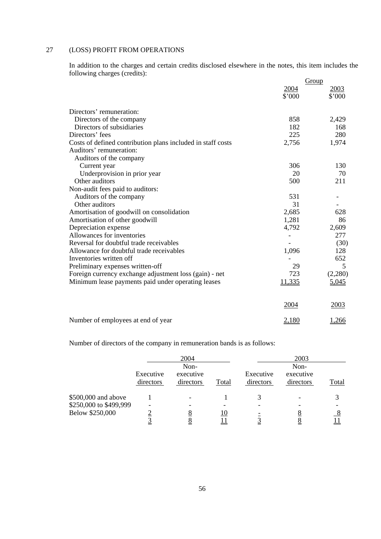# 27 (LOSS) PROFIT FROM OPERATIONS

 In addition to the charges and certain credits disclosed elsewhere in the notes, this item includes the following charges (credits):

|                                                             | Group                  |                |
|-------------------------------------------------------------|------------------------|----------------|
|                                                             | 2004<br>$$^{\circ}000$ | 2003<br>\$'000 |
| Directors' remuneration:                                    |                        |                |
| Directors of the company                                    | 858                    | 2,429          |
| Directors of subsidiaries                                   | 182                    | 168            |
| Directors' fees                                             | 225                    | 280            |
| Costs of defined contribution plans included in staff costs | 2,756                  | 1,974          |
| Auditors' remuneration:                                     |                        |                |
| Auditors of the company                                     |                        |                |
| Current year                                                | 306                    | 130            |
| Underprovision in prior year                                | 20                     | 70             |
| Other auditors                                              | 500                    | 211            |
| Non-audit fees paid to auditors:                            |                        |                |
| Auditors of the company                                     | 531                    |                |
| Other auditors                                              | 31                     |                |
| Amortisation of goodwill on consolidation                   | 2,685                  | 628            |
| Amortisation of other goodwill                              | 1,281                  | 86             |
| Depreciation expense                                        | 4,792                  | 2,609          |
| Allowances for inventories                                  |                        | 277            |
| Reversal for doubtful trade receivables                     |                        | (30)           |
| Allowance for doubtful trade receivables                    | 1,096                  | 128            |
| Inventories written off                                     |                        | 652            |
| Preliminary expenses written-off                            | 29                     | 5              |
| Foreign currency exchange adjustment loss (gain) - net      | 723                    | (2,280)        |
| Minimum lease payments paid under operating leases          | 11,335                 | 5,045          |
|                                                             | 2004                   | 2003           |
| Number of employees at end of year                          | 2,180                  | 1,266          |

Number of directors of the company in remuneration bands is as follows:

|                        |                        | 2004                           |       |                        | 2003                           |       |
|------------------------|------------------------|--------------------------------|-------|------------------------|--------------------------------|-------|
|                        | Executive<br>directors | Non-<br>executive<br>directors | Total | Executive<br>directors | Non-<br>executive<br>directors | Total |
| \$500,000 and above    |                        |                                |       |                        |                                |       |
| \$250,000 to \$499,999 |                        |                                |       |                        |                                |       |
| Below \$250,000        |                        |                                | 10    |                        | O                              |       |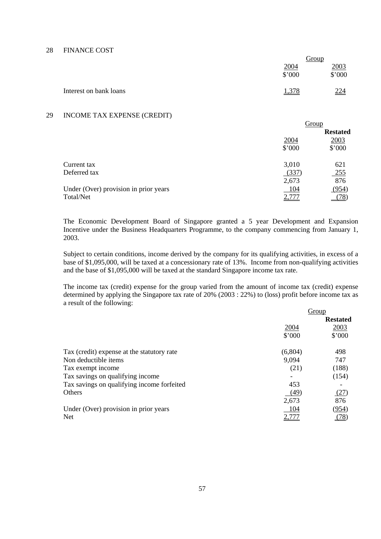#### 28 FINANCE COST

|                        |        | <u>Group</u> |
|------------------------|--------|--------------|
|                        | 2004   | 2003         |
|                        | \$'000 | \$'000       |
| Interest on bank loans | 1,378  | 224          |

### 29 INCOME TAX EXPENSE (CREDIT)

|                                       |            | Group           |
|---------------------------------------|------------|-----------------|
|                                       |            | <b>Restated</b> |
|                                       | 2004       | 2003            |
|                                       | \$'000     | \$'000          |
| Current tax                           | 3,010      | 621             |
| Deferred tax                          | (337)      | <u>255</u>      |
|                                       | 2,673      | 876             |
| Under (Over) provision in prior years | <u>104</u> | (954)           |
| Total/Net                             |            |                 |

 The Economic Development Board of Singapore granted a 5 year Development and Expansion Incentive under the Business Headquarters Programme, to the company commencing from January 1, 2003.

 Subject to certain conditions, income derived by the company for its qualifying activities, in excess of a base of \$1,095,000, will be taxed at a concessionary rate of 13%. Income from non-qualifying activities and the base of \$1,095,000 will be taxed at the standard Singapore income tax rate.

 The income tax (credit) expense for the group varied from the amount of income tax (credit) expense determined by applying the Singapore tax rate of 20% (2003 : 22%) to (loss) profit before income tax as a result of the following:

|                                            |         | Group           |
|--------------------------------------------|---------|-----------------|
|                                            |         | <b>Restated</b> |
|                                            | 2004    | 2003            |
|                                            | \$'000  | \$'000          |
| Tax (credit) expense at the statutory rate | (6,804) | 498             |
| Non deductible items                       | 9,094   | 747             |
| Tax exempt income                          | (21)    | (188)           |
| Tax savings on qualifying income           |         | (154)           |
| Tax savings on qualifying income forfeited | 453     |                 |
| Others                                     | (49)    | (27)            |
|                                            | 2,673   | 876             |
| Under (Over) provision in prior years      | 104     | (954)           |
| <b>Net</b>                                 |         | 78              |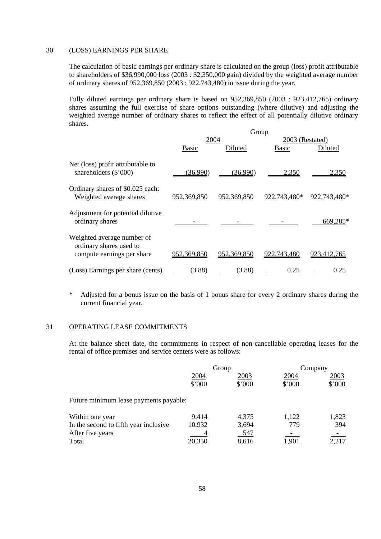#### 30 (LOSS) EARNINGS PER SHARE

 The calculation of basic earnings per ordinary share is calculated on the group (loss) profit attributable to shareholders of \$36,990,000 loss (2003 : \$2,350,000 gain) divided by the weighted average number of ordinary shares of 952,369,850 (2003 : 922,743,480) in issue during the year.

 Fully diluted earnings per ordinary share is based on 952,369,850 (2003 : 923,412,765) ordinary shares assuming the full exercise of share options outstanding (where dilutive) and adjusting the weighted average number of ordinary shares to reflect the effect of all potentially dilutive ordinary shares.

|                                                                                     | Group       |             |                 |              |  |
|-------------------------------------------------------------------------------------|-------------|-------------|-----------------|--------------|--|
|                                                                                     | 2004        |             | 2003 (Restated) |              |  |
|                                                                                     | Basic       | Diluted     | <b>Basic</b>    | Diluted      |  |
| Net (loss) profit attributable to<br>shareholders $(\$'000)$                        | (36,990)    | (36,990)    | 2,350           | 2,350        |  |
| Ordinary shares of \$0.025 each:<br>Weighted average shares                         | 952,369,850 | 952,369,850 | 922,743,480*    | 922,743,480* |  |
| Adjustment for potential dilutive<br>ordinary shares                                |             |             |                 | 669,285*     |  |
| Weighted average number of<br>ordinary shares used to<br>compute earnings per share | 952,369,850 | 952,369,850 | 922,743,480     | 923.412.765  |  |
| (Loss) Earnings per share (cents)                                                   | (3.88)      | (3.88)      | 0.25            | 0.25         |  |

 \* Adjusted for a bonus issue on the basis of 1 bonus share for every 2 ordinary shares during the current financial year.

### 31 OPERATING LEASE COMMITMENTS

 At the balance sheet date, the commitments in respect of non-cancellable operating leases for the rental of office premises and service centers were as follows:

|                                        |        | Group  |        | Company |
|----------------------------------------|--------|--------|--------|---------|
|                                        | 2004   | 2003   | 2004   | 2003    |
|                                        | \$'000 | \$'000 | \$'000 | \$'000  |
| Future minimum lease payments payable: |        |        |        |         |
| Within one year                        | 9,414  | 4,375  | 1,122  | 1,823   |
| In the second to fifth year inclusive  | 10,932 | 3,694  | 779    | 394     |
| After five years                       |        | 547    |        |         |
| Total                                  | 20,350 | 8,616  | 1,90.  |         |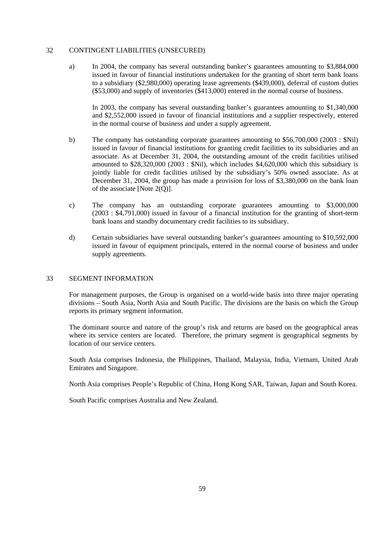### 32 CONTINGENT LIABILITIES (UNSECURED)

 a) In 2004, the company has several outstanding banker's guarantees amounting to \$3,884,000 issued in favour of financial institutions undertaken for the granting of short term bank loans to a subsidiary (\$2,980,000) operating lease agreements (\$439,000), deferral of custom duties (\$53,000) and supply of inventories (\$413,000) entered in the normal course of business.

 In 2003, the company has several outstanding banker's guarantees amounting to \$1,340,000 and \$2,552,000 issued in favour of financial institutions and a supplier respectively, entered in the normal course of business and under a supply agreement.

- b) The company has outstanding corporate guarantees amounting to \$56,700,000 (2003 : \$Nil) issued in favour of financial institutions for granting credit facilities to its subsidiaries and an associate. As at December 31, 2004, the outstanding amount of the credit facilities utilised amounted to \$28,320,000 (2003 : \$Nil), which includes \$4,620,000 which this subsidiary is jointly liable for credit facilities utilised by the subsidiary's 50% owned associate. As at December 31, 2004, the group has made a provision for loss of \$3,380,000 on the bank loan of the associate [Note 2(Q)].
- c) The company has an outstanding corporate guarantees amounting to \$3,000,000 (2003 : \$4,791,000) issued in favour of a financial institution for the granting of short-term bank loans and standby documentary credit facilities to its subsidiary.
- d) Certain subsidiaries have several outstanding banker's guarantees amounting to \$10,592,000 issued in favour of equipment principals, entered in the normal course of business and under supply agreements.

#### 33 SEGMENT INFORMATION

 For management purposes, the Group is organised on a world-wide basis into three major operating divisions – South Asia, North Asia and South Pacific. The divisions are the basis on which the Group reports its primary segment information.

 The dominant source and nature of the group's risk and returns are based on the geographical areas where its service centers are located. Therefore, the primary segment is geographical segments by location of our service centers.

 South Asia comprises Indonesia, the Philippines, Thailand, Malaysia, India, Vietnam, United Arab Emirates and Singapore.

North Asia comprises People's Republic of China, Hong Kong SAR, Taiwan, Japan and South Korea.

South Pacific comprises Australia and New Zealand.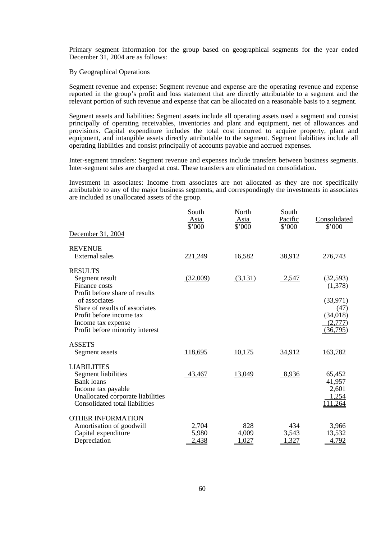Primary segment information for the group based on geographical segments for the year ended December 31, 2004 are as follows:

#### By Geographical Operations

 Segment revenue and expense: Segment revenue and expense are the operating revenue and expense reported in the group's profit and loss statement that are directly attributable to a segment and the relevant portion of such revenue and expense that can be allocated on a reasonable basis to a segment.

 Segment assets and liabilities: Segment assets include all operating assets used a segment and consist principally of operating receivables, inventories and plant and equipment, net of allowances and provisions. Capital expenditure includes the total cost incurred to acquire property, plant and equipment, and intangible assets directly attributable to the segment. Segment liabilities include all operating liabilities and consist principally of accounts payable and accrued expenses.

 Inter-segment transfers: Segment revenue and expenses include transfers between business segments. Inter-segment sales are charged at cost. These transfers are eliminated on consolidation.

 Investment in associates: Income from associates are not allocated as they are not specifically attributable to any of the major business segments, and correspondingly the investments in associates are included as unallocated assets of the group.

|                                                 | South<br><u>Asia</u><br>\$'000 | North<br>Asia<br>\$'000 | South<br>Pacific<br>\$'000 | Consolidated<br>\$'000 |
|-------------------------------------------------|--------------------------------|-------------------------|----------------------------|------------------------|
| December 31, 2004                               |                                |                         |                            |                        |
| <b>REVENUE</b>                                  |                                |                         |                            |                        |
| <b>External</b> sales                           | 221,249                        | 16,582                  | 38,912                     | 276,743                |
| <b>RESULTS</b>                                  |                                |                         |                            |                        |
| Segment result                                  | (32,009)                       | (3,131)                 | 2,547                      | (32, 593)              |
| Finance costs                                   |                                |                         |                            | (1,378)                |
| Profit before share of results<br>of associates |                                |                         |                            | (33, 971)              |
| Share of results of associates                  |                                |                         |                            | (47)                   |
| Profit before income tax                        |                                |                         |                            | (34, 018)              |
| Income tax expense                              |                                |                         |                            | (2,777)                |
| Profit before minority interest                 |                                |                         |                            | (36,795)               |
| <b>ASSETS</b>                                   |                                |                         |                            |                        |
| Segment assets                                  | 118,695                        | 10,175                  | 34,912                     | 163,782                |
| <b>LIABILITIES</b>                              |                                |                         |                            |                        |
| Segment liabilities                             | 43,467                         | 13,049                  | 8,936                      | 65,452                 |
| <b>Bank</b> loans                               |                                |                         |                            | 41,957                 |
| Income tax payable                              |                                |                         |                            | 2,601                  |
| Unallocated corporate liabilities               |                                |                         |                            | 1,254                  |
| Consolidated total liabilities                  |                                |                         |                            | 111,264                |
| <b>OTHER INFORMATION</b>                        |                                |                         |                            |                        |
| Amortisation of goodwill                        | 2,704                          | 828                     | 434                        | 3,966                  |
| Capital expenditure                             | 5,980                          | 4,009                   | 3,543                      | 13,532                 |
| Depreciation                                    | 2,438                          | 1,027                   | 1,327                      | 4,792                  |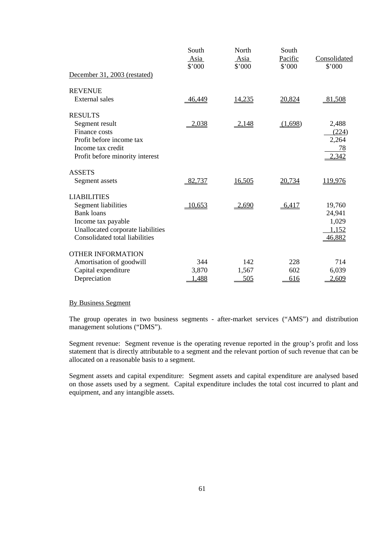|                                   | South<br>Asia<br>\$'000 | North<br>Asia<br>\$'000 | South<br>Pacific<br>\$'000 | Consolidated<br>\$'000 |
|-----------------------------------|-------------------------|-------------------------|----------------------------|------------------------|
| December 31, 2003 (restated)      |                         |                         |                            |                        |
| <b>REVENUE</b>                    |                         |                         |                            |                        |
| External sales                    | 46,449                  | 14,235                  | 20,824                     | 81,508                 |
| <b>RESULTS</b>                    |                         |                         |                            |                        |
| Segment result                    | 2,038                   | 2,148                   | (1,698)                    | 2,488                  |
| Finance costs                     |                         |                         |                            | (224)                  |
| Profit before income tax          |                         |                         |                            | 2,264                  |
| Income tax credit                 |                         |                         |                            | 78                     |
| Profit before minority interest   |                         |                         |                            | 2,342                  |
| <b>ASSETS</b>                     |                         |                         |                            |                        |
| Segment assets                    | 82,737                  | 16,505                  | 20,734                     | 119,976                |
| <b>LIABILITIES</b>                |                         |                         |                            |                        |
| Segment liabilities               | 10,653                  | 2,690                   | 6,417                      | 19,760                 |
| <b>Bank loans</b>                 |                         |                         |                            | 24,941                 |
| Income tax payable                |                         |                         |                            | 1,029                  |
| Unallocated corporate liabilities |                         |                         |                            | 1,152                  |
| Consolidated total liabilities    |                         |                         |                            | 46,882                 |
| <b>OTHER INFORMATION</b>          |                         |                         |                            |                        |
| Amortisation of goodwill          | 344                     | 142                     | 228                        | 714                    |
| Capital expenditure               | 3,870                   | 1,567                   | 602                        | 6,039                  |
| Depreciation                      | 1,488                   | 505                     | 616                        | 2,609                  |

# By Business Segment

 The group operates in two business segments - after-market services ("AMS") and distribution management solutions ("DMS").

 Segment revenue: Segment revenue is the operating revenue reported in the group's profit and loss statement that is directly attributable to a segment and the relevant portion of such revenue that can be allocated on a reasonable basis to a segment.

 Segment assets and capital expenditure: Segment assets and capital expenditure are analysed based on those assets used by a segment. Capital expenditure includes the total cost incurred to plant and equipment, and any intangible assets.